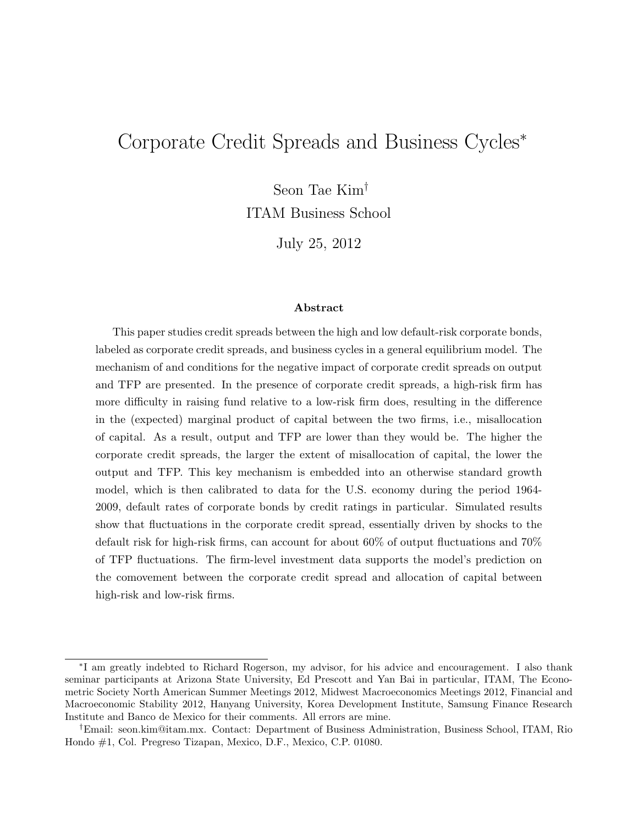# Corporate Credit Spreads and Business Cycles<sup>∗</sup>

Seon Tae Kim†

ITAM Business School

July 25, 2012

#### Abstract

This paper studies credit spreads between the high and low default-risk corporate bonds, labeled as corporate credit spreads, and business cycles in a general equilibrium model. The mechanism of and conditions for the negative impact of corporate credit spreads on output and TFP are presented. In the presence of corporate credit spreads, a high-risk firm has more difficulty in raising fund relative to a low-risk firm does, resulting in the difference in the (expected) marginal product of capital between the two firms, i.e., misallocation of capital. As a result, output and TFP are lower than they would be. The higher the corporate credit spreads, the larger the extent of misallocation of capital, the lower the output and TFP. This key mechanism is embedded into an otherwise standard growth model, which is then calibrated to data for the U.S. economy during the period 1964- 2009, default rates of corporate bonds by credit ratings in particular. Simulated results show that fluctuations in the corporate credit spread, essentially driven by shocks to the default risk for high-risk firms, can account for about 60% of output fluctuations and 70% of TFP fluctuations. The firm-level investment data supports the model's prediction on the comovement between the corporate credit spread and allocation of capital between high-risk and low-risk firms.

<sup>∗</sup> I am greatly indebted to Richard Rogerson, my advisor, for his advice and encouragement. I also thank seminar participants at Arizona State University, Ed Prescott and Yan Bai in particular, ITAM, The Econometric Society North American Summer Meetings 2012, Midwest Macroeconomics Meetings 2012, Financial and Macroeconomic Stability 2012, Hanyang University, Korea Development Institute, Samsung Finance Research Institute and Banco de Mexico for their comments. All errors are mine.

<sup>†</sup>Email: seon.kim@itam.mx. Contact: Department of Business Administration, Business School, ITAM, Rio Hondo #1, Col. Pregreso Tizapan, Mexico, D.F., Mexico, C.P. 01080.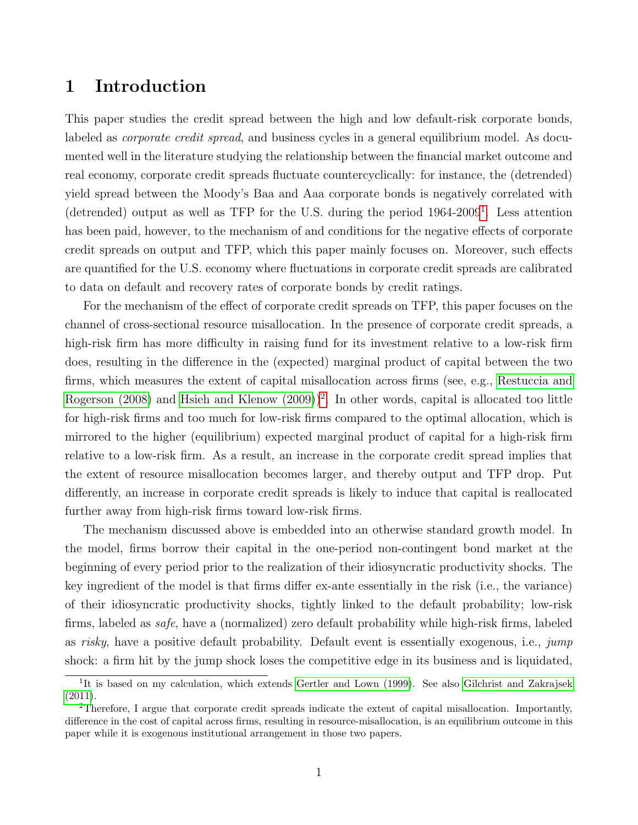### 1 Introduction

This paper studies the credit spread between the high and low default-risk corporate bonds, labeled as *corporate credit spread*, and business cycles in a general equilibrium model. As documented well in the literature studying the relationship between the financial market outcome and real economy, corporate credit spreads fluctuate countercyclically: for instance, the (detrended) yield spread between the Moody's Baa and Aaa corporate bonds is negatively correlated with (detrended) output as well as TFP for the U.S. during the period 1964-2009[1](#page-1-0) . Less attention has been paid, however, to the mechanism of and conditions for the negative effects of corporate credit spreads on output and TFP, which this paper mainly focuses on. Moreover, such effects are quantified for the U.S. economy where fluctuations in corporate credit spreads are calibrated to data on default and recovery rates of corporate bonds by credit ratings.

For the mechanism of the effect of corporate credit spreads on TFP, this paper focuses on the channel of cross-sectional resource misallocation. In the presence of corporate credit spreads, a high-risk firm has more difficulty in raising fund for its investment relative to a low-risk firm does, resulting in the difference in the (expected) marginal product of capital between the two firms, which measures the extent of capital misallocation across firms (see, e.g., [Restuccia and](#page-48-0) [Rogerson \(2008\)](#page-48-0) and [Hsieh and Klenow \(2009\)](#page-48-1))<sup>[2](#page-1-1)</sup>. In other words, capital is allocated too little for high-risk firms and too much for low-risk firms compared to the optimal allocation, which is mirrored to the higher (equilibrium) expected marginal product of capital for a high-risk firm relative to a low-risk firm. As a result, an increase in the corporate credit spread implies that the extent of resource misallocation becomes larger, and thereby output and TFP drop. Put differently, an increase in corporate credit spreads is likely to induce that capital is reallocated further away from high-risk firms toward low-risk firms.

The mechanism discussed above is embedded into an otherwise standard growth model. In the model, firms borrow their capital in the one-period non-contingent bond market at the beginning of every period prior to the realization of their idiosyncratic productivity shocks. The key ingredient of the model is that firms differ ex-ante essentially in the risk (i.e., the variance) of their idiosyncratic productivity shocks, tightly linked to the default probability; low-risk firms, labeled as safe, have a (normalized) zero default probability while high-risk firms, labeled as risky, have a positive default probability. Default event is essentially exogenous, i.e., jump shock: a firm hit by the jump shock loses the competitive edge in its business and is liquidated,

<span id="page-1-0"></span><sup>&</sup>lt;sup>1</sup>It is based on my calculation, which extends [Gertler and Lown \(1999\)](#page-47-0). See also [Gilchrist and Zakrajsek](#page-47-1)  $(2011).$  $(2011).$ 

<span id="page-1-1"></span><sup>2</sup>Therefore, I argue that corporate credit spreads indicate the extent of capital misallocation. Importantly, difference in the cost of capital across firms, resulting in resource-misallocation, is an equilibrium outcome in this paper while it is exogenous institutional arrangement in those two papers.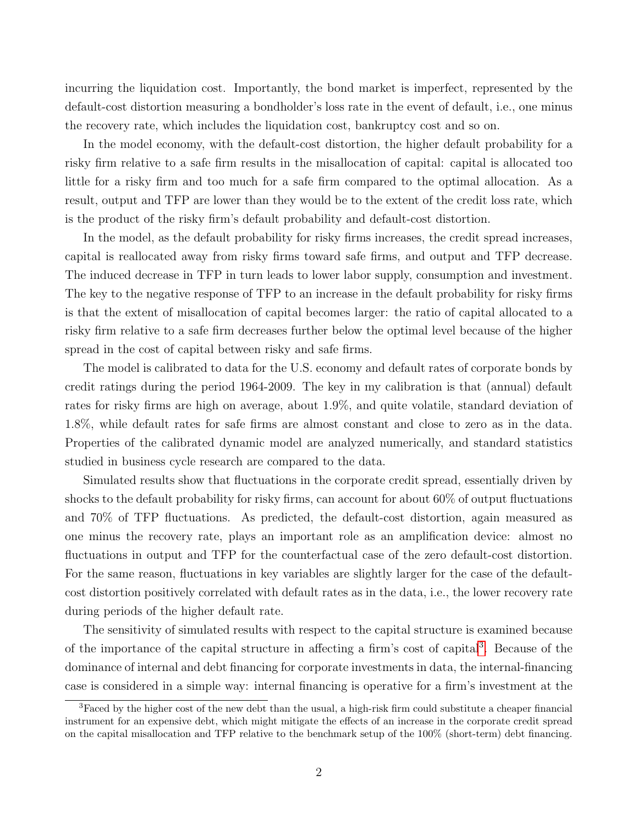incurring the liquidation cost. Importantly, the bond market is imperfect, represented by the default-cost distortion measuring a bondholder's loss rate in the event of default, i.e., one minus the recovery rate, which includes the liquidation cost, bankruptcy cost and so on.

In the model economy, with the default-cost distortion, the higher default probability for a risky firm relative to a safe firm results in the misallocation of capital: capital is allocated too little for a risky firm and too much for a safe firm compared to the optimal allocation. As a result, output and TFP are lower than they would be to the extent of the credit loss rate, which is the product of the risky firm's default probability and default-cost distortion.

In the model, as the default probability for risky firms increases, the credit spread increases, capital is reallocated away from risky firms toward safe firms, and output and TFP decrease. The induced decrease in TFP in turn leads to lower labor supply, consumption and investment. The key to the negative response of TFP to an increase in the default probability for risky firms is that the extent of misallocation of capital becomes larger: the ratio of capital allocated to a risky firm relative to a safe firm decreases further below the optimal level because of the higher spread in the cost of capital between risky and safe firms.

The model is calibrated to data for the U.S. economy and default rates of corporate bonds by credit ratings during the period 1964-2009. The key in my calibration is that (annual) default rates for risky firms are high on average, about 1.9%, and quite volatile, standard deviation of 1.8%, while default rates for safe firms are almost constant and close to zero as in the data. Properties of the calibrated dynamic model are analyzed numerically, and standard statistics studied in business cycle research are compared to the data.

Simulated results show that fluctuations in the corporate credit spread, essentially driven by shocks to the default probability for risky firms, can account for about 60% of output fluctuations and 70% of TFP fluctuations. As predicted, the default-cost distortion, again measured as one minus the recovery rate, plays an important role as an amplification device: almost no fluctuations in output and TFP for the counterfactual case of the zero default-cost distortion. For the same reason, fluctuations in key variables are slightly larger for the case of the defaultcost distortion positively correlated with default rates as in the data, i.e., the lower recovery rate during periods of the higher default rate.

The sensitivity of simulated results with respect to the capital structure is examined because of the importance of the capital structure in affecting a firm's cost of capital<sup>[3](#page-2-0)</sup>. Because of the dominance of internal and debt financing for corporate investments in data, the internal-financing case is considered in a simple way: internal financing is operative for a firm's investment at the

<span id="page-2-0"></span><sup>3</sup>Faced by the higher cost of the new debt than the usual, a high-risk firm could substitute a cheaper financial instrument for an expensive debt, which might mitigate the effects of an increase in the corporate credit spread on the capital misallocation and TFP relative to the benchmark setup of the 100% (short-term) debt financing.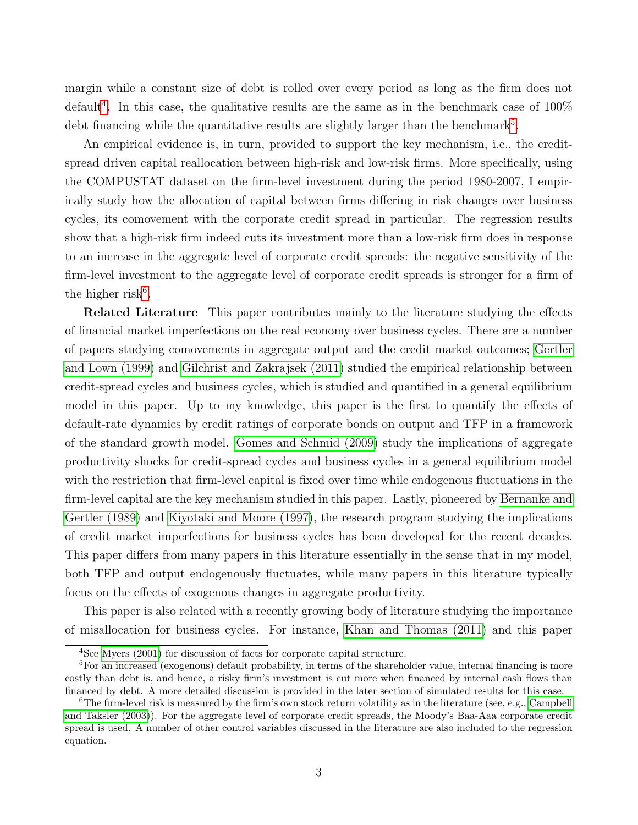margin while a constant size of debt is rolled over every period as long as the firm does not default<sup>[4](#page-3-0)</sup>. In this case, the qualitative results are the same as in the benchmark case of  $100\%$ debt financing while the quantitative results are slightly larger than the benchmark<sup>[5](#page-3-1)</sup>.

An empirical evidence is, in turn, provided to support the key mechanism, i.e., the creditspread driven capital reallocation between high-risk and low-risk firms. More specifically, using the COMPUSTAT dataset on the firm-level investment during the period 1980-2007, I empirically study how the allocation of capital between firms differing in risk changes over business cycles, its comovement with the corporate credit spread in particular. The regression results show that a high-risk firm indeed cuts its investment more than a low-risk firm does in response to an increase in the aggregate level of corporate credit spreads: the negative sensitivity of the firm-level investment to the aggregate level of corporate credit spreads is stronger for a firm of the higher risk<sup>[6](#page-3-2)</sup>.

Related Literature This paper contributes mainly to the literature studying the effects of financial market imperfections on the real economy over business cycles. There are a number of papers studying comovements in aggregate output and the credit market outcomes; [Gertler](#page-47-0) [and Lown \(1999\)](#page-47-0) and [Gilchrist and Zakrajsek \(2011\)](#page-47-1) studied the empirical relationship between credit-spread cycles and business cycles, which is studied and quantified in a general equilibrium model in this paper. Up to my knowledge, this paper is the first to quantify the effects of default-rate dynamics by credit ratings of corporate bonds on output and TFP in a framework of the standard growth model. [Gomes and Schmid \(2009\)](#page-48-2) study the implications of aggregate productivity shocks for credit-spread cycles and business cycles in a general equilibrium model with the restriction that firm-level capital is fixed over time while endogenous fluctuations in the firm-level capital are the key mechanism studied in this paper. Lastly, pioneered by [Bernanke and](#page-47-2) [Gertler \(1989\)](#page-47-2) and [Kiyotaki and Moore \(1997\)](#page-48-3), the research program studying the implications of credit market imperfections for business cycles has been developed for the recent decades. This paper differs from many papers in this literature essentially in the sense that in my model, both TFP and output endogenously fluctuates, while many papers in this literature typically focus on the effects of exogenous changes in aggregate productivity.

This paper is also related with a recently growing body of literature studying the importance of misallocation for business cycles. For instance, [Khan and Thomas \(2011\)](#page-48-4) and this paper

<span id="page-3-1"></span><span id="page-3-0"></span><sup>4</sup>See [Myers \(2001\)](#page-48-5) for discussion of facts for corporate capital structure.

<sup>5</sup>For an increased (exogenous) default probability, in terms of the shareholder value, internal financing is more costly than debt is, and hence, a risky firm's investment is cut more when financed by internal cash flows than financed by debt. A more detailed discussion is provided in the later section of simulated results for this case.

<span id="page-3-2"></span> ${}^{6}$ The firm-level risk is measured by the firm's own stock return volatility as in the literature (see, e.g., [Campbell](#page-47-3) [and Taksler \(2003\)](#page-47-3)). For the aggregate level of corporate credit spreads, the Moody's Baa-Aaa corporate credit spread is used. A number of other control variables discussed in the literature are also included to the regression equation.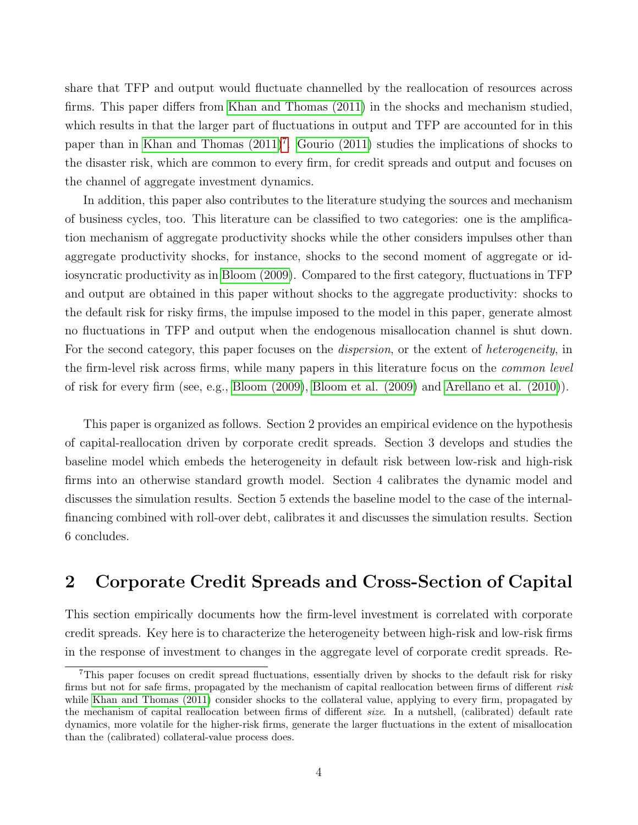share that TFP and output would fluctuate channelled by the reallocation of resources across firms. This paper differs from [Khan and Thomas \(2011\)](#page-48-4) in the shocks and mechanism studied, which results in that the larger part of fluctuations in output and TFP are accounted for in this paper than in Khan and Thomas  $(2011)^7$  $(2011)^7$ . Gourio  $(2011)$  studies the implications of shocks to the disaster risk, which are common to every firm, for credit spreads and output and focuses on the channel of aggregate investment dynamics.

In addition, this paper also contributes to the literature studying the sources and mechanism of business cycles, too. This literature can be classified to two categories: one is the amplification mechanism of aggregate productivity shocks while the other considers impulses other than aggregate productivity shocks, for instance, shocks to the second moment of aggregate or idiosyncratic productivity as in [Bloom \(2009\)](#page-47-4). Compared to the first category, fluctuations in TFP and output are obtained in this paper without shocks to the aggregate productivity: shocks to the default risk for risky firms, the impulse imposed to the model in this paper, generate almost no fluctuations in TFP and output when the endogenous misallocation channel is shut down. For the second category, this paper focuses on the dispersion, or the extent of heterogeneity, in the firm-level risk across firms, while many papers in this literature focus on the common level of risk for every firm (see, e.g., [Bloom \(2009\)](#page-47-4), [Bloom et al. \(2009\)](#page-47-5) and [Arellano et al. \(2010\)](#page-47-6)).

This paper is organized as follows. Section 2 provides an empirical evidence on the hypothesis of capital-reallocation driven by corporate credit spreads. Section 3 develops and studies the baseline model which embeds the heterogeneity in default risk between low-risk and high-risk firms into an otherwise standard growth model. Section 4 calibrates the dynamic model and discusses the simulation results. Section 5 extends the baseline model to the case of the internalfinancing combined with roll-over debt, calibrates it and discusses the simulation results. Section 6 concludes.

## 2 Corporate Credit Spreads and Cross-Section of Capital

This section empirically documents how the firm-level investment is correlated with corporate credit spreads. Key here is to characterize the heterogeneity between high-risk and low-risk firms in the response of investment to changes in the aggregate level of corporate credit spreads. Re-

<span id="page-4-0"></span><sup>7</sup>This paper focuses on credit spread fluctuations, essentially driven by shocks to the default risk for risky firms but not for safe firms, propagated by the mechanism of capital reallocation between firms of different risk while [Khan and Thomas \(2011\)](#page-48-4) consider shocks to the collateral value, applying to every firm, propagated by the mechanism of capital reallocation between firms of different size. In a nutshell, (calibrated) default rate dynamics, more volatile for the higher-risk firms, generate the larger fluctuations in the extent of misallocation than the (calibrated) collateral-value process does.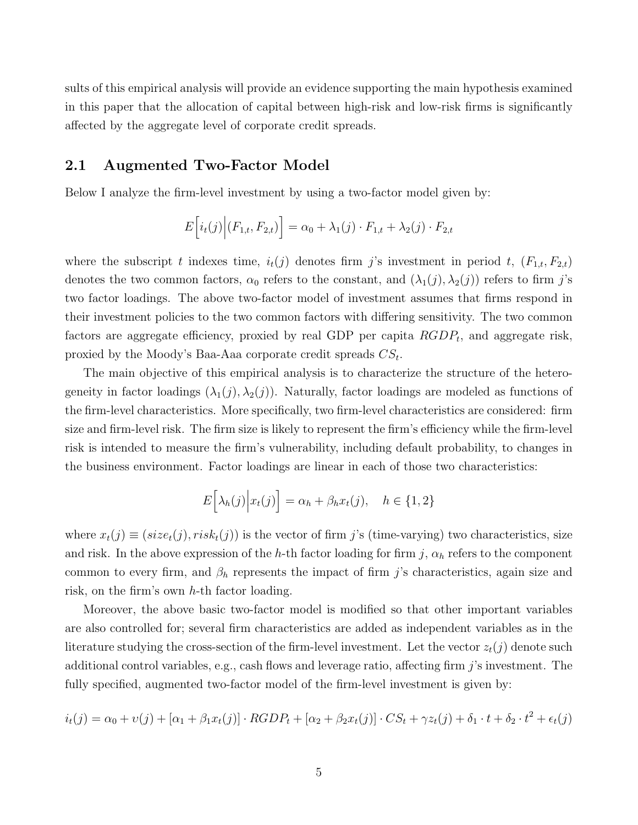sults of this empirical analysis will provide an evidence supporting the main hypothesis examined in this paper that the allocation of capital between high-risk and low-risk firms is significantly affected by the aggregate level of corporate credit spreads.

#### 2.1 Augmented Two-Factor Model

Below I analyze the firm-level investment by using a two-factor model given by:

$$
E\Big[i_t(j)\Big|(F_{1,t}, F_{2,t})\Big] = \alpha_0 + \lambda_1(j) \cdot F_{1,t} + \lambda_2(j) \cdot F_{2,t}
$$

where the subscript t indexes time,  $i_t(j)$  denotes firm j's investment in period t,  $(F_{1,t}, F_{2,t})$ denotes the two common factors,  $\alpha_0$  refers to the constant, and  $(\lambda_1(j), \lambda_2(j))$  refers to firm j's two factor loadings. The above two-factor model of investment assumes that firms respond in their investment policies to the two common factors with differing sensitivity. The two common factors are aggregate efficiency, proxied by real GDP per capita  $RGDP_t$ , and aggregate risk, proxied by the Moody's Baa-Aaa corporate credit spreads  $CS_t$ .

The main objective of this empirical analysis is to characterize the structure of the heterogeneity in factor loadings  $(\lambda_1(j), \lambda_2(j))$ . Naturally, factor loadings are modeled as functions of the firm-level characteristics. More specifically, two firm-level characteristics are considered: firm size and firm-level risk. The firm size is likely to represent the firm's efficiency while the firm-level risk is intended to measure the firm's vulnerability, including default probability, to changes in the business environment. Factor loadings are linear in each of those two characteristics:

$$
E\Big[\lambda_h(j)\Big|x_t(j)\Big] = \alpha_h + \beta_h x_t(j), \quad h \in \{1, 2\}
$$

where  $x_t(j) \equiv (size_t(j),risk_t(j))$  is the vector of firm j's (time-varying) two characteristics, size and risk. In the above expression of the h-th factor loading for firm j,  $\alpha_h$  refers to the component common to every firm, and  $\beta_h$  represents the impact of firm j's characteristics, again size and risk, on the firm's own h-th factor loading.

Moreover, the above basic two-factor model is modified so that other important variables are also controlled for; several firm characteristics are added as independent variables as in the literature studying the cross-section of the firm-level investment. Let the vector  $z_t(j)$  denote such additional control variables, e.g., cash flows and leverage ratio, affecting firm  $j$ 's investment. The fully specified, augmented two-factor model of the firm-level investment is given by:

$$
i_t(j) = \alpha_0 + v(j) + [\alpha_1 + \beta_1 x_t(j)] \cdot RGDP_t + [\alpha_2 + \beta_2 x_t(j)] \cdot CS_t + \gamma z_t(j) + \delta_1 \cdot t + \delta_2 \cdot t^2 + \epsilon_t(j)
$$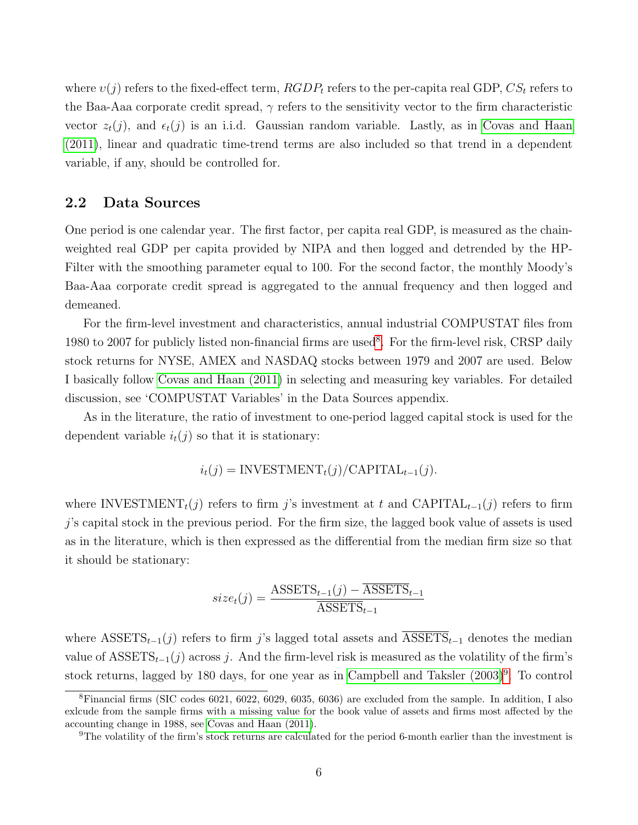where  $v(j)$  refers to the fixed-effect term,  $RGDP_t$  refers to the per-capita real GDP,  $CS_t$  refers to the Baa-Aaa corporate credit spread,  $\gamma$  refers to the sensitivity vector to the firm characteristic vector  $z_t(j)$ , and  $\epsilon_t(j)$  is an i.i.d. Gaussian random variable. Lastly, as in [Covas and Haan](#page-47-7) [\(2011\)](#page-47-7), linear and quadratic time-trend terms are also included so that trend in a dependent variable, if any, should be controlled for.

#### 2.2 Data Sources

One period is one calendar year. The first factor, per capita real GDP, is measured as the chainweighted real GDP per capita provided by NIPA and then logged and detrended by the HP-Filter with the smoothing parameter equal to 100. For the second factor, the monthly Moody's Baa-Aaa corporate credit spread is aggregated to the annual frequency and then logged and demeaned.

For the firm-level investment and characteristics, annual industrial COMPUSTAT files from 19[8](#page-6-0)0 to 2007 for publicly listed non-financial firms are used<sup>8</sup>. For the firm-level risk, CRSP daily stock returns for NYSE, AMEX and NASDAQ stocks between 1979 and 2007 are used. Below I basically follow [Covas and Haan \(2011\)](#page-47-7) in selecting and measuring key variables. For detailed discussion, see 'COMPUSTAT Variables' in the Data Sources appendix.

As in the literature, the ratio of investment to one-period lagged capital stock is used for the dependent variable  $i_t(j)$  so that it is stationary:

$$
i_t(j) = \text{INVESTMENT}_t(j) / \text{CAPITAL}_{t-1}(j).
$$

where INVESTMENT<sub>t</sub>(j) refers to firm j's investment at t and CAPITAL<sub>t-1</sub>(j) refers to firm j's capital stock in the previous period. For the firm size, the lagged book value of assets is used as in the literature, which is then expressed as the differential from the median firm size so that it should be stationary:

$$
size_t(j) = \frac{\text{ASSETS}_{t-1}(j) - \overline{\text{ASSETS}}_{t-1}}{\overline{\text{ASSETS}}_{t-1}}
$$

where ASSETS<sub>t-1</sub>(j) refers to firm j's lagged total assets and ASSETS<sub>t-1</sub> denotes the median value of  $\text{ASSETS}_{t-1}(j)$  across j. And the firm-level risk is measured as the volatility of the firm's stock returns, lagged by 180 days, for one year as in Campbell and Taksler  $(2003)^9$  $(2003)^9$ . To control

<span id="page-6-0"></span><sup>8</sup>Financial firms (SIC codes 6021, 6022, 6029, 6035, 6036) are excluded from the sample. In addition, I also exlcude from the sample firms with a missing value for the book value of assets and firms most affected by the accounting change in 1988, see [Covas and Haan \(2011\)](#page-47-7).

<span id="page-6-1"></span><sup>9</sup>The volatility of the firm's stock returns are calculated for the period 6-month earlier than the investment is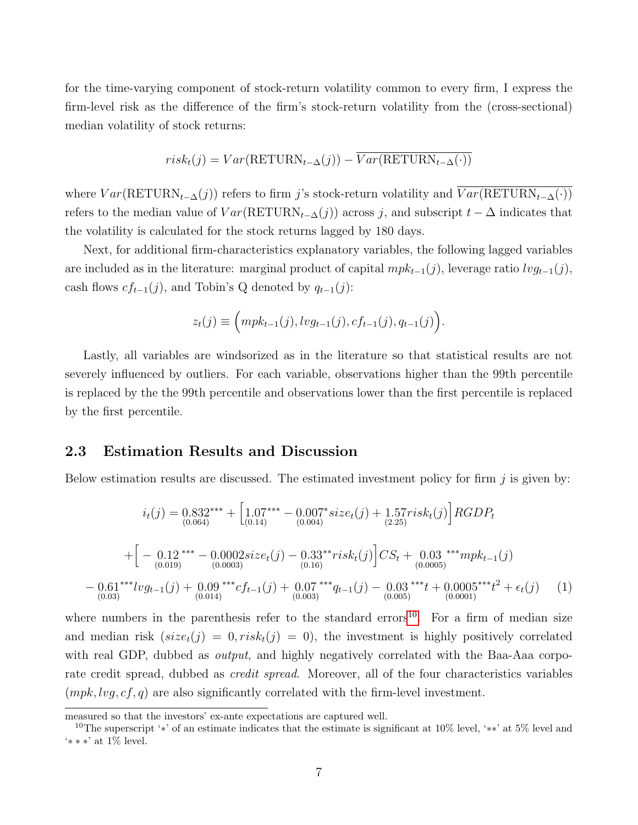for the time-varying component of stock-return volatility common to every firm, I express the firm-level risk as the difference of the firm's stock-return volatility from the (cross-sectional) median volatility of stock returns:

$$
risk_t(j) = Var(RETURN_{t-\Delta}(j)) - \overline{Var(RETURN_{t-\Delta}(\cdot))}
$$

where  $Var(RETURN_{t-\Delta}(j))$  refers to firm j's stock-return volatility and  $Var(RETURN_{t-\Delta}(\cdot))$ refers to the median value of  $Var(RETURN_{t-\Delta}(j))$  across j, and subscript  $t-\Delta$  indicates that the volatility is calculated for the stock returns lagged by 180 days.

Next, for additional firm-characteristics explanatory variables, the following lagged variables are included as in the literature: marginal product of capital  $mpk_{t-1}(j)$ , leverage ratio  $lvg_{t-1}(j)$ , cash flows  $cf_{t-1}(j)$ , and Tobin's Q denoted by  $q_{t-1}(j)$ :

$$
z_t(j) \equiv \Big( mpk_{t-1}(j), l v g_{t-1}(j), c f_{t-1}(j), q_{t-1}(j) \Big).
$$

Lastly, all variables are windsorized as in the literature so that statistical results are not severely influenced by outliers. For each variable, observations higher than the 99th percentile is replaced by the the 99th percentile and observations lower than the first percentile is replaced by the first percentile.

#### 2.3 Estimation Results and Discussion

Below estimation results are discussed. The estimated investment policy for firm  $j$  is given by:

$$
i_t(j) = 0.832^{***} + \left[1.07^{***} - 0.007^* size_t(j) + 1.57 risk_t(j)\right] RGBDP_t
$$
  
+ 
$$
\left[-\underset{(0.019)}{0.12}^{***} - \underset{(0.0002)}{0.002 size_t(j)} - \underset{(0.16)}{0.33}^{***} risk_t(j)\right] CS_t + \underset{(0.0005)}{0.03}^{***} mpk_{t-1}(j)
$$
  
- 
$$
0.61^{***} lvg_{t-1}(j) + \underset{(0.014)}{0.09}^{***} cf_{t-1}(j) + \underset{(0.003)}{0.07}^{***} q_{t-1}(j) - \underset{(0.005)}{0.03}^{***} t + 0.0005^{***} t^2 + \epsilon_t(j) \tag{1}
$$

where numbers in the parenthesis refer to the standard errors<sup>[10](#page-7-0)</sup>. For a firm of median size and median risk  $(size_t(j) = 0, risk_t(j) = 0)$ , the investment is highly positively correlated with real GDP, dubbed as *output*, and highly negatively correlated with the Baa-Aaa corporate credit spread, dubbed as credit spread. Moreover, all of the four characteristics variables  $(mpk, log, cf, q)$  are also significantly correlated with the firm-level investment.

measured so that the investors' ex-ante expectations are captured well.

<span id="page-7-0"></span><sup>&</sup>lt;sup>10</sup>The superscript '\*' of an estimate indicates that the estimate is significant at  $10\%$  level, '\*\*' at 5% level and '∗ ∗ ∗' at 1% level.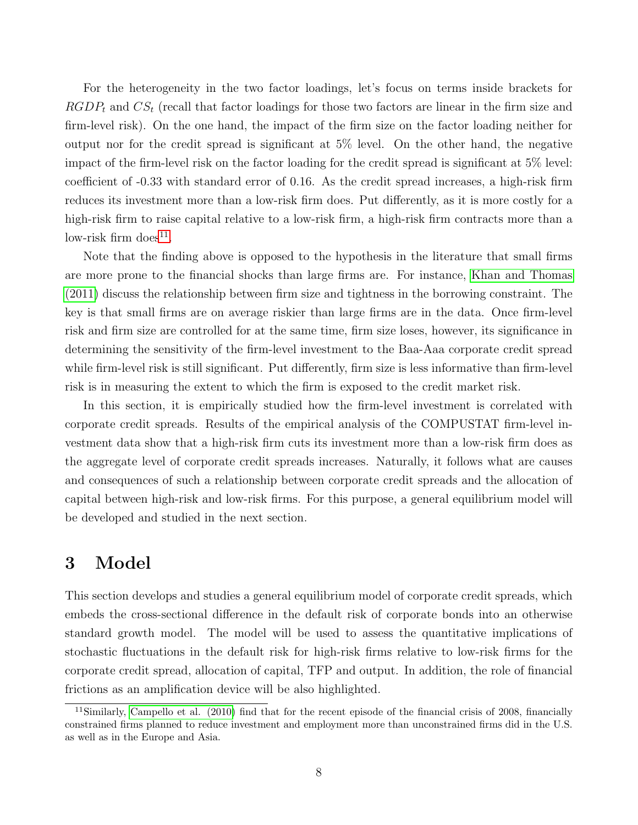For the heterogeneity in the two factor loadings, let's focus on terms inside brackets for  $RGDP_t$  and  $CS_t$  (recall that factor loadings for those two factors are linear in the firm size and firm-level risk). On the one hand, the impact of the firm size on the factor loading neither for output nor for the credit spread is significant at 5% level. On the other hand, the negative impact of the firm-level risk on the factor loading for the credit spread is significant at 5% level: coefficient of -0.33 with standard error of 0.16. As the credit spread increases, a high-risk firm reduces its investment more than a low-risk firm does. Put differently, as it is more costly for a high-risk firm to raise capital relative to a low-risk firm, a high-risk firm contracts more than a  $\text{low-risk firm does}^{11}$  $\text{low-risk firm does}^{11}$  $\text{low-risk firm does}^{11}$ .

Note that the finding above is opposed to the hypothesis in the literature that small firms are more prone to the financial shocks than large firms are. For instance, [Khan and Thomas](#page-48-4) [\(2011\)](#page-48-4) discuss the relationship between firm size and tightness in the borrowing constraint. The key is that small firms are on average riskier than large firms are in the data. Once firm-level risk and firm size are controlled for at the same time, firm size loses, however, its significance in determining the sensitivity of the firm-level investment to the Baa-Aaa corporate credit spread while firm-level risk is still significant. Put differently, firm size is less informative than firm-level risk is in measuring the extent to which the firm is exposed to the credit market risk.

In this section, it is empirically studied how the firm-level investment is correlated with corporate credit spreads. Results of the empirical analysis of the COMPUSTAT firm-level investment data show that a high-risk firm cuts its investment more than a low-risk firm does as the aggregate level of corporate credit spreads increases. Naturally, it follows what are causes and consequences of such a relationship between corporate credit spreads and the allocation of capital between high-risk and low-risk firms. For this purpose, a general equilibrium model will be developed and studied in the next section.

### 3 Model

This section develops and studies a general equilibrium model of corporate credit spreads, which embeds the cross-sectional difference in the default risk of corporate bonds into an otherwise standard growth model. The model will be used to assess the quantitative implications of stochastic fluctuations in the default risk for high-risk firms relative to low-risk firms for the corporate credit spread, allocation of capital, TFP and output. In addition, the role of financial frictions as an amplification device will be also highlighted.

<span id="page-8-0"></span> $11$ Similarly, [Campello et al. \(2010\)](#page-47-8) find that for the recent episode of the financial crisis of 2008, financially constrained firms planned to reduce investment and employment more than unconstrained firms did in the U.S. as well as in the Europe and Asia.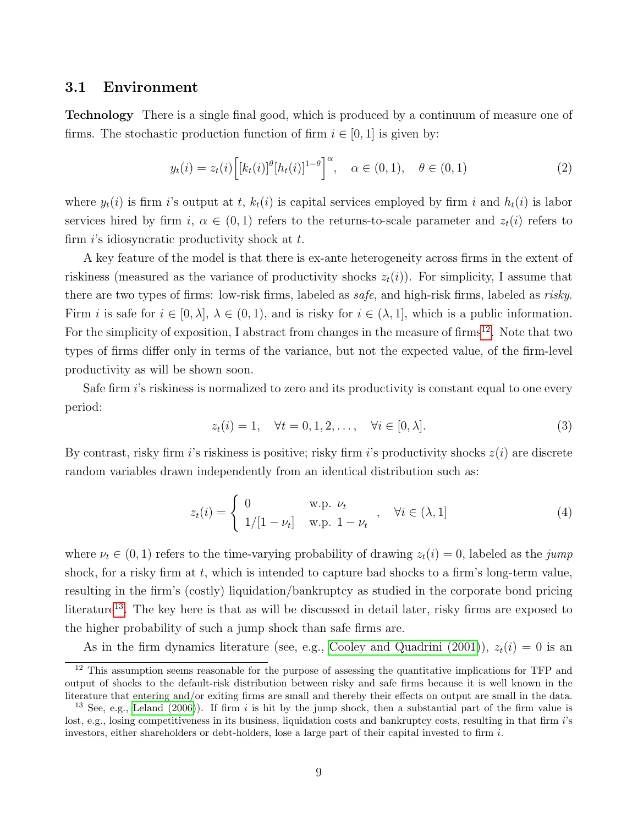#### 3.1 Environment

Technology There is a single final good, which is produced by a continuum of measure one of firms. The stochastic production function of firm  $i \in [0, 1]$  is given by:

$$
y_t(i) = z_t(i) \Big[ [k_t(i)]^{\theta} [h_t(i)]^{1-\theta} \Big]^{\alpha}, \quad \alpha \in (0,1), \quad \theta \in (0,1)
$$
 (2)

where  $y_t(i)$  is firm i's output at t,  $k_t(i)$  is capital services employed by firm i and  $h_t(i)$  is labor services hired by firm i,  $\alpha \in (0,1)$  refers to the returns-to-scale parameter and  $z_t(i)$  refers to firm  $i$ 's idiosyncratic productivity shock at  $t$ .

A key feature of the model is that there is ex-ante heterogeneity across firms in the extent of riskiness (measured as the variance of productivity shocks  $z_t(i)$ ). For simplicity, I assume that there are two types of firms: low-risk firms, labeled as safe, and high-risk firms, labeled as risky. Firm i is safe for  $i \in [0, \lambda], \lambda \in (0, 1)$ , and is risky for  $i \in (\lambda, 1]$ , which is a public information. For the simplicity of exposition, I abstract from changes in the measure of firms<sup>[12](#page-9-0)</sup>. Note that two types of firms differ only in terms of the variance, but not the expected value, of the firm-level productivity as will be shown soon.

Safe firm  $i$ 's riskiness is normalized to zero and its productivity is constant equal to one every period:

$$
z_t(i) = 1, \quad \forall t = 0, 1, 2, \dots, \quad \forall i \in [0, \lambda]. \tag{3}
$$

By contrast, risky firm i's riskiness is positive; risky firm i's productivity shocks  $z(i)$  are discrete random variables drawn independently from an identical distribution such as:

$$
z_t(i) = \begin{cases} 0 & \text{w.p. } \nu_t \\ 1/[1 - \nu_t] & \text{w.p. } 1 - \nu_t \end{cases}, \quad \forall i \in (\lambda, 1]
$$
 (4)

where  $\nu_t \in (0, 1)$  refers to the time-varying probability of drawing  $z_t(i) = 0$ , labeled as the jump shock, for a risky firm at  $t$ , which is intended to capture bad shocks to a firm's long-term value, resulting in the firm's (costly) liquidation/bankruptcy as studied in the corporate bond pricing literature<sup>[13](#page-9-1)</sup>. The key here is that as will be discussed in detail later, risky firms are exposed to the higher probability of such a jump shock than safe firms are.

As in the firm dynamics literature (see, e.g., [Cooley and Quadrini \(2001\)](#page-47-9)),  $z_t(i) = 0$  is an

<span id="page-9-0"></span><sup>&</sup>lt;sup>12</sup> This assumption seems reasonable for the purpose of assessing the quantitative implications for TFP and output of shocks to the default-risk distribution between risky and safe firms because it is well known in the literature that entering and/or exiting firms are small and thereby their effects on output are small in the data.

<span id="page-9-1"></span><sup>&</sup>lt;sup>13</sup> See, e.g., [Leland \(2006\)](#page-48-7)). If firm  $i$  is hit by the jump shock, then a substantial part of the firm value is lost, e.g., losing competitiveness in its business, liquidation costs and bankruptcy costs, resulting in that firm i's investors, either shareholders or debt-holders, lose a large part of their capital invested to firm i.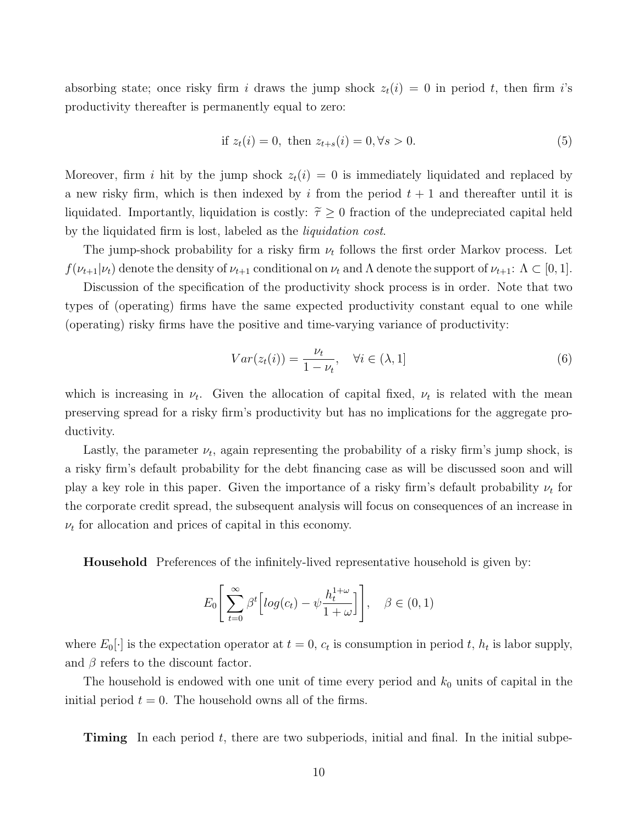absorbing state; once risky firm i draws the jump shock  $z_t(i) = 0$  in period t, then firm i's productivity thereafter is permanently equal to zero:

if 
$$
z_t(i) = 0
$$
, then  $z_{t+s}(i) = 0, \forall s > 0$ . (5)

Moreover, firm i hit by the jump shock  $z_t(i) = 0$  is immediately liquidated and replaced by a new risky firm, which is then indexed by i from the period  $t + 1$  and thereafter until it is liquidated. Importantly, liquidation is costly:  $\tilde{\tau} \geq 0$  fraction of the undepreciated capital held by the liquidated firm is lost, labeled as the liquidation cost.

The jump-shock probability for a risky firm  $\nu_t$  follows the first order Markov process. Let  $f(\nu_{t+1}|\nu_t)$  denote the density of  $\nu_{t+1}$  conditional on  $\nu_t$  and  $\Lambda$  denote the support of  $\nu_{t+1}$ :  $\Lambda \subset [0,1]$ .

Discussion of the specification of the productivity shock process is in order. Note that two types of (operating) firms have the same expected productivity constant equal to one while (operating) risky firms have the positive and time-varying variance of productivity:

$$
Var(z_t(i)) = \frac{\nu_t}{1 - \nu_t}, \quad \forall i \in (\lambda, 1]
$$
\n
$$
(6)
$$

which is increasing in  $\nu_t$ . Given the allocation of capital fixed,  $\nu_t$  is related with the mean preserving spread for a risky firm's productivity but has no implications for the aggregate productivity.

Lastly, the parameter  $\nu_t$ , again representing the probability of a risky firm's jump shock, is a risky firm's default probability for the debt financing case as will be discussed soon and will play a key role in this paper. Given the importance of a risky firm's default probability  $\nu_t$  for the corporate credit spread, the subsequent analysis will focus on consequences of an increase in  $\nu_t$  for allocation and prices of capital in this economy.

Household Preferences of the infinitely-lived representative household is given by:

$$
E_0\left[\sum_{t=0}^{\infty} \beta^t \left[ log(c_t) - \psi \frac{h_t^{1+\omega}}{1+\omega} \right] \right], \quad \beta \in (0,1)
$$

where  $E_0[\cdot]$  is the expectation operator at  $t = 0$ ,  $c_t$  is consumption in period t,  $h_t$  is labor supply, and  $\beta$  refers to the discount factor.

The household is endowed with one unit of time every period and  $k_0$  units of capital in the initial period  $t = 0$ . The household owns all of the firms.

**Timing** In each period  $t$ , there are two subperiods, initial and final. In the initial subpe-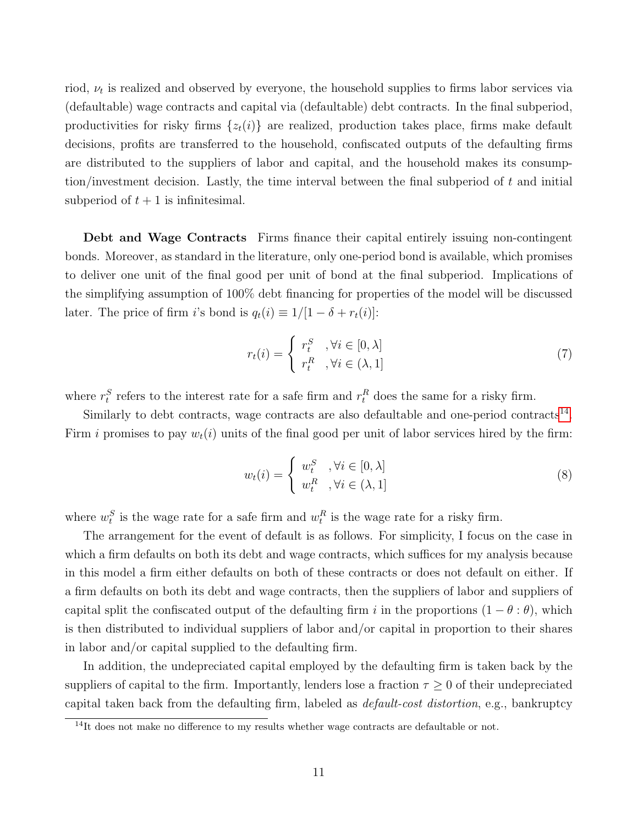riod,  $\nu_t$  is realized and observed by everyone, the household supplies to firms labor services via (defaultable) wage contracts and capital via (defaultable) debt contracts. In the final subperiod, productivities for risky firms  $\{z_t(i)\}\$ are realized, production takes place, firms make default decisions, profits are transferred to the household, confiscated outputs of the defaulting firms are distributed to the suppliers of labor and capital, and the household makes its consumption/investment decision. Lastly, the time interval between the final subperiod of  $t$  and initial subperiod of  $t + 1$  is infinitesimal.

Debt and Wage Contracts Firms finance their capital entirely issuing non-contingent bonds. Moreover, as standard in the literature, only one-period bond is available, which promises to deliver one unit of the final good per unit of bond at the final subperiod. Implications of the simplifying assumption of 100% debt financing for properties of the model will be discussed later. The price of firm *i*'s bond is  $q_t(i) \equiv 1/[1 - \delta + r_t(i)]$ :

$$
r_t(i) = \begin{cases} r_t^S, & \forall i \in [0, \lambda] \\ r_t^R, & \forall i \in (\lambda, 1] \end{cases}
$$
 (7)

where  $r_t^S$  refers to the interest rate for a safe firm and  $r_t^R$  does the same for a risky firm.

Similarly to debt contracts, wage contracts are also defaultable and one-period contracts<sup>[14](#page-11-0)</sup>. Firm i promises to pay  $w_t(i)$  units of the final good per unit of labor services hired by the firm:

$$
w_t(i) = \begin{cases} w_t^S, & \forall i \in [0, \lambda] \\ w_t^R, & \forall i \in (\lambda, 1] \end{cases}
$$
 (8)

where  $w_t^S$  is the wage rate for a safe firm and  $w_t^R$  is the wage rate for a risky firm.

The arrangement for the event of default is as follows. For simplicity, I focus on the case in which a firm defaults on both its debt and wage contracts, which suffices for my analysis because in this model a firm either defaults on both of these contracts or does not default on either. If a firm defaults on both its debt and wage contracts, then the suppliers of labor and suppliers of capital split the confiscated output of the defaulting firm i in the proportions  $(1 - \theta : \theta)$ , which is then distributed to individual suppliers of labor and/or capital in proportion to their shares in labor and/or capital supplied to the defaulting firm.

In addition, the undepreciated capital employed by the defaulting firm is taken back by the suppliers of capital to the firm. Importantly, lenders lose a fraction  $\tau \geq 0$  of their undepreciated capital taken back from the defaulting firm, labeled as default-cost distortion, e.g., bankruptcy

<span id="page-11-0"></span> $14$ It does not make no difference to my results whether wage contracts are defaultable or not.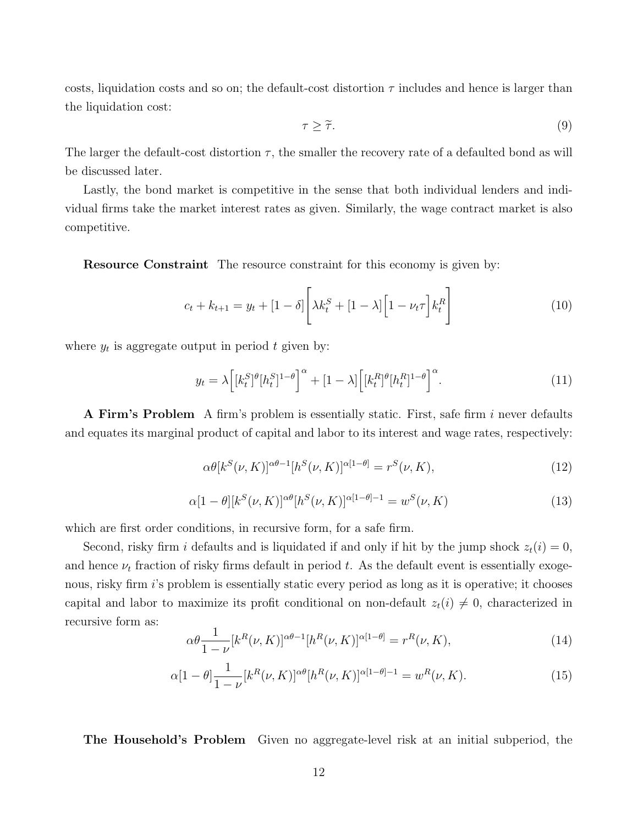costs, liquidation costs and so on; the default-cost distortion  $\tau$  includes and hence is larger than the liquidation cost:

$$
\tau \geq \tilde{\tau}.\tag{9}
$$

The larger the default-cost distortion  $\tau$ , the smaller the recovery rate of a defaulted bond as will be discussed later.

Lastly, the bond market is competitive in the sense that both individual lenders and individual firms take the market interest rates as given. Similarly, the wage contract market is also competitive.

Resource Constraint The resource constraint for this economy is given by:

$$
c_{t} + k_{t+1} = y_{t} + [1 - \delta] \left[ \lambda k_{t}^{S} + [1 - \lambda] \left[ 1 - \nu_{t} \tau \right] k_{t}^{R} \right]
$$
(10)

where  $y_t$  is aggregate output in period t given by:

$$
y_t = \lambda \left[ [k_t^S]^\theta [h_t^S]^{1-\theta} \right]^\alpha + [1-\lambda] \left[ [k_t^R]^\theta [h_t^R]^{1-\theta} \right]^\alpha. \tag{11}
$$

A Firm's Problem A firm's problem is essentially static. First, safe firm i never defaults and equates its marginal product of capital and labor to its interest and wage rates, respectively:

$$
\alpha \theta[k^S(\nu, K)]^{\alpha \theta - 1} [h^S(\nu, K)]^{\alpha [1 - \theta]} = r^S(\nu, K), \qquad (12)
$$

$$
\alpha[1 - \theta][k^{S}(\nu, K)]^{\alpha\theta}[h^{S}(\nu, K)]^{\alpha[1 - \theta]-1} = w^{S}(\nu, K)
$$
\n(13)

which are first order conditions, in recursive form, for a safe firm.

Second, risky firm i defaults and is liquidated if and only if hit by the jump shock  $z_t(i) = 0$ , and hence  $\nu_t$  fraction of risky firms default in period t. As the default event is essentially exogenous, risky firm *i*'s problem is essentially static every period as long as it is operative; it chooses capital and labor to maximize its profit conditional on non-default  $z_t(i) \neq 0$ , characterized in recursive form as:

$$
\alpha \theta \frac{1}{1-\nu} [k^R(\nu, K)]^{\alpha \theta - 1} [h^R(\nu, K)]^{\alpha [1-\theta]} = r^R(\nu, K), \qquad (14)
$$

$$
\alpha[1-\theta] \frac{1}{1-\nu} [k^R(\nu, K)]^{\alpha\theta} [h^R(\nu, K)]^{\alpha[1-\theta]-1} = w^R(\nu, K). \tag{15}
$$

The Household's Problem Given no aggregate-level risk at an initial subperiod, the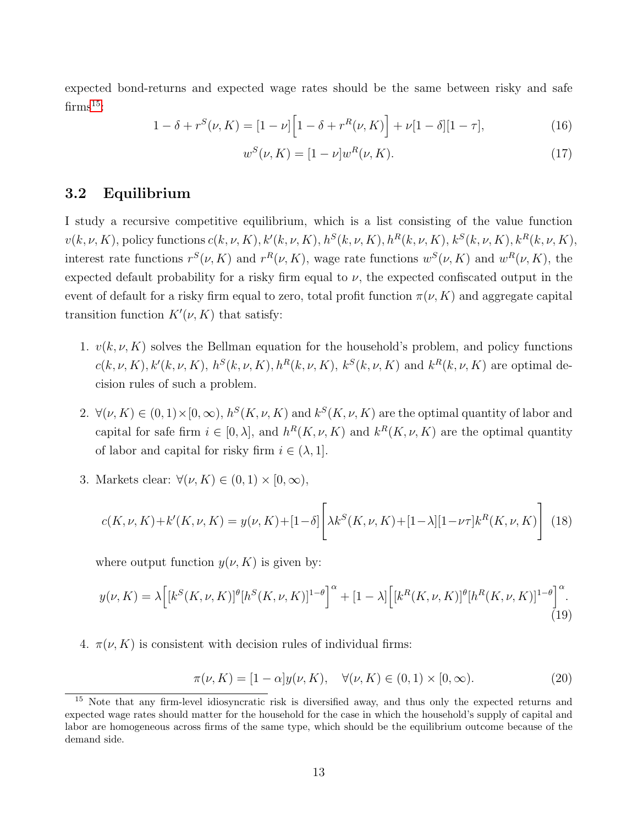expected bond-returns and expected wage rates should be the same between risky and safe  $\mathrm{firms}^{15}$  $\mathrm{firms}^{15}$  $\mathrm{firms}^{15}$ :

$$
1 - \delta + r^{S}(\nu, K) = [1 - \nu] \Big[ 1 - \delta + r^{R}(\nu, K) \Big] + \nu [1 - \delta] [1 - \tau], \tag{16}
$$

$$
w^{S}(\nu, K) = [1 - \nu]w^{R}(\nu, K). \tag{17}
$$

#### 3.2 Equilibrium

I study a recursive competitive equilibrium, which is a list consisting of the value function  $v(k, \nu, K)$ , policy functions  $c(k, \nu, K)$ ,  $k'(k, \nu, K)$ ,  $h^S(k, \nu, K)$ ,  $h^R(k, \nu, K)$ ,  $k^S(k, \nu, K)$ ,  $k^R(k, \nu, K)$ , interest rate functions  $r^S(\nu, K)$  and  $r^R(\nu, K)$ , wage rate functions  $w^S(\nu, K)$  and  $w^R(\nu, K)$ , the expected default probability for a risky firm equal to  $\nu$ , the expected confiscated output in the event of default for a risky firm equal to zero, total profit function  $\pi(\nu, K)$  and aggregate capital transition function  $K'(\nu, K)$  that satisfy:

- 1.  $v(k, \nu, K)$  solves the Bellman equation for the household's problem, and policy functions  $c(k, \nu, K), k'(k, \nu, K), h^{S}(k, \nu, K), h^{R}(k, \nu, K), k^{S}(k, \nu, K)$  and  $k^{R}(k, \nu, K)$  are optimal decision rules of such a problem.
- 2.  $\forall (\nu, K) \in (0, 1) \times [0, \infty), h^S(K, \nu, K)$  and  $k^S(K, \nu, K)$  are the optimal quantity of labor and capital for safe firm  $i \in [0, \lambda]$ , and  $h^R(K, \nu, K)$  and  $k^R(K, \nu, K)$  are the optimal quantity of labor and capital for risky firm  $i \in (\lambda, 1]$ .
- 3. Markets clear:  $\forall (\nu, K) \in (0, 1) \times [0, \infty),$

$$
c(K, \nu, K) + k'(K, \nu, K) = y(\nu, K) + [1 - \delta] \left[ \lambda k^S(K, \nu, K) + [1 - \lambda][1 - \nu \tau] k^R(K, \nu, K) \right]
$$
(18)

where output function  $y(\nu, K)$  is given by:

$$
y(\nu, K) = \lambda \Big[ [k^S(K, \nu, K)]^{\theta} [h^S(K, \nu, K)]^{1-\theta} \Big]^{\alpha} + [1 - \lambda] \Big[ [k^R(K, \nu, K)]^{\theta} [h^R(K, \nu, K)]^{1-\theta} \Big]^{\alpha}.
$$
\n(19)

4.  $\pi(\nu, K)$  is consistent with decision rules of individual firms:

$$
\pi(\nu, K) = [1 - \alpha]y(\nu, K), \quad \forall (\nu, K) \in (0, 1) \times [0, \infty).
$$
\n(20)

<span id="page-13-0"></span><sup>&</sup>lt;sup>15</sup> Note that any firm-level idiosyncratic risk is diversified away, and thus only the expected returns and expected wage rates should matter for the household for the case in which the household's supply of capital and labor are homogeneous across firms of the same type, which should be the equilibrium outcome because of the demand side.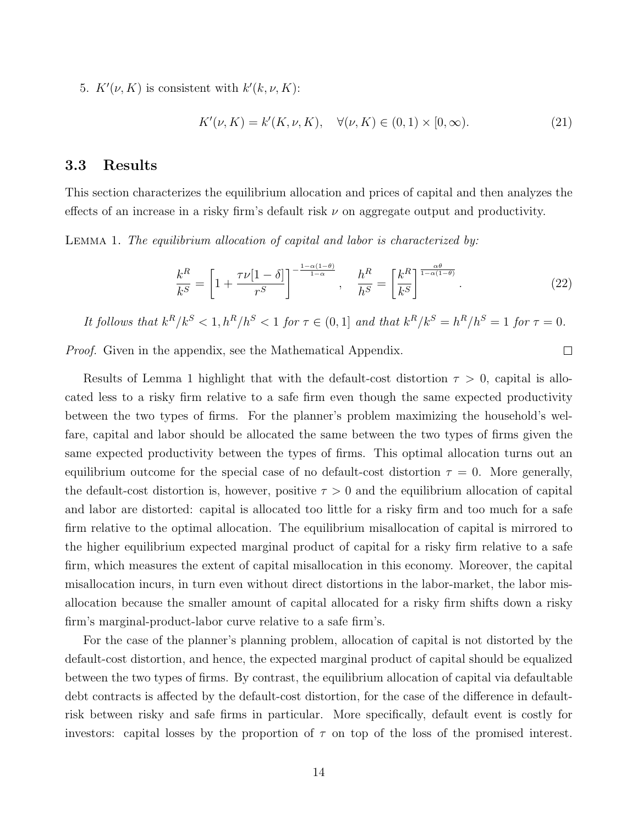5.  $K'(\nu, K)$  is consistent with  $k'(k, \nu, K)$ :

$$
K'(\nu, K) = k'(K, \nu, K), \quad \forall (\nu, K) \in (0, 1) \times [0, \infty).
$$
 (21)

#### 3.3 Results

This section characterizes the equilibrium allocation and prices of capital and then analyzes the effects of an increase in a risky firm's default risk  $\nu$  on aggregate output and productivity.

LEMMA 1. The equilibrium allocation of capital and labor is characterized by:

$$
\frac{k^R}{k^S} = \left[1 + \frac{\tau \nu [1 - \delta]}{r^S}\right]^{-\frac{1 - \alpha (1 - \theta)}{1 - \alpha}}, \quad \frac{h^R}{h^S} = \left[\frac{k^R}{k^S}\right]^{\frac{\alpha \theta}{1 - \alpha (1 - \theta)}}.\tag{22}
$$

 $\Box$ 

It follows that 
$$
k^R/k^S < 1
$$
,  $h^R/h^S < 1$  for  $\tau \in (0,1]$  and that  $k^R/k^S = h^R/h^S = 1$  for  $\tau = 0$ .

Proof. Given in the appendix, see the Mathematical Appendix.

Results of Lemma 1 highlight that with the default-cost distortion  $\tau > 0$ , capital is allocated less to a risky firm relative to a safe firm even though the same expected productivity between the two types of firms. For the planner's problem maximizing the household's welfare, capital and labor should be allocated the same between the two types of firms given the same expected productivity between the types of firms. This optimal allocation turns out an equilibrium outcome for the special case of no default-cost distortion  $\tau = 0$ . More generally, the default-cost distortion is, however, positive  $\tau > 0$  and the equilibrium allocation of capital and labor are distorted: capital is allocated too little for a risky firm and too much for a safe firm relative to the optimal allocation. The equilibrium misallocation of capital is mirrored to the higher equilibrium expected marginal product of capital for a risky firm relative to a safe firm, which measures the extent of capital misallocation in this economy. Moreover, the capital misallocation incurs, in turn even without direct distortions in the labor-market, the labor misallocation because the smaller amount of capital allocated for a risky firm shifts down a risky firm's marginal-product-labor curve relative to a safe firm's.

For the case of the planner's planning problem, allocation of capital is not distorted by the default-cost distortion, and hence, the expected marginal product of capital should be equalized between the two types of firms. By contrast, the equilibrium allocation of capital via defaultable debt contracts is affected by the default-cost distortion, for the case of the difference in defaultrisk between risky and safe firms in particular. More specifically, default event is costly for investors: capital losses by the proportion of  $\tau$  on top of the loss of the promised interest.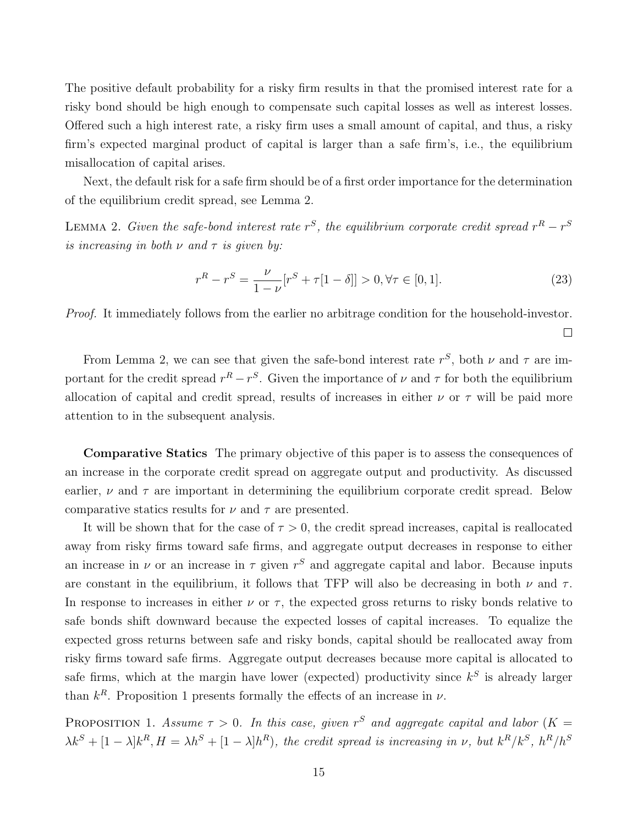The positive default probability for a risky firm results in that the promised interest rate for a risky bond should be high enough to compensate such capital losses as well as interest losses. Offered such a high interest rate, a risky firm uses a small amount of capital, and thus, a risky firm's expected marginal product of capital is larger than a safe firm's, i.e., the equilibrium misallocation of capital arises.

Next, the default risk for a safe firm should be of a first order importance for the determination of the equilibrium credit spread, see Lemma 2.

LEMMA 2. Given the safe-bond interest rate  $r^S$ , the equilibrium corporate credit spread  $r^R - r^S$ is increasing in both  $\nu$  and  $\tau$  is given by:

$$
r^{R} - r^{S} = \frac{\nu}{1 - \nu} [r^{S} + \tau [1 - \delta]] > 0, \forall \tau \in [0, 1].
$$
\n(23)

 $\Box$ 

Proof. It immediately follows from the earlier no arbitrage condition for the household-investor.

From Lemma 2, we can see that given the safe-bond interest rate  $r^S$ , both  $\nu$  and  $\tau$  are important for the credit spread  $r^R - r^S$ . Given the importance of  $\nu$  and  $\tau$  for both the equilibrium allocation of capital and credit spread, results of increases in either  $\nu$  or  $\tau$  will be paid more attention to in the subsequent analysis.

Comparative Statics The primary objective of this paper is to assess the consequences of an increase in the corporate credit spread on aggregate output and productivity. As discussed earlier,  $\nu$  and  $\tau$  are important in determining the equilibrium corporate credit spread. Below comparative statics results for  $\nu$  and  $\tau$  are presented.

It will be shown that for the case of  $\tau > 0$ , the credit spread increases, capital is reallocated away from risky firms toward safe firms, and aggregate output decreases in response to either an increase in  $\nu$  or an increase in  $\tau$  given  $r^S$  and aggregate capital and labor. Because inputs are constant in the equilibrium, it follows that TFP will also be decreasing in both  $\nu$  and  $\tau$ . In response to increases in either  $\nu$  or  $\tau$ , the expected gross returns to risky bonds relative to safe bonds shift downward because the expected losses of capital increases. To equalize the expected gross returns between safe and risky bonds, capital should be reallocated away from risky firms toward safe firms. Aggregate output decreases because more capital is allocated to safe firms, which at the margin have lower (expected) productivity since  $k^S$  is already larger than  $k^R$ . Proposition 1 presents formally the effects of an increase in  $\nu$ .

PROPOSITION 1. Assume  $\tau > 0$ . In this case, given r<sup>S</sup> and aggregate capital and labor (K =  $\lambda k^S + [1-\lambda]k^R$ ,  $H = \lambda h^S + [1-\lambda]h^R$ , the credit spread is increasing in v, but  $k^R/k^S$ ,  $h^R/h^S$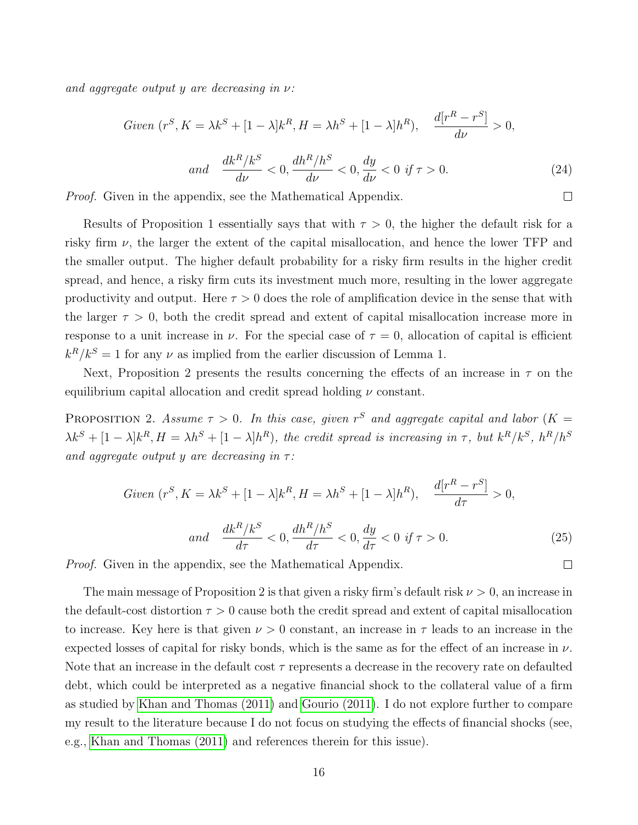and aggregate output y are decreasing in  $\nu$ :

$$
Given (rS, K = \lambda kS + [1 - \lambda]kR, H = \lambda hS + [1 - \lambda]hR), \frac{d[rR - rS]}{d\nu} > 0,
$$
  
and 
$$
\frac{dkR/kS}{d\nu} < 0, \frac{dhR/hS}{d\nu} < 0, \frac{dy}{d\nu} < 0 \text{ if } \tau > 0.
$$
 (24)

 $\Box$ 

 $\Box$ 

Proof. Given in the appendix, see the Mathematical Appendix.

Results of Proposition 1 essentially says that with  $\tau > 0$ , the higher the default risk for a risky firm  $\nu$ , the larger the extent of the capital misallocation, and hence the lower TFP and the smaller output. The higher default probability for a risky firm results in the higher credit spread, and hence, a risky firm cuts its investment much more, resulting in the lower aggregate productivity and output. Here  $\tau > 0$  does the role of amplification device in the sense that with the larger  $\tau > 0$ , both the credit spread and extent of capital misallocation increase more in response to a unit increase in  $\nu$ . For the special case of  $\tau = 0$ , allocation of capital is efficient  $k^R/k^S = 1$  for any  $\nu$  as implied from the earlier discussion of Lemma 1.

Next, Proposition 2 presents the results concerning the effects of an increase in  $\tau$  on the equilibrium capital allocation and credit spread holding  $\nu$  constant.

PROPOSITION 2. Assume  $\tau > 0$ . In this case, given r<sup>S</sup> and aggregate capital and labor (K =  $\lambda k^S + [1-\lambda]k^R$ ,  $H = \lambda h^S + [1-\lambda]h^R$ , the credit spread is increasing in  $\tau$ , but  $k^R/k^S$ ,  $h^R/h^S$ and aggregate output y are decreasing in  $\tau$ :

$$
Given (rS, K = \lambda kS + [1 - \lambda]kR, H = \lambda hS + [1 - \lambda]hR), \quad \frac{d[rR - rS]}{d\tau} > 0,
$$
  
and 
$$
\frac{dkR/kS}{d\tau} < 0, \frac{dhR/hS}{d\tau} < 0, \frac{dy}{d\tau} < 0 \text{ if } \tau > 0.
$$
 (25)

Proof. Given in the appendix, see the Mathematical Appendix.

The main message of Proposition 2 is that given a risky firm's default risk  $\nu > 0$ , an increase in the default-cost distortion  $\tau > 0$  cause both the credit spread and extent of capital misallocation to increase. Key here is that given  $\nu > 0$  constant, an increase in  $\tau$  leads to an increase in the expected losses of capital for risky bonds, which is the same as for the effect of an increase in  $\nu$ . Note that an increase in the default cost  $\tau$  represents a decrease in the recovery rate on defaulted debt, which could be interpreted as a negative financial shock to the collateral value of a firm as studied by [Khan and Thomas \(2011\)](#page-48-4) and [Gourio \(2011\)](#page-48-6). I do not explore further to compare my result to the literature because I do not focus on studying the effects of financial shocks (see, e.g., [Khan and Thomas \(2011\)](#page-48-4) and references therein for this issue).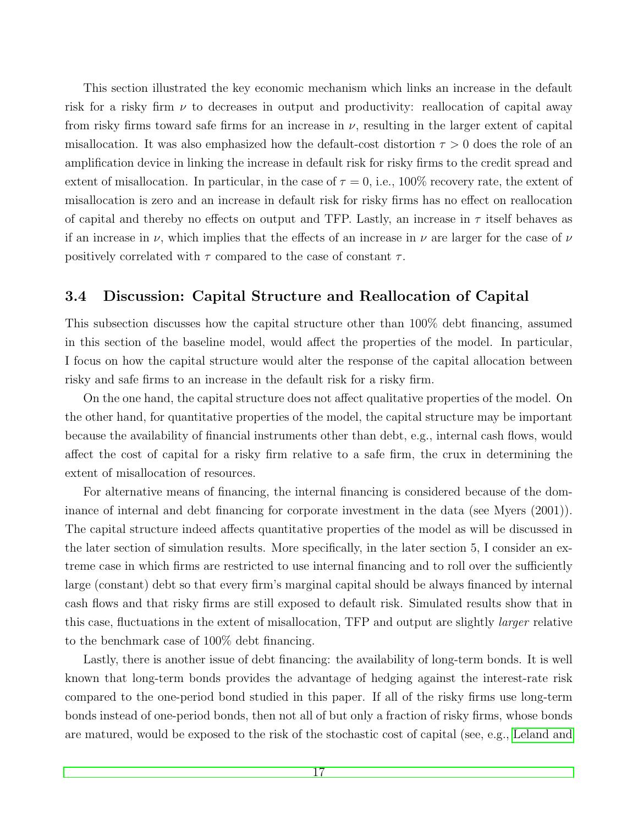This section illustrated the key economic mechanism which links an increase in the default risk for a risky firm  $\nu$  to decreases in output and productivity: reallocation of capital away from risky firms toward safe firms for an increase in  $\nu$ , resulting in the larger extent of capital misallocation. It was also emphasized how the default-cost distortion  $\tau > 0$  does the role of an amplification device in linking the increase in default risk for risky firms to the credit spread and extent of misallocation. In particular, in the case of  $\tau = 0$ , i.e., 100% recovery rate, the extent of misallocation is zero and an increase in default risk for risky firms has no effect on reallocation of capital and thereby no effects on output and TFP. Lastly, an increase in  $\tau$  itself behaves as if an increase in  $\nu$ , which implies that the effects of an increase in  $\nu$  are larger for the case of  $\nu$ positively correlated with  $\tau$  compared to the case of constant  $\tau$ .

#### 3.4 Discussion: Capital Structure and Reallocation of Capital

This subsection discusses how the capital structure other than 100% debt financing, assumed in this section of the baseline model, would affect the properties of the model. In particular, I focus on how the capital structure would alter the response of the capital allocation between risky and safe firms to an increase in the default risk for a risky firm.

On the one hand, the capital structure does not affect qualitative properties of the model. On the other hand, for quantitative properties of the model, the capital structure may be important because the availability of financial instruments other than debt, e.g., internal cash flows, would affect the cost of capital for a risky firm relative to a safe firm, the crux in determining the extent of misallocation of resources.

For alternative means of financing, the internal financing is considered because of the dominance of internal and debt financing for corporate investment in the data (see Myers (2001)). The capital structure indeed affects quantitative properties of the model as will be discussed in the later section of simulation results. More specifically, in the later section 5, I consider an extreme case in which firms are restricted to use internal financing and to roll over the sufficiently large (constant) debt so that every firm's marginal capital should be always financed by internal cash flows and that risky firms are still exposed to default risk. Simulated results show that in this case, fluctuations in the extent of misallocation, TFP and output are slightly larger relative to the benchmark case of 100% debt financing.

Lastly, there is another issue of debt financing: the availability of long-term bonds. It is well known that long-term bonds provides the advantage of hedging against the interest-rate risk compared to the one-period bond studied in this paper. If all of the risky firms use long-term bonds instead of one-period bonds, then not all of but only a fraction of risky firms, whose bonds are matured, would be exposed to the risk of the stochastic cost of capital (see, e.g., [Leland and](#page-48-8)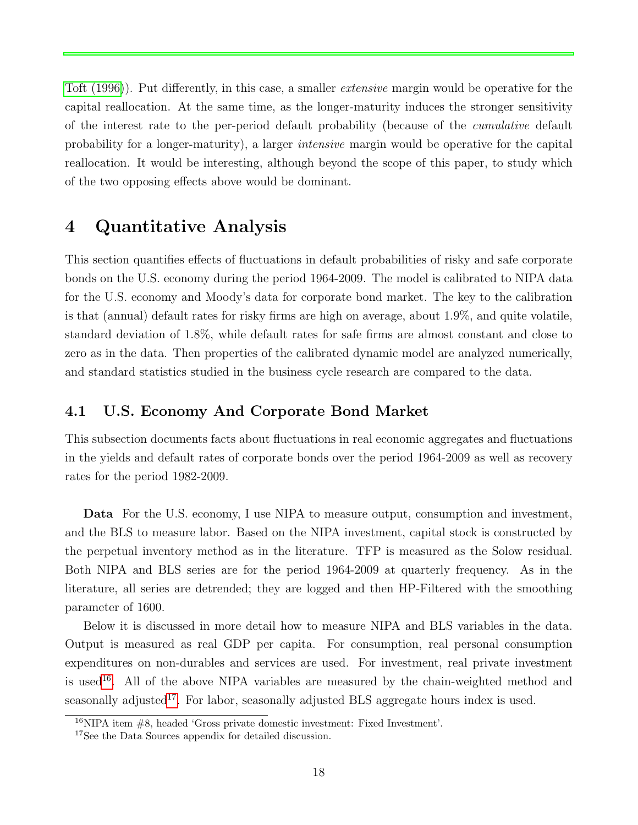[Toft \(1996\)](#page-48-8)). Put differently, in this case, a smaller extensive margin would be operative for the capital reallocation. At the same time, as the longer-maturity induces the stronger sensitivity of the interest rate to the per-period default probability (because of the cumulative default probability for a longer-maturity), a larger intensive margin would be operative for the capital reallocation. It would be interesting, although beyond the scope of this paper, to study which of the two opposing effects above would be dominant.

### 4 Quantitative Analysis

This section quantifies effects of fluctuations in default probabilities of risky and safe corporate bonds on the U.S. economy during the period 1964-2009. The model is calibrated to NIPA data for the U.S. economy and Moody's data for corporate bond market. The key to the calibration is that (annual) default rates for risky firms are high on average, about 1.9%, and quite volatile, standard deviation of 1.8%, while default rates for safe firms are almost constant and close to zero as in the data. Then properties of the calibrated dynamic model are analyzed numerically, and standard statistics studied in the business cycle research are compared to the data.

### 4.1 U.S. Economy And Corporate Bond Market

This subsection documents facts about fluctuations in real economic aggregates and fluctuations in the yields and default rates of corporate bonds over the period 1964-2009 as well as recovery rates for the period 1982-2009.

Data For the U.S. economy, I use NIPA to measure output, consumption and investment, and the BLS to measure labor. Based on the NIPA investment, capital stock is constructed by the perpetual inventory method as in the literature. TFP is measured as the Solow residual. Both NIPA and BLS series are for the period 1964-2009 at quarterly frequency. As in the literature, all series are detrended; they are logged and then HP-Filtered with the smoothing parameter of 1600.

Below it is discussed in more detail how to measure NIPA and BLS variables in the data. Output is measured as real GDP per capita. For consumption, real personal consumption expenditures on non-durables and services are used. For investment, real private investment is used<sup>[16](#page-18-0)</sup>. All of the above NIPA variables are measured by the chain-weighted method and seasonally adjusted<sup>[17](#page-18-1)</sup>. For labor, seasonally adjusted BLS aggregate hours index is used.

<span id="page-18-0"></span><sup>16</sup>NIPA item #8, headed 'Gross private domestic investment: Fixed Investment'.

<span id="page-18-1"></span><sup>17</sup>See the Data Sources appendix for detailed discussion.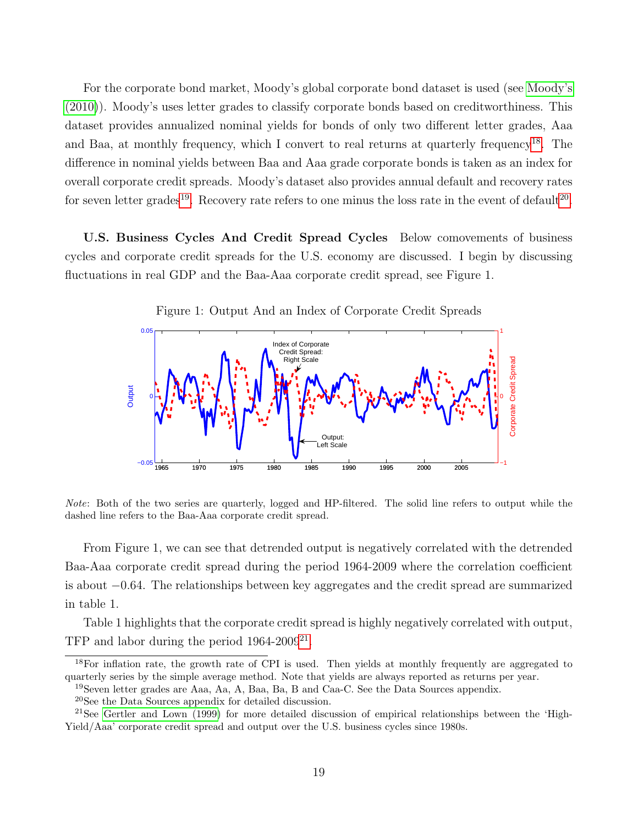For the corporate bond market, Moody's global corporate bond dataset is used (see [Moody's](#page-48-9) [\(2010\)](#page-48-9)). Moody's uses letter grades to classify corporate bonds based on creditworthiness. This dataset provides annualized nominal yields for bonds of only two different letter grades, Aaa and Baa, at monthly frequency, which I convert to real returns at quarterly frequency<sup>[18](#page-19-0)</sup>. The difference in nominal yields between Baa and Aaa grade corporate bonds is taken as an index for overall corporate credit spreads. Moody's dataset also provides annual default and recovery rates for seven letter grades<sup>[19](#page-19-1)</sup>. Recovery rate refers to one minus the loss rate in the event of default<sup>[20](#page-19-2)</sup>.

U.S. Business Cycles And Credit Spread Cycles Below comovements of business cycles and corporate credit spreads for the U.S. economy are discussed. I begin by discussing fluctuations in real GDP and the Baa-Aaa corporate credit spread, see Figure 1.



Figure 1: Output And an Index of Corporate Credit Spreads

Note: Both of the two series are quarterly, logged and HP-filtered. The solid line refers to output while the dashed line refers to the Baa-Aaa corporate credit spread.

From Figure 1, we can see that detrended output is negatively correlated with the detrended Baa-Aaa corporate credit spread during the period 1964-2009 where the correlation coefficient is about −0.64. The relationships between key aggregates and the credit spread are summarized in table 1.

Table 1 highlights that the corporate credit spread is highly negatively correlated with output, TFP and labor during the period  $1964-2009^{21}$  $1964-2009^{21}$  $1964-2009^{21}$ .

<span id="page-19-0"></span> $18$ For inflation rate, the growth rate of CPI is used. Then yields at monthly frequently are aggregated to quarterly series by the simple average method. Note that yields are always reported as returns per year.

<span id="page-19-1"></span><sup>19</sup>Seven letter grades are Aaa, Aa, A, Baa, Ba, B and Caa-C. See the Data Sources appendix.

<span id="page-19-3"></span><span id="page-19-2"></span><sup>20</sup>See the Data Sources appendix for detailed discussion.

<sup>&</sup>lt;sup>21</sup>See [Gertler and Lown \(1999\)](#page-47-0) for more detailed discussion of empirical relationships between the 'High-Yield/Aaa' corporate credit spread and output over the U.S. business cycles since 1980s.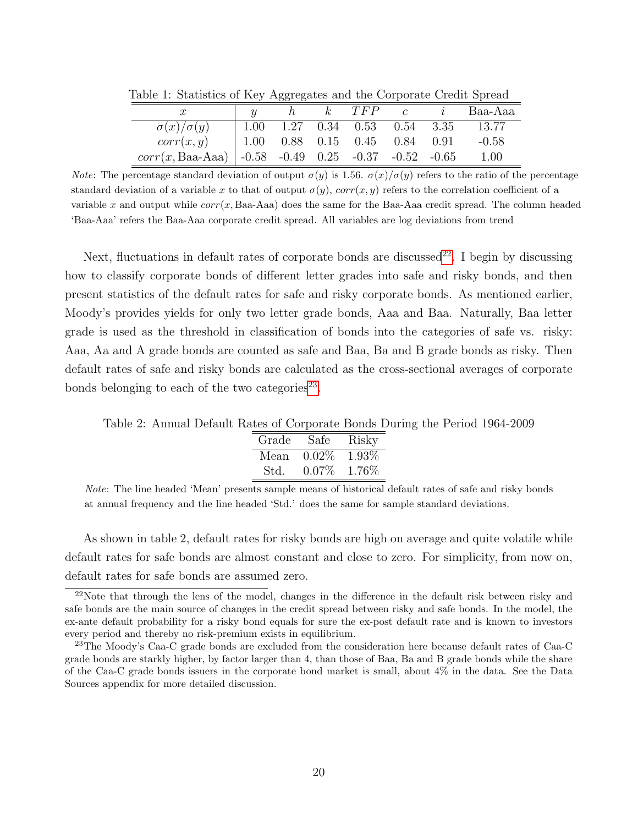| able 1. Dialistics of tycy Aggregates and the Corporate Credit Spread |  |  |  |                                           |  |  |                               |  |
|-----------------------------------------------------------------------|--|--|--|-------------------------------------------|--|--|-------------------------------|--|
|                                                                       |  |  |  |                                           |  |  | $h$ $k$ $TFP$ $c$ $i$ Baa-Aaa |  |
| $\sigma(x)/\sigma(y)$                                                 |  |  |  | $1.00$ $1.27$ $0.34$ $0.53$ $0.54$ $3.35$ |  |  | 13.77                         |  |
| corr(x, y)                                                            |  |  |  | $1.00$ $0.88$ $0.15$ $0.45$ $0.84$ $0.91$ |  |  | $-0.58$                       |  |
| $corr(x, Baa-Aaa)$ -0.58 -0.49 0.25 -0.37 -0.52 -0.65                 |  |  |  |                                           |  |  | 1.00                          |  |

Table 1: Statistics of Key Aggregates and the Corporate Credit Spread

*Note:* The percentage standard deviation of output  $\sigma(y)$  is 1.56.  $\sigma(x)/\sigma(y)$  refers to the ratio of the percentage standard deviation of a variable x to that of output  $\sigma(y)$ ,  $corr(x, y)$  refers to the correlation coefficient of a variable x and output while  $corr(x, Baa-Aaa)$  does the same for the Baa-Aaa credit spread. The column headed 'Baa-Aaa' refers the Baa-Aaa corporate credit spread. All variables are log deviations from trend

Next, fluctuations in default rates of corporate bonds are discussed<sup>[22](#page-20-0)</sup>. I begin by discussing how to classify corporate bonds of different letter grades into safe and risky bonds, and then present statistics of the default rates for safe and risky corporate bonds. As mentioned earlier, Moody's provides yields for only two letter grade bonds, Aaa and Baa. Naturally, Baa letter grade is used as the threshold in classification of bonds into the categories of safe vs. risky: Aaa, Aa and A grade bonds are counted as safe and Baa, Ba and B grade bonds as risky. Then default rates of safe and risky bonds are calculated as the cross-sectional averages of corporate bonds belonging to each of the two categories<sup>[23](#page-20-1)</sup>.

Table 2: Annual Default Rates of Corporate Bonds During the Period 1964-2009

| Grade | Safe  | Risky |
|-------|-------|-------|
| Mean  | 0.02% | 1.93% |
| Std.  | 0.07% | 1.76% |
|       |       |       |

Note: The line headed 'Mean' presents sample means of historical default rates of safe and risky bonds at annual frequency and the line headed 'Std.' does the same for sample standard deviations.

As shown in table 2, default rates for risky bonds are high on average and quite volatile while default rates for safe bonds are almost constant and close to zero. For simplicity, from now on, default rates for safe bonds are assumed zero.

<span id="page-20-0"></span> $22$ Note that through the lens of the model, changes in the difference in the default risk between risky and safe bonds are the main source of changes in the credit spread between risky and safe bonds. In the model, the ex-ante default probability for a risky bond equals for sure the ex-post default rate and is known to investors every period and thereby no risk-premium exists in equilibrium.

<span id="page-20-1"></span><sup>&</sup>lt;sup>23</sup>The Moody's Caa-C grade bonds are excluded from the consideration here because default rates of Caa-C grade bonds are starkly higher, by factor larger than 4, than those of Baa, Ba and B grade bonds while the share of the Caa-C grade bonds issuers in the corporate bond market is small, about 4% in the data. See the Data Sources appendix for more detailed discussion.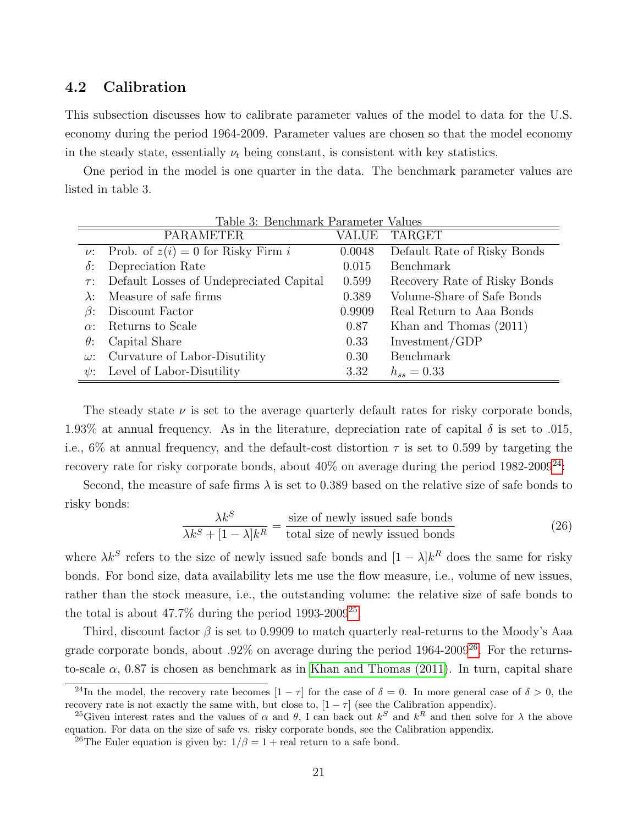#### 4.2 Calibration

This subsection discusses how to calibrate parameter values of the model to data for the U.S. economy during the period 1964-2009. Parameter values are chosen so that the model economy in the steady state, essentially  $\nu_t$  being constant, is consistent with key statistics.

One period in the model is one quarter in the data. The benchmark parameter values are listed in table 3.

|             | Table 3: Benchmark Parameter Values          |        |                              |
|-------------|----------------------------------------------|--------|------------------------------|
|             | <b>PARAMETER</b>                             | VALUE  | <b>TARGET</b>                |
|             | $\nu$ : Prob. of $z(i) = 0$ for Risky Firm i | 0.0048 | Default Rate of Risky Bonds  |
| $\delta$ :  | Depreciation Rate                            | 0.015  | <b>Benchmark</b>             |
| $\tau$ :    | Default Losses of Undepreciated Capital      | 0.599  | Recovery Rate of Risky Bonds |
| $\lambda$ : | Measure of safe firms                        | 0.389  | Volume-Share of Safe Bonds   |
| $\beta$ :   | Discount Factor                              | 0.9909 | Real Return to Aaa Bonds     |
| $\alpha$ :  | Returns to Scale                             | 0.87   | Khan and Thomas $(2011)$     |
| $\theta$ :  | Capital Share                                | 0.33   | Investment/GDP               |
| $\omega$ :  | Curvature of Labor-Disutility                | 0.30   | Benchmark                    |
| $\psi$ :    | Level of Labor-Disutility                    | 3.32   | $h_{ss} = 0.33$              |

The steady state  $\nu$  is set to the average quarterly default rates for risky corporate bonds, 1.93% at annual frequency. As in the literature, depreciation rate of capital  $\delta$  is set to .015, i.e.,  $6\%$  at annual frequency, and the default-cost distortion  $\tau$  is set to 0.599 by targeting the recovery rate for risky corporate bonds, about  $40\%$  on average during the period  $1982-2009^{24}$  $1982-2009^{24}$  $1982-2009^{24}$ :

Second, the measure of safe firms  $\lambda$  is set to 0.389 based on the relative size of safe bonds to risky bonds:

$$
\frac{\lambda k^S}{\lambda k^S + [1 - \lambda]k^R} = \frac{\text{size of newly issued safe bonds}}{\text{total size of newly issued bonds}}\tag{26}
$$

where  $\lambda k^S$  refers to the size of newly issued safe bonds and  $[1 - \lambda]k^R$  does the same for risky bonds. For bond size, data availability lets me use the flow measure, i.e., volume of new issues, rather than the stock measure, i.e., the outstanding volume: the relative size of safe bonds to the total is about  $47.7\%$  during the period  $1993$ - $2009^{25}$  $2009^{25}$  $2009^{25}$ .

Third, discount factor  $\beta$  is set to 0.9909 to match quarterly real-returns to the Moody's Aaa grade corporate bonds, about .92% on average during the period 1964-2009[26](#page-21-2). For the returnsto-scale  $\alpha$ , 0.87 is chosen as benchmark as in [Khan and Thomas \(2011\)](#page-48-4). In turn, capital share

<span id="page-21-0"></span><sup>&</sup>lt;sup>24</sup>In the model, the recovery rate becomes  $[1 - \tau]$  for the case of  $\delta = 0$ . In more general case of  $\delta > 0$ , the recovery rate is not exactly the same with, but close to,  $[1 - \tau]$  (see the Calibration appendix).

<span id="page-21-1"></span><sup>&</sup>lt;sup>25</sup>Given interest rates and the values of  $\alpha$  and  $\theta$ , I can back out  $k^S$  and  $k^R$  and then solve for  $\lambda$  the above equation. For data on the size of safe vs. risky corporate bonds, see the Calibration appendix.

<span id="page-21-2"></span><sup>&</sup>lt;sup>26</sup>The Euler equation is given by:  $1/\beta = 1 +$  real return to a safe bond.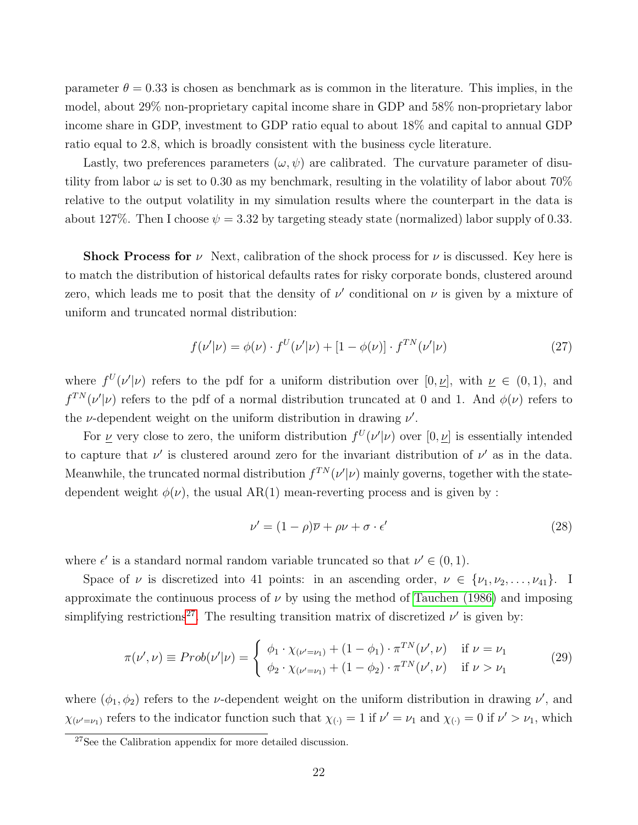parameter  $\theta = 0.33$  is chosen as benchmark as is common in the literature. This implies, in the model, about 29% non-proprietary capital income share in GDP and 58% non-proprietary labor income share in GDP, investment to GDP ratio equal to about 18% and capital to annual GDP ratio equal to 2.8, which is broadly consistent with the business cycle literature.

Lastly, two preferences parameters  $(\omega, \psi)$  are calibrated. The curvature parameter of disutility from labor  $\omega$  is set to 0.30 as my benchmark, resulting in the volatility of labor about 70% relative to the output volatility in my simulation results where the counterpart in the data is about 127%. Then I choose  $\psi = 3.32$  by targeting steady state (normalized) labor supply of 0.33.

**Shock Process for**  $\nu$  Next, calibration of the shock process for  $\nu$  is discussed. Key here is to match the distribution of historical defaults rates for risky corporate bonds, clustered around zero, which leads me to posit that the density of  $\nu'$  conditional on  $\nu$  is given by a mixture of uniform and truncated normal distribution:

$$
f(\nu'|\nu) = \phi(\nu) \cdot f^{U}(\nu'|\nu) + [1 - \phi(\nu)] \cdot f^{TN}(\nu'|\nu)
$$
\n(27)

where  $f^{U}(\nu'|\nu)$  refers to the pdf for a uniform distribution over  $[0, \nu]$ , with  $\nu \in (0, 1)$ , and  $f^{TN}(\nu|\nu)$  refers to the pdf of a normal distribution truncated at 0 and 1. And  $\phi(\nu)$  refers to the  $\nu$ -dependent weight on the uniform distribution in drawing  $\nu'$ .

For  $\nu$  very close to zero, the uniform distribution  $f^U(\nu|\nu)$  over  $[0, \nu]$  is essentially intended to capture that  $\nu'$  is clustered around zero for the invariant distribution of  $\nu'$  as in the data. Meanwhile, the truncated normal distribution  $f^{TN}(\nu'|\nu)$  mainly governs, together with the statedependent weight  $\phi(\nu)$ , the usual AR(1) mean-reverting process and is given by :

$$
\nu' = (1 - \rho)\overline{\nu} + \rho\nu + \sigma \cdot \epsilon'
$$
\n(28)

where  $\epsilon'$  is a standard normal random variable truncated so that  $\nu' \in (0,1)$ .

Space of  $\nu$  is discretized into 41 points: in an ascending order,  $\nu \in {\nu_1, \nu_2, ..., \nu_{41}}$ . I approximate the continuous process of  $\nu$  by using the method of [Tauchen \(1986\)](#page-48-10) and imposing simplifying restrictions<sup>[27](#page-22-0)</sup>. The resulting transition matrix of discretized  $\nu'$  is given by:

$$
\pi(\nu', \nu) \equiv Prob(\nu'|\nu) = \begin{cases} \phi_1 \cdot \chi_{(\nu'=\nu_1)} + (1 - \phi_1) \cdot \pi^{TN}(\nu', \nu) & \text{if } \nu = \nu_1 \\ \phi_2 \cdot \chi_{(\nu'=\nu_1)} + (1 - \phi_2) \cdot \pi^{TN}(\nu', \nu) & \text{if } \nu > \nu_1 \end{cases}
$$
(29)

where  $(\phi_1, \phi_2)$  refers to the *ν*-dependent weight on the uniform distribution in drawing  $\nu'$ , and  $\chi_{(\nu'=\nu_1)}$  refers to the indicator function such that  $\chi_{(\cdot)} = 1$  if  $\nu' = \nu_1$  and  $\chi_{(\cdot)} = 0$  if  $\nu' > \nu_1$ , which

<span id="page-22-0"></span><sup>&</sup>lt;sup>27</sup>See the Calibration appendix for more detailed discussion.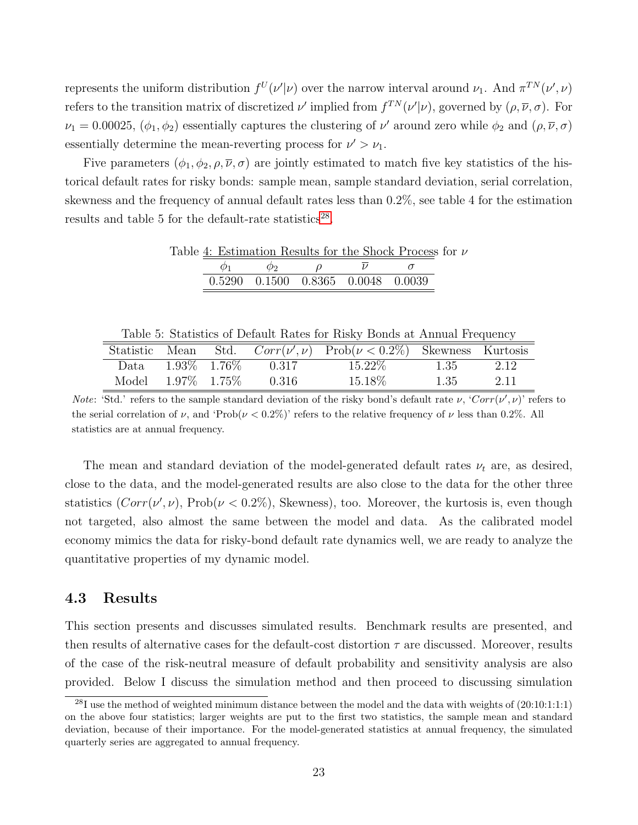represents the uniform distribution  $f^U(\nu'|\nu)$  over the narrow interval around  $\nu_1$ . And  $\pi^{TN}(\nu',\nu)$ refers to the transition matrix of discretized  $\nu'$  implied from  $f^{TN}(\nu'|\nu)$ , governed by  $(\rho, \overline{\nu}, \sigma)$ . For  $\nu_1 = 0.00025, (\phi_1, \phi_2)$  essentially captures the clustering of  $\nu'$  around zero while  $\phi_2$  and  $(\rho, \overline{\nu}, \sigma)$ essentially determine the mean-reverting process for  $\nu' > \nu_1$ .

Five parameters  $(\phi_1, \phi_2, \rho, \overline{\nu}, \sigma)$  are jointly estimated to match five key statistics of the historical default rates for risky bonds: sample mean, sample standard deviation, serial correlation, skewness and the frequency of annual default rates less than 0.2%, see table 4 for the estimation results and table 5 for the default-rate statistics<sup>[28](#page-23-0)</sup>.

|                 |                    | Table 4: Estimation Results for the Shock Process for $\nu$ |  |  |
|-----------------|--------------------|-------------------------------------------------------------|--|--|
| $\mathcal{D}_1$ | $\varphi_2$ $\rho$ | $\nu$                                                       |  |  |
|                 |                    | 0.5290 0.1500 0.8365 0.0048 0.0039                          |  |  |

Table 5: Statistics of Default Rates for Risky Bonds at Annual Frequency

| Statistic Mean |                   |                              | Std. $Corr(\nu', \nu)$ Prob $(\nu < 0.2\%)$ Skewness Kurtosis |      |      |
|----------------|-------------------|------------------------------|---------------------------------------------------------------|------|------|
|                |                   | Data $1.93\%$ $1.76\%$ 0.317 | 15.22\%                                                       | 1.35 | 2.12 |
| Model          | $1.97\%$ $1.75\%$ | 0.316                        | 15.18\%                                                       | 1.35 | 2.11 |

*Note*: 'Std.' refers to the sample standard deviation of the risky bond's default rate  $\nu$ , 'Corr( $\nu'$ , $\nu$ )' refers to the serial correlation of  $\nu$ , and 'Prob( $\nu < 0.2\%$ )' refers to the relative frequency of  $\nu$  less than 0.2%. All statistics are at annual frequency.

The mean and standard deviation of the model-generated default rates  $\nu_t$  are, as desired, close to the data, and the model-generated results are also close to the data for the other three statistics  $(Corr(\nu', \nu), Prob(\nu < 0.2\%)$ , Skewness), too. Moreover, the kurtosis is, even though not targeted, also almost the same between the model and data. As the calibrated model economy mimics the data for risky-bond default rate dynamics well, we are ready to analyze the quantitative properties of my dynamic model.

#### 4.3 Results

This section presents and discusses simulated results. Benchmark results are presented, and then results of alternative cases for the default-cost distortion  $\tau$  are discussed. Moreover, results of the case of the risk-neutral measure of default probability and sensitivity analysis are also provided. Below I discuss the simulation method and then proceed to discussing simulation

<span id="page-23-0"></span> $^{28}I$  use the method of weighted minimum distance between the model and the data with weights of  $(20:10:1:1:1)$ on the above four statistics; larger weights are put to the first two statistics, the sample mean and standard deviation, because of their importance. For the model-generated statistics at annual frequency, the simulated quarterly series are aggregated to annual frequency.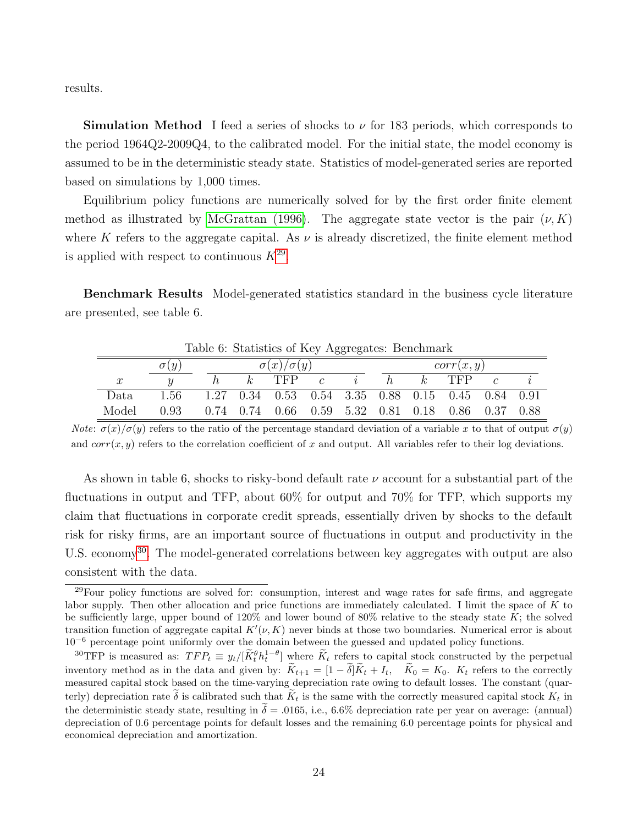results.

**Simulation Method** I feed a series of shocks to  $\nu$  for 183 periods, which corresponds to the period 1964Q2-2009Q4, to the calibrated model. For the initial state, the model economy is assumed to be in the deterministic steady state. Statistics of model-generated series are reported based on simulations by 1,000 times.

Equilibrium policy functions are numerically solved for by the first order finite element method as illustrated by [McGrattan \(1996\)](#page-48-11). The aggregate state vector is the pair  $(\nu, K)$ where K refers to the aggregate capital. As  $\nu$  is already discretized, the finite element method is applied with respect to continuous  $K^{29}$  $K^{29}$  $K^{29}$ .

Benchmark Results Model-generated statistics standard in the business cycle literature are presented, see table 6.

|                  | Table 6: Statistics of Key Aggregates: Benchmark |  |                       |         |                |         |   |   |                                                   |               |  |
|------------------|--------------------------------------------------|--|-----------------------|---------|----------------|---------|---|---|---------------------------------------------------|---------------|--|
|                  | $\sigma(y)$                                      |  | $\sigma(x)/\sigma(y)$ |         |                |         |   |   | corr(x, y)                                        |               |  |
| $\boldsymbol{x}$ |                                                  |  |                       | $k$ TFP | $\overline{c}$ | $\iota$ | h | k | <b>TFP</b>                                        | $\mathcal{C}$ |  |
| Data             | 1.56                                             |  |                       |         |                |         |   |   | 1.27 0.34 0.53 0.54 3.35 0.88 0.15 0.45 0.84 0.91 |               |  |
| Model            | 0.93                                             |  |                       |         |                |         |   |   | 0.74 0.74 0.66 0.59 5.32 0.81 0.18 0.86 0.37 0.88 |               |  |

 $Table 6: Statistical of  $K_2$$ 

Note:  $\sigma(x)/\sigma(y)$  refers to the ratio of the percentage standard deviation of a variable x to that of output  $\sigma(y)$ and  $corr(x, y)$  refers to the correlation coefficient of x and output. All variables refer to their log deviations.

As shown in table 6, shocks to risky-bond default rate  $\nu$  account for a substantial part of the fluctuations in output and TFP, about 60% for output and 70% for TFP, which supports my claim that fluctuations in corporate credit spreads, essentially driven by shocks to the default risk for risky firms, are an important source of fluctuations in output and productivity in the U.S. economy<sup>[30](#page-24-1)</sup>. The model-generated correlations between key aggregates with output are also consistent with the data.

<span id="page-24-0"></span><sup>&</sup>lt;sup>29</sup>Four policy functions are solved for: consumption, interest and wage rates for safe firms, and aggregate labor supply. Then other allocation and price functions are immediately calculated. I limit the space of K to be sufficiently large, upper bound of  $120\%$  and lower bound of  $80\%$  relative to the steady state K; the solved transition function of aggregate capital  $K'(\nu, K)$  never binds at those two boundaries. Numerical error is about  $10^{-6}$  percentage point uniformly over the domain between the guessed and updated policy functions.

<span id="page-24-1"></span><sup>&</sup>lt;sup>30</sup>TFP is measured as:  $TFP_t \equiv y_t/[\widetilde{K}_t^{\theta} h_t^{1-\theta}]$  where  $\widetilde{K}_t$  refers to capital stock constructed by the perpetual inventory method as in the data and given by:  $\widetilde{K}_{t+1} = [1 - \widetilde{\delta}]\widetilde{K}_t + I_t$ ,  $\widetilde{K}_0 = K_0$ .  $K_t$  refers to the correctly measured capital stock based on the time-varying depreciation rate owing to default losses. The constant (quarterly) depreciation rate  $\delta$  is calibrated such that  $K_t$  is the same with the correctly measured capital stock  $K_t$  in the deterministic steady state, resulting in  $\tilde{\delta} = .0165$ , i.e., 6.6% depreciation rate per year on average: (annual) depreciation of 0.6 percentage points for default losses and the remaining 6.0 percentage points for physical and economical depreciation and amortization.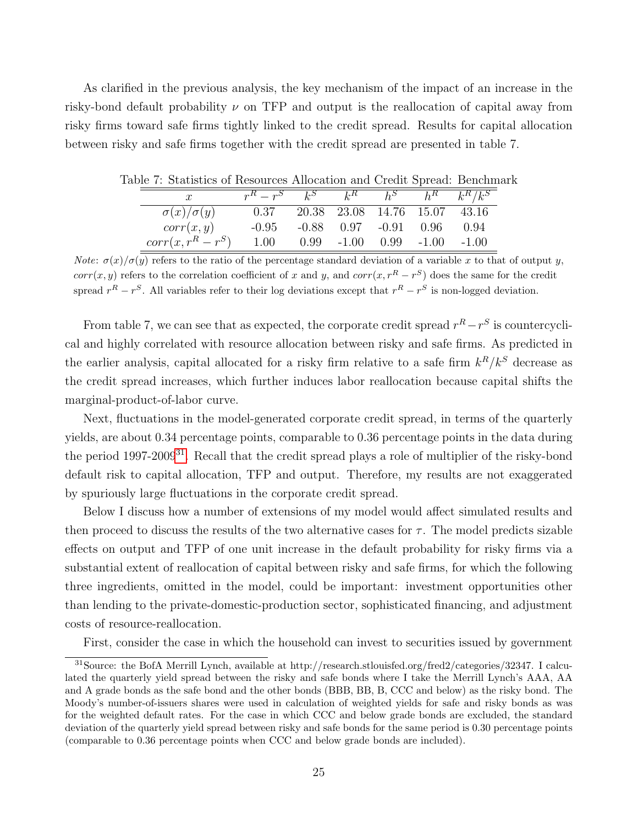As clarified in the previous analysis, the key mechanism of the impact of an increase in the risky-bond default probability  $\nu$  on TFP and output is the reallocation of capital away from risky firms toward safe firms tightly linked to the credit spread. Results for capital allocation between risky and safe firms together with the credit spread are presented in table 7.

| able T. Statistics of Resources Anocation and Credit Spread. Deficilina |                                               |  |                                      |  |
|-------------------------------------------------------------------------|-----------------------------------------------|--|--------------------------------------|--|
|                                                                         | $r^R - r^S$ $k^S$ $k^R$ $h^S$ $h^R$ $k^R/k^S$ |  |                                      |  |
| $\sigma(x)/\sigma(y)$                                                   | 0.37                                          |  | 20.38 23.08 14.76 15.07 43.16        |  |
| corr(x, y)                                                              | $-0.95$                                       |  | $-0.88$ $0.97$ $-0.91$ $0.96$ $0.94$ |  |
| $corr(x, r^R - r^S)$                                                    | 1.00                                          |  | $0.99 -1.00$ $0.99 -1.00$ $-1.00$    |  |

Table 7: Statistics of Resources Allocation and Credit Spread: Benchmark

*Note:*  $\sigma(x)/\sigma(y)$  refers to the ratio of the percentage standard deviation of a variable x to that of output y,  $corr(x, y)$  refers to the correlation coefficient of x and y, and  $corr(x, r^R - r^S)$  does the same for the credit spread  $r^R - r^S$ . All variables refer to their log deviations except that  $r^R - r^S$  is non-logged deviation.

From table 7, we can see that as expected, the corporate credit spread  $r^R - r^S$  is countercyclical and highly correlated with resource allocation between risky and safe firms. As predicted in the earlier analysis, capital allocated for a risky firm relative to a safe firm  $k^R/k^S$  decrease as the credit spread increases, which further induces labor reallocation because capital shifts the marginal-product-of-labor curve.

Next, fluctuations in the model-generated corporate credit spread, in terms of the quarterly yields, are about 0.34 percentage points, comparable to 0.36 percentage points in the data during the period 1997-2009[31](#page-25-0). Recall that the credit spread plays a role of multiplier of the risky-bond default risk to capital allocation, TFP and output. Therefore, my results are not exaggerated by spuriously large fluctuations in the corporate credit spread.

Below I discuss how a number of extensions of my model would affect simulated results and then proceed to discuss the results of the two alternative cases for  $\tau$ . The model predicts sizable effects on output and TFP of one unit increase in the default probability for risky firms via a substantial extent of reallocation of capital between risky and safe firms, for which the following three ingredients, omitted in the model, could be important: investment opportunities other than lending to the private-domestic-production sector, sophisticated financing, and adjustment costs of resource-reallocation.

<span id="page-25-0"></span>First, consider the case in which the household can invest to securities issued by government

<sup>31</sup>Source: the BofA Merrill Lynch, available at http://research.stlouisfed.org/fred2/categories/32347. I calculated the quarterly yield spread between the risky and safe bonds where I take the Merrill Lynch's AAA, AA and A grade bonds as the safe bond and the other bonds (BBB, BB, B, CCC and below) as the risky bond. The Moody's number-of-issuers shares were used in calculation of weighted yields for safe and risky bonds as was for the weighted default rates. For the case in which CCC and below grade bonds are excluded, the standard deviation of the quarterly yield spread between risky and safe bonds for the same period is 0.30 percentage points (comparable to 0.36 percentage points when CCC and below grade bonds are included).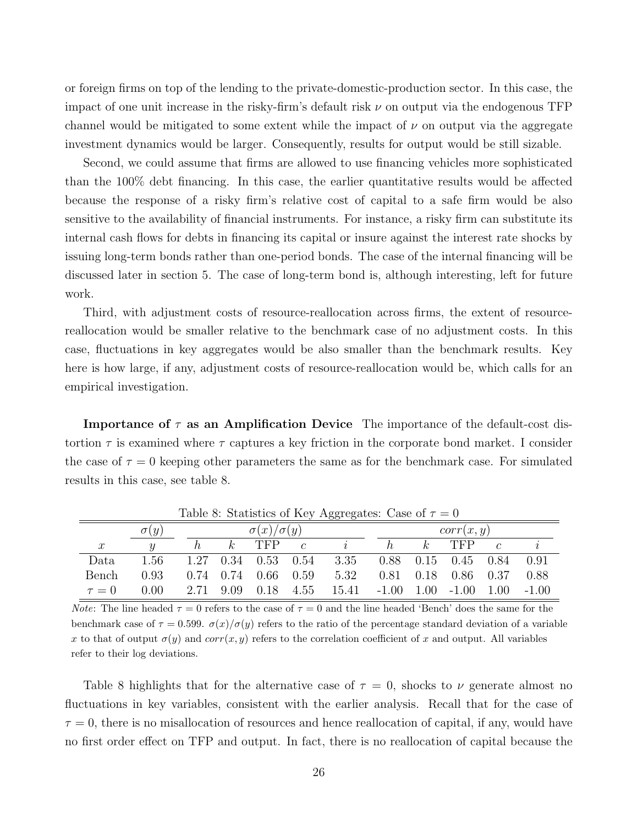or foreign firms on top of the lending to the private-domestic-production sector. In this case, the impact of one unit increase in the risky-firm's default risk  $\nu$  on output via the endogenous TFP channel would be mitigated to some extent while the impact of  $\nu$  on output via the aggregate investment dynamics would be larger. Consequently, results for output would be still sizable.

Second, we could assume that firms are allowed to use financing vehicles more sophisticated than the 100% debt financing. In this case, the earlier quantitative results would be affected because the response of a risky firm's relative cost of capital to a safe firm would be also sensitive to the availability of financial instruments. For instance, a risky firm can substitute its internal cash flows for debts in financing its capital or insure against the interest rate shocks by issuing long-term bonds rather than one-period bonds. The case of the internal financing will be discussed later in section 5. The case of long-term bond is, although interesting, left for future work.

Third, with adjustment costs of resource-reallocation across firms, the extent of resourcereallocation would be smaller relative to the benchmark case of no adjustment costs. In this case, fluctuations in key aggregates would be also smaller than the benchmark results. Key here is how large, if any, adjustment costs of resource-reallocation would be, which calls for an empirical investigation.

**Importance of**  $\tau$  **as an Amplification Device** The importance of the default-cost distortion  $\tau$  is examined where  $\tau$  captures a key friction in the corporate bond market. I consider the case of  $\tau = 0$  keeping other parameters the same as for the benchmark case. For simulated results in this case, see table 8.

|               | $\sigma(y)$ |  | $\sigma(x)/\sigma(y)$ |                       |                | corr(x, y)                                   |                               |                |                             |               |         |
|---------------|-------------|--|-----------------------|-----------------------|----------------|----------------------------------------------|-------------------------------|----------------|-----------------------------|---------------|---------|
| $\mathcal{X}$ |             |  | $\kappa$              | TFP                   | $\overline{c}$ |                                              | h.                            | k <sub>i</sub> | TFP                         | $\mathcal{C}$ |         |
| Data          | 1.56        |  |                       |                       |                | 1.27 0.34 0.53 0.54 3.35 0.88 0.15 0.45 0.84 |                               |                |                             |               | 0.91    |
| Bench         | 0.93        |  |                       | $0.74$ 0.74 0.66 0.59 |                | 5.32                                         |                               |                | $0.81$ $0.18$ $0.86$ $0.37$ |               | 0.88    |
| $\tau = 0$    | 0.00        |  |                       | 2.71 9.09 0.18 4.55   |                | 15.41                                        | $-1.00$ $1.00$ $-1.00$ $1.00$ |                |                             |               | $-1.00$ |

Table 8: Statistics of Key Aggregates: Case of  $\tau = 0$ 

*Note*: The line headed  $\tau = 0$  refers to the case of  $\tau = 0$  and the line headed 'Bench' does the same for the benchmark case of  $\tau = 0.599$ .  $\sigma(x)/\sigma(y)$  refers to the ratio of the percentage standard deviation of a variable x to that of output  $\sigma(y)$  and corr(x, y) refers to the correlation coefficient of x and output. All variables refer to their log deviations.

Table 8 highlights that for the alternative case of  $\tau = 0$ , shocks to  $\nu$  generate almost no fluctuations in key variables, consistent with the earlier analysis. Recall that for the case of  $\tau = 0$ , there is no misallocation of resources and hence reallocation of capital, if any, would have no first order effect on TFP and output. In fact, there is no reallocation of capital because the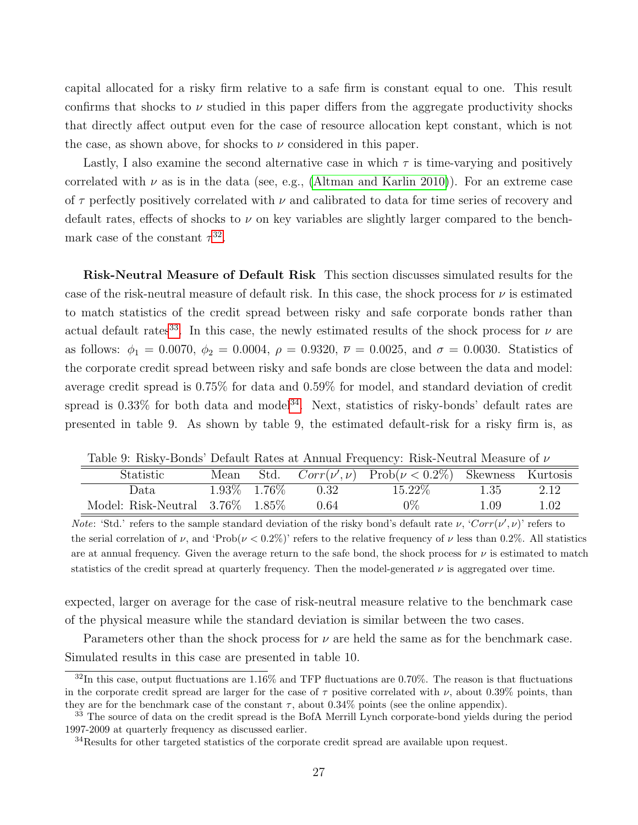capital allocated for a risky firm relative to a safe firm is constant equal to one. This result confirms that shocks to  $\nu$  studied in this paper differs from the aggregate productivity shocks that directly affect output even for the case of resource allocation kept constant, which is not the case, as shown above, for shocks to  $\nu$  considered in this paper.

Lastly, I also examine the second alternative case in which  $\tau$  is time-varying and positively correlated with  $\nu$  as is in the data (see, e.g., [\(Altman and Karlin 2010\)](#page-47-10)). For an extreme case of  $\tau$  perfectly positively correlated with  $\nu$  and calibrated to data for time series of recovery and default rates, effects of shocks to  $\nu$  on key variables are slightly larger compared to the benchmark case of the constant  $\tau^{32}$  $\tau^{32}$  $\tau^{32}$ .

Risk-Neutral Measure of Default Risk This section discusses simulated results for the case of the risk-neutral measure of default risk. In this case, the shock process for  $\nu$  is estimated to match statistics of the credit spread between risky and safe corporate bonds rather than actual default rates<sup>[33](#page-27-1)</sup>. In this case, the newly estimated results of the shock process for  $\nu$  are as follows:  $\phi_1 = 0.0070, \phi_2 = 0.0004, \rho = 0.9320, \bar{\nu} = 0.0025, \text{ and } \sigma = 0.0030.$  Statistics of the corporate credit spread between risky and safe bonds are close between the data and model: average credit spread is 0.75% for data and 0.59% for model, and standard deviation of credit spread is  $0.33\%$  for both data and model<sup>[34](#page-27-2)</sup>. Next, statistics of risky-bonds' default rates are presented in table 9. As shown by table 9, the estimated default-risk for a risky firm is, as

|                                       |      | Table 0. Table, Donald Delatio Rates at Thingai Frequency. Table Frequencie Measure of t |      |                                                               |      |      |  |  |
|---------------------------------------|------|------------------------------------------------------------------------------------------|------|---------------------------------------------------------------|------|------|--|--|
| Statistic                             | Mean |                                                                                          |      | Std. $Corr(\nu', \nu)$ Prob $(\nu < 0.2\%)$ Skewness Kurtosis |      |      |  |  |
| Data                                  |      | $1.93\%$ $1.76\%$                                                                        | 0.32 | 15.22\%                                                       | 1.35 | 2.12 |  |  |
| Model: Risk-Neutral $3.76\%$ $1.85\%$ |      |                                                                                          | 0.64 | $0\%$                                                         | 1.09 | 1.02 |  |  |

Table 9: Risky-Bonds' Default Rates at Annual Frequency: Risk-Neutral Measure of ν

Note: 'Std.' refers to the sample standard deviation of the risky bond's default rate  $\nu$ , 'Corr $(\nu', \nu)$ ' refers to the serial correlation of  $\nu$ , and 'Prob( $\nu < 0.2\%$ )' refers to the relative frequency of  $\nu$  less than 0.2%. All statistics are at annual frequency. Given the average return to the safe bond, the shock process for  $\nu$  is estimated to match statistics of the credit spread at quarterly frequency. Then the model-generated  $\nu$  is aggregated over time.

expected, larger on average for the case of risk-neutral measure relative to the benchmark case of the physical measure while the standard deviation is similar between the two cases.

Parameters other than the shock process for  $\nu$  are held the same as for the benchmark case. Simulated results in this case are presented in table 10.

<span id="page-27-0"></span> $32$ In this case, output fluctuations are 1.16% and TFP fluctuations are 0.70%. The reason is that fluctuations in the corporate credit spread are larger for the case of  $\tau$  positive correlated with  $\nu$ , about 0.39% points, than they are for the benchmark case of the constant  $\tau$ , about 0.34% points (see the online appendix).

<span id="page-27-1"></span><sup>&</sup>lt;sup>33</sup> The source of data on the credit spread is the BofA Merrill Lynch corporate-bond yields during the period 1997-2009 at quarterly frequency as discussed earlier.

<span id="page-27-2"></span><sup>&</sup>lt;sup>34</sup>Results for other targeted statistics of the corporate credit spread are available upon request.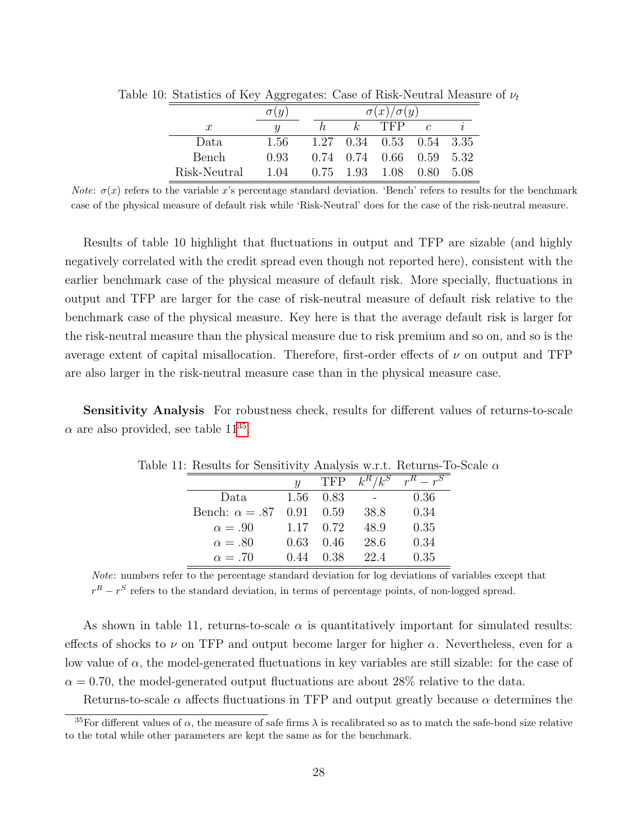|                  |      |      | $\sigma(x)/\sigma(y)$ |                            |            |      |  |
|------------------|------|------|-----------------------|----------------------------|------------|------|--|
| $\boldsymbol{x}$ | U    |      | k.                    | TFP                        | $\epsilon$ |      |  |
| Data             | 1.56 |      |                       | $1.27$ 0.34 0.53 0.54 3.35 |            |      |  |
| Bench            | 0.93 |      |                       | $0.74$ 0.74 0.66 0.59 5.32 |            |      |  |
| Risk-Neutral     | 1.04 | 0.75 | 1.93                  | 1.08                       | 0.80       | 5.08 |  |

Table 10: Statistics of Key Aggregates: Case of Risk-Neutral Measure of  $\nu_t$ 

*Note:*  $\sigma(x)$  refers to the variable x's percentage standard deviation. 'Bench' refers to results for the benchmark case of the physical measure of default risk while 'Risk-Neutral' does for the case of the risk-neutral measure.

Results of table 10 highlight that fluctuations in output and TFP are sizable (and highly negatively correlated with the credit spread even though not reported here), consistent with the earlier benchmark case of the physical measure of default risk. More specially, fluctuations in output and TFP are larger for the case of risk-neutral measure of default risk relative to the benchmark case of the physical measure. Key here is that the average default risk is larger for the risk-neutral measure than the physical measure due to risk premium and so on, and so is the average extent of capital misallocation. Therefore, first-order effects of  $\nu$  on output and TFP are also larger in the risk-neutral measure case than in the physical measure case.

Sensitivity Analysis For robustness check, results for different values of returns-to-scale  $\alpha$  are also provided, see table 11<sup>[35](#page-28-0)</sup>.

| $\mathbf{r}$ . The distribution of the state of $\mathbf{r}$ is the set of $\mathbf{r}$ |                           |               |      |                                    |
|-----------------------------------------------------------------------------------------|---------------------------|---------------|------|------------------------------------|
|                                                                                         | $\boldsymbol{\mathit{u}}$ |               |      | TFP $k^R/k^S$ $\overline{r^R-r^S}$ |
| Data                                                                                    |                           | 1.56 0.83     |      | 0.36                               |
| Bench: $\alpha = .87$                                                                   | $0.91$ $0.59$             |               | 38.8 | 0.34                               |
| $\alpha = .90$                                                                          |                           | $1.17 \t0.72$ | 48.9 | 0.35                               |
| $\alpha = .80$                                                                          | 0.63                      | -0.46         | 28.6 | 0.34                               |
| $\alpha = .70$                                                                          | 0.44                      | 0.38          | 22.4 | 0.35                               |

Table 11: Results for Sensitivity Analysis w.r.t. Returns-To-Scale  $\alpha$ 

Note: numbers refer to the percentage standard deviation for log deviations of variables except that  $r<sup>R</sup> - r<sup>S</sup>$  refers to the standard deviation, in terms of percentage points, of non-logged spread.

As shown in table 11, returns-to-scale  $\alpha$  is quantitatively important for simulated results: effects of shocks to  $\nu$  on TFP and output become larger for higher  $\alpha$ . Nevertheless, even for a low value of  $\alpha$ , the model-generated fluctuations in key variables are still sizable: for the case of  $\alpha = 0.70$ , the model-generated output fluctuations are about 28% relative to the data.

Returns-to-scale  $\alpha$  affects fluctuations in TFP and output greatly because  $\alpha$  determines the

<span id="page-28-0"></span><sup>&</sup>lt;sup>35</sup>For different values of  $\alpha$ , the measure of safe firms  $\lambda$  is recalibrated so as to match the safe-bond size relative to the total while other parameters are kept the same as for the benchmark.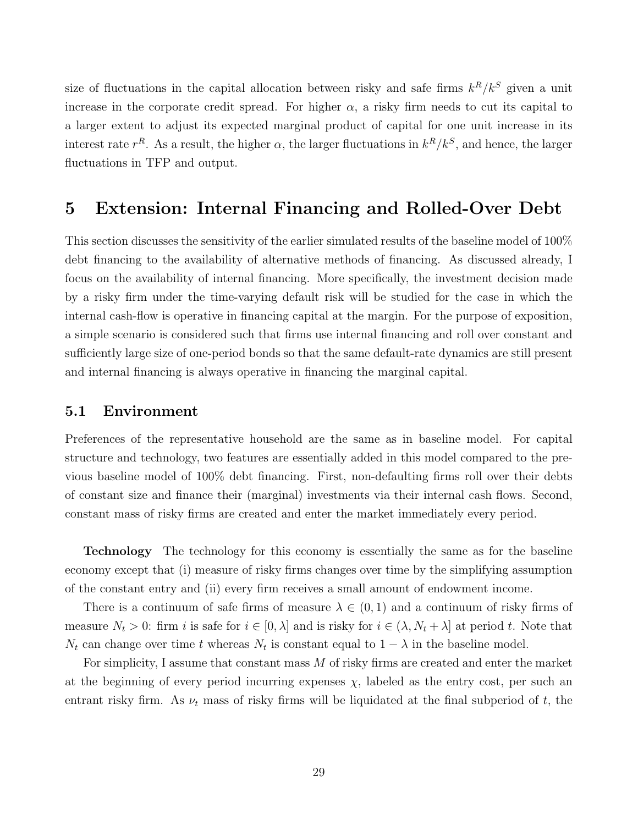size of fluctuations in the capital allocation between risky and safe firms  $k^R/k^S$  given a unit increase in the corporate credit spread. For higher  $\alpha$ , a risky firm needs to cut its capital to a larger extent to adjust its expected marginal product of capital for one unit increase in its interest rate  $r^R$ . As a result, the higher  $\alpha$ , the larger fluctuations in  $k^R/k^S$ , and hence, the larger fluctuations in TFP and output.

### 5 Extension: Internal Financing and Rolled-Over Debt

This section discusses the sensitivity of the earlier simulated results of the baseline model of 100% debt financing to the availability of alternative methods of financing. As discussed already, I focus on the availability of internal financing. More specifically, the investment decision made by a risky firm under the time-varying default risk will be studied for the case in which the internal cash-flow is operative in financing capital at the margin. For the purpose of exposition, a simple scenario is considered such that firms use internal financing and roll over constant and sufficiently large size of one-period bonds so that the same default-rate dynamics are still present and internal financing is always operative in financing the marginal capital.

#### 5.1 Environment

Preferences of the representative household are the same as in baseline model. For capital structure and technology, two features are essentially added in this model compared to the previous baseline model of 100% debt financing. First, non-defaulting firms roll over their debts of constant size and finance their (marginal) investments via their internal cash flows. Second, constant mass of risky firms are created and enter the market immediately every period.

Technology The technology for this economy is essentially the same as for the baseline economy except that (i) measure of risky firms changes over time by the simplifying assumption of the constant entry and (ii) every firm receives a small amount of endowment income.

There is a continuum of safe firms of measure  $\lambda \in (0,1)$  and a continuum of risky firms of measure  $N_t > 0$ : firm i is safe for  $i \in [0, \lambda]$  and is risky for  $i \in (\lambda, N_t + \lambda]$  at period t. Note that  $N_t$  can change over time t whereas  $N_t$  is constant equal to  $1 - \lambda$  in the baseline model.

For simplicity, I assume that constant mass M of risky firms are created and enter the market at the beginning of every period incurring expenses  $\chi$ , labeled as the entry cost, per such an entrant risky firm. As  $\nu_t$  mass of risky firms will be liquidated at the final subperiod of t, the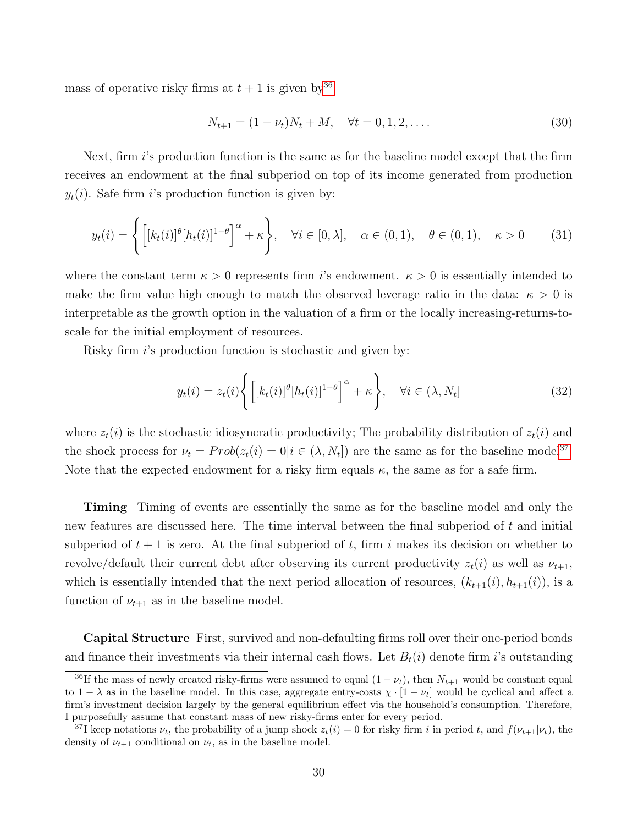mass of operative risky firms at  $t + 1$  is given by  $36$ :

$$
N_{t+1} = (1 - \nu_t)N_t + M, \quad \forall t = 0, 1, 2, \dots
$$
\n(30)

Next, firm  $i$ 's production function is the same as for the baseline model except that the firm receives an endowment at the final subperiod on top of its income generated from production  $y_t(i)$ . Safe firm i's production function is given by:

$$
y_t(i) = \left\{ \left[ [k_t(i)]^\theta [h_t(i)]^{1-\theta} \right]^\alpha + \kappa \right\}, \quad \forall i \in [0, \lambda], \quad \alpha \in (0, 1), \quad \theta \in (0, 1), \quad \kappa > 0 \tag{31}
$$

where the constant term  $\kappa > 0$  represents firm i's endowment.  $\kappa > 0$  is essentially intended to make the firm value high enough to match the observed leverage ratio in the data:  $\kappa > 0$  is interpretable as the growth option in the valuation of a firm or the locally increasing-returns-toscale for the initial employment of resources.

Risky firm i's production function is stochastic and given by:

$$
y_t(i) = z_t(i) \left\{ \left[ \left[ k_t(i) \right]^\theta [h_t(i)]^{1-\theta} \right]^\alpha + \kappa \right\}, \quad \forall i \in (\lambda, N_t]
$$
 (32)

where  $z_t(i)$  is the stochastic idiosyncratic productivity; The probability distribution of  $z_t(i)$  and the shock process for  $\nu_t = Prob(z_t(i) = 0 | i \in (\lambda, N_t])$  are the same as for the baseline model<sup>[37](#page-30-1)</sup>. Note that the expected endowment for a risky firm equals  $\kappa$ , the same as for a safe firm.

Timing Timing of events are essentially the same as for the baseline model and only the new features are discussed here. The time interval between the final subperiod of t and initial subperiod of  $t + 1$  is zero. At the final subperiod of t, firm i makes its decision on whether to revolve/default their current debt after observing its current productivity  $z_t(i)$  as well as  $\nu_{t+1}$ , which is essentially intended that the next period allocation of resources,  $(k_{t+1}(i), h_{t+1}(i))$ , is a function of  $\nu_{t+1}$  as in the baseline model.

Capital Structure First, survived and non-defaulting firms roll over their one-period bonds and finance their investments via their internal cash flows. Let  $B_t(i)$  denote firm i's outstanding

<span id="page-30-0"></span><sup>&</sup>lt;sup>36</sup>If the mass of newly created risky-firms were assumed to equal  $(1 - \nu_t)$ , then  $N_{t+1}$  would be constant equal to  $1 - \lambda$  as in the baseline model. In this case, aggregate entry-costs  $\chi \cdot [1 - \nu_t]$  would be cyclical and affect a firm's investment decision largely by the general equilibrium effect via the household's consumption. Therefore, I purposefully assume that constant mass of new risky-firms enter for every period.

<span id="page-30-1"></span><sup>&</sup>lt;sup>37</sup>I keep notations  $\nu_t$ , the probability of a jump shock  $z_t(i) = 0$  for risky firm i in period t, and  $f(\nu_{t+1}|\nu_t)$ , the density of  $\nu_{t+1}$  conditional on  $\nu_t$ , as in the baseline model.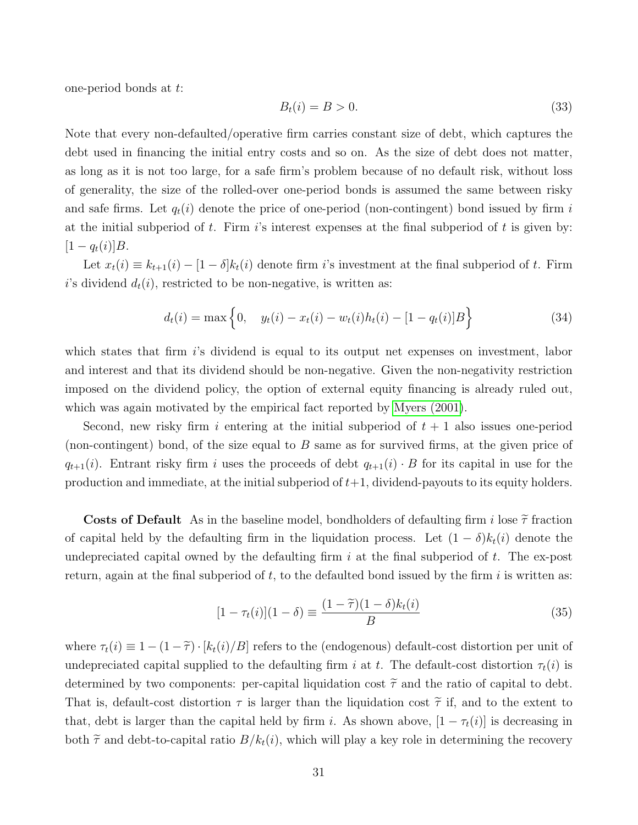one-period bonds at t:

$$
B_t(i) = B > 0. \tag{33}
$$

Note that every non-defaulted/operative firm carries constant size of debt, which captures the debt used in financing the initial entry costs and so on. As the size of debt does not matter, as long as it is not too large, for a safe firm's problem because of no default risk, without loss of generality, the size of the rolled-over one-period bonds is assumed the same between risky and safe firms. Let  $q_t(i)$  denote the price of one-period (non-contingent) bond issued by firm i at the initial subperiod of t. Firm i's interest expenses at the final subperiod of t is given by:  $[1 - q_t(i)]B$ .

Let  $x_t(i) \equiv k_{t+1}(i) - [1 - \delta]k_t(i)$  denote firm i's investment at the final subperiod of t. Firm i's dividend  $d_t(i)$ , restricted to be non-negative, is written as:

$$
d_t(i) = \max\left\{0, \quad y_t(i) - x_t(i) - w_t(i)h_t(i) - [1 - q_t(i)]B\right\}
$$
\n(34)

which states that firm is dividend is equal to its output net expenses on investment, labor and interest and that its dividend should be non-negative. Given the non-negativity restriction imposed on the dividend policy, the option of external equity financing is already ruled out, which was again motivated by the empirical fact reported by [Myers \(2001\)](#page-48-5).

Second, new risky firm i entering at the initial subperiod of  $t + 1$  also issues one-period (non-contingent) bond, of the size equal to  $B$  same as for survived firms, at the given price of  $q_{t+1}(i)$ . Entrant risky firm i uses the proceeds of debt  $q_{t+1}(i) \cdot B$  for its capital in use for the production and immediate, at the initial subperiod of  $t+1$ , dividend-payouts to its equity holders.

**Costs of Default** As in the baseline model, bondholders of defaulting firm i lose  $\tilde{\tau}$  fraction of capital held by the defaulting firm in the liquidation process. Let  $(1 - \delta)k_t(i)$  denote the undepreciated capital owned by the defaulting firm  $i$  at the final subperiod of  $t$ . The ex-post return, again at the final subperiod of t, to the defaulted bond issued by the firm i is written as:

$$
[1 - \tau_t(i)](1 - \delta) \equiv \frac{(1 - \tilde{\tau})(1 - \delta)k_t(i)}{B} \tag{35}
$$

where  $\tau_t(i) \equiv 1 - (1 - \tilde{\tau}) \cdot [k_t(i)/B]$  refers to the (endogenous) default-cost distortion per unit of undepreciated capital supplied to the defaulting firm i at t. The default-cost distortion  $\tau_t(i)$  is determined by two components: per-capital liquidation cost  $\tilde{\tau}$  and the ratio of capital to debt. That is, default-cost distortion  $\tau$  is larger than the liquidation cost  $\tilde{\tau}$  if, and to the extent to that, debt is larger than the capital held by firm i. As shown above,  $[1 - \tau_t(i)]$  is decreasing in both  $\tilde{\tau}$  and debt-to-capital ratio  $B/k_t(i)$ , which will play a key role in determining the recovery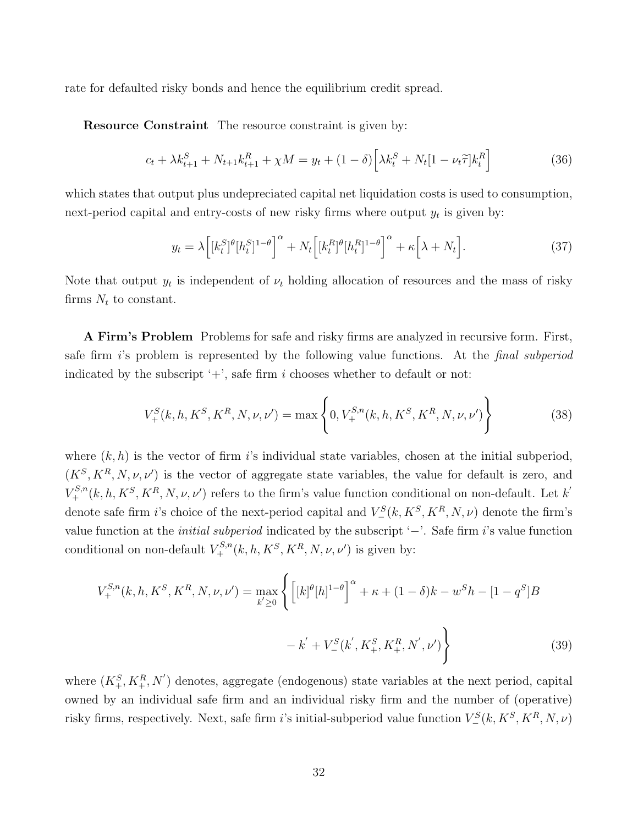rate for defaulted risky bonds and hence the equilibrium credit spread.

Resource Constraint The resource constraint is given by:

$$
c_t + \lambda k_{t+1}^S + N_{t+1}k_{t+1}^R + \chi M = y_t + (1 - \delta) \left[ \lambda k_t^S + N_t [1 - \nu_t \tilde{\tau}] k_t^R \right] \tag{36}
$$

which states that output plus undepreciated capital net liquidation costs is used to consumption, next-period capital and entry-costs of new risky firms where output  $y_t$  is given by:

$$
y_t = \lambda \left[ [k_t^S]^{\theta} [h_t^S]^{1-\theta} \right]^{\alpha} + N_t \left[ [k_t^R]^{\theta} [h_t^R]^{1-\theta} \right]^{\alpha} + \kappa \left[ \lambda + N_t \right]. \tag{37}
$$

Note that output  $y_t$  is independent of  $\nu_t$  holding allocation of resources and the mass of risky firms  $N_t$  to constant.

A Firm's Problem Problems for safe and risky firms are analyzed in recursive form. First, safe firm is problem is represented by the following value functions. At the *final subperiod* indicated by the subscript  $'$ +', safe firm i chooses whether to default or not:

$$
V_{+}^{S}(k, h, K^{S}, K^{R}, N, \nu, \nu') = \max \left\{ 0, V_{+}^{S,n}(k, h, K^{S}, K^{R}, N, \nu, \nu') \right\}
$$
(38)

where  $(k, h)$  is the vector of firm is individual state variables, chosen at the initial subperiod,  $(K^S, K^R, N, \nu, \nu')$  is the vector of aggregate state variables, the value for default is zero, and  $V^{S,n}_+(k, h, K^S, K^R, N, \nu, \nu')$  refers to the firm's value function conditional on non-default. Let k' denote safe firm *i*'s choice of the next-period capital and  $V^S=(k, K^S, K^R, N, \nu)$  denote the firm's value function at the initial subperiod indicated by the subscript '−'. Safe firm i's value function conditional on non-default  $V^{S,n}_+(k, h, K^S, K^R, N, \nu, \nu')$  is given by:

$$
V_{+}^{S,n}(k, h, K^{S}, K^{R}, N, \nu, \nu') = \max_{k' \ge 0} \left\{ \left[ [k]^{\theta}[h]^{1-\theta} \right]^{\alpha} + \kappa + (1-\delta)k - w^{S}h - [1-q^{S}]B - k' + V_{-}^{S}(k', K_{+}^{S}, K_{+}^{R}, N', \nu') \right\}
$$
(39)

where  $(K_+^S, K_+^R, N')$  denotes, aggregate (endogenous) state variables at the next period, capital owned by an individual safe firm and an individual risky firm and the number of (operative) risky firms, respectively. Next, safe firm *i*'s initial-subperiod value function  $V^S_-(k, K^S, K^R, N, \nu)$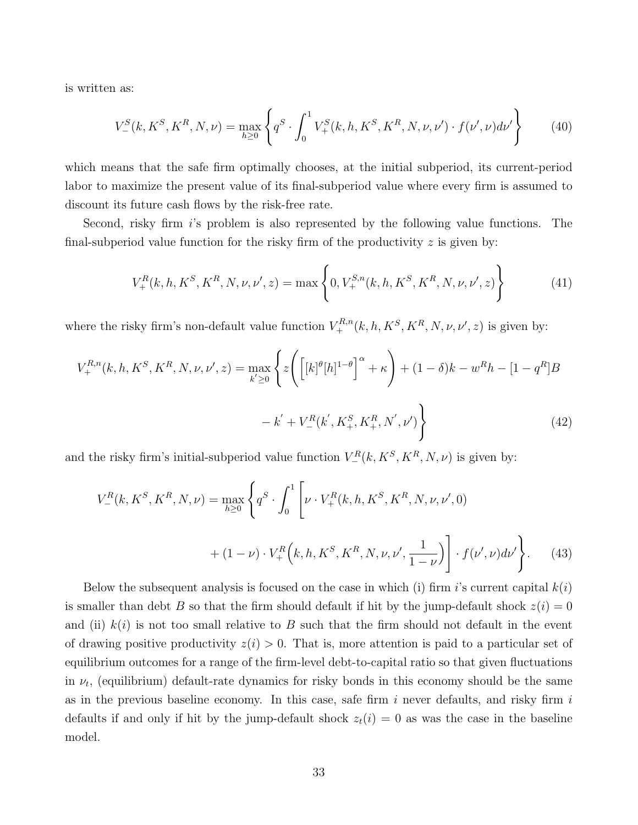is written as:

$$
V_{-}^{S}(k, K^{S}, K^{R}, N, \nu) = \max_{h \ge 0} \left\{ q^{S} \cdot \int_{0}^{1} V_{+}^{S}(k, h, K^{S}, K^{R}, N, \nu, \nu') \cdot f(\nu', \nu) d\nu' \right\}
$$
(40)

which means that the safe firm optimally chooses, at the initial subperiod, its current-period labor to maximize the present value of its final-subperiod value where every firm is assumed to discount its future cash flows by the risk-free rate.

Second, risky firm i's problem is also represented by the following value functions. The final-subperiod value function for the risky firm of the productivity  $z$  is given by:

$$
V_{+}^{R}(k, h, K^{S}, K^{R}, N, \nu, \nu', z) = \max \left\{ 0, V_{+}^{S,n}(k, h, K^{S}, K^{R}, N, \nu, \nu', z) \right\}
$$
(41)

where the risky firm's non-default value function  $V^{R,n}_+(k, h, K^S, K^R, N, \nu, \nu', z)$  is given by:

$$
V_{+}^{R,n}(k, h, K^{S}, K^{R}, N, \nu, \nu', z) = \max_{k' \ge 0} \left\{ z \left( \left[ [k]^{\theta} [h]^{1-\theta} \right]^{\alpha} + \kappa \right) + (1 - \delta)k - w^{R}h - [1 - q^{R}]B - k' + V_{-}^{R}(k', K_{+}^{S}, K_{+}^{R}, N', \nu') \right\}
$$
(42)

and the risky firm's initial-subperiod value function  $V_{-}^{R}(k, K^{S}, K^{R}, N, \nu)$  is given by:

$$
V_{-}^{R}(k, K^{S}, K^{R}, N, \nu) = \max_{h \ge 0} \left\{ q^{S} \cdot \int_{0}^{1} \left[ \nu \cdot V_{+}^{R}(k, h, K^{S}, K^{R}, N, \nu, \nu', 0) + (1 - \nu) \cdot V_{+}^{R}(k, h, K^{S}, K^{R}, N, \nu, \nu', \frac{1}{1 - \nu}) \right] \cdot f(\nu', \nu) d\nu' \right\}.
$$
 (43)

Below the subsequent analysis is focused on the case in which (i) firm i's current capital  $k(i)$ is smaller than debt B so that the firm should default if hit by the jump-default shock  $z(i) = 0$ and (ii)  $k(i)$  is not too small relative to B such that the firm should not default in the event of drawing positive productivity  $z(i) > 0$ . That is, more attention is paid to a particular set of equilibrium outcomes for a range of the firm-level debt-to-capital ratio so that given fluctuations in  $\nu_t$ , (equilibrium) default-rate dynamics for risky bonds in this economy should be the same as in the previous baseline economy. In this case, safe firm  $i$  never defaults, and risky firm  $i$ defaults if and only if hit by the jump-default shock  $z_t(i) = 0$  as was the case in the baseline model.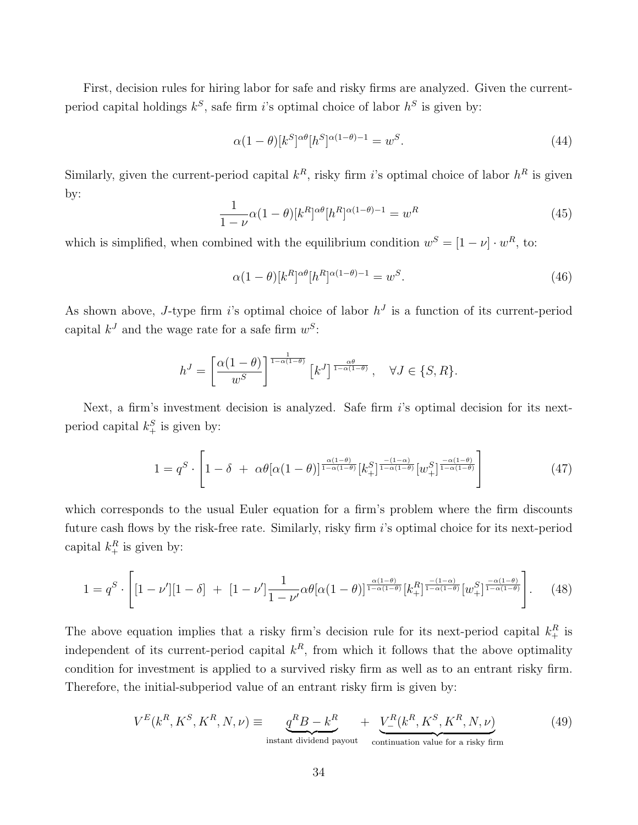First, decision rules for hiring labor for safe and risky firms are analyzed. Given the currentperiod capital holdings  $k^S$ , safe firm *i*'s optimal choice of labor  $h^S$  is given by:

$$
\alpha(1-\theta)[k^S]^{\alpha\theta}[h^S]^{\alpha(1-\theta)-1} = w^S.
$$
\n(44)

Similarly, given the current-period capital  $k^R$ , risky firm *i*'s optimal choice of labor  $h^R$  is given by:

$$
\frac{1}{1-\nu}\alpha(1-\theta)[k^R]^{\alpha\theta}[h^R]^{\alpha(1-\theta)-1} = w^R
$$
\n(45)

which is simplified, when combined with the equilibrium condition  $w^S = [1 - \nu] \cdot w^R$ , to:

$$
\alpha(1-\theta)[k^R]^{\alpha\theta}[h^R]^{\alpha(1-\theta)-1} = w^S.
$$
\n(46)

As shown above, J-type firm is optimal choice of labor  $h<sup>J</sup>$  is a function of its current-period capital  $k^{J}$  and the wage rate for a safe firm  $w^{S}$ :

$$
h^{J} = \left[\frac{\alpha(1-\theta)}{w^{S}}\right]^{\frac{1}{1-\alpha(1-\theta)}} \left[k^{J}\right]^{\frac{\alpha\theta}{1-\alpha(1-\theta)}}, \quad \forall J \in \{S, R\}.
$$

Next, a firm's investment decision is analyzed. Safe firm i's optimal decision for its nextperiod capital  $k_+^S$  is given by:

$$
1 = q^S \cdot \left[1 - \delta + \alpha \theta [\alpha (1 - \theta)]^{\frac{\alpha (1 - \theta)}{1 - \alpha (1 - \theta)}} [k_+^S]^{\frac{-(1 - \alpha)}{1 - \alpha (1 - \theta)}} [w_+^S]^{\frac{-\alpha (1 - \theta)}{1 - \alpha (1 - \theta)}}\right]
$$
(47)

which corresponds to the usual Euler equation for a firm's problem where the firm discounts future cash flows by the risk-free rate. Similarly, risky firm i's optimal choice for its next-period capital  $k_+^R$  is given by:

$$
1 = q^S \cdot \left[ [1 - \nu'] [1 - \delta] + [1 - \nu'] \frac{1}{1 - \nu'} \alpha \theta [\alpha (1 - \theta)]^{\frac{\alpha (1 - \theta)}{1 - \alpha (1 - \theta)}} [k_+^R]^{\frac{-(1 - \alpha)}{1 - \alpha (1 - \theta)}} [w_+^S]^{\frac{-\alpha (1 - \theta)}{1 - \alpha (1 - \theta)}} \right].
$$
 (48)

The above equation implies that a risky firm's decision rule for its next-period capital  $k_+^R$  is independent of its current-period capital  $k<sup>R</sup>$ , from which it follows that the above optimality condition for investment is applied to a survived risky firm as well as to an entrant risky firm. Therefore, the initial-subperiod value of an entrant risky firm is given by:

$$
V^{E}(k^{R}, K^{S}, K^{R}, N, \nu) \equiv \underbrace{q^{R}B - k^{R}}_{\text{instant dividend payout}} + \underbrace{V^{R}_{-}(k^{R}, K^{S}, K^{R}, N, \nu)}_{\text{continuation value for a risky firm}}
$$
(49)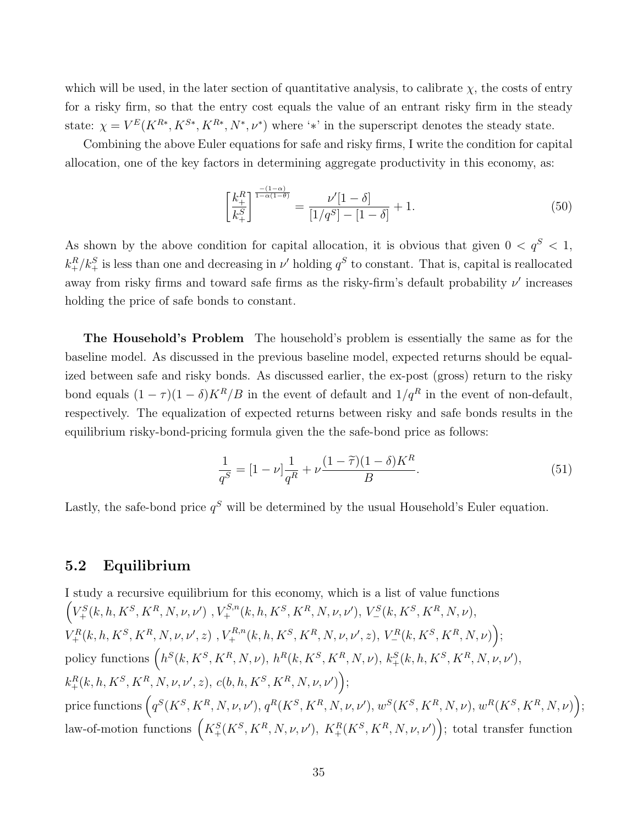which will be used, in the later section of quantitative analysis, to calibrate  $\chi$ , the costs of entry for a risky firm, so that the entry cost equals the value of an entrant risky firm in the steady state:  $\chi = V^{E}(K^{R*}, K^{S*}, K^{R*}, N^{*}, \nu^{*})$  where '\*' in the superscript denotes the steady state.

Combining the above Euler equations for safe and risky firms, I write the condition for capital allocation, one of the key factors in determining aggregate productivity in this economy, as:

$$
\left[\frac{k_+^R}{k_+^S}\right]^{\frac{-(1-\alpha)}{1-\alpha(1-\theta)}} = \frac{\nu'[1-\delta]}{[1/q^S] - [1-\delta]} + 1.
$$
\n(50)

As shown by the above condition for capital allocation, it is obvious that given  $0 < q<sup>S</sup> < 1$ ,  $k_{+}^{R}/k_{+}^{S}$  is less than one and decreasing in  $\nu'$  holding  $q^{S}$  to constant. That is, capital is reallocated away from risky firms and toward safe firms as the risky-firm's default probability  $\nu'$  increases holding the price of safe bonds to constant.

The Household's Problem The household's problem is essentially the same as for the baseline model. As discussed in the previous baseline model, expected returns should be equalized between safe and risky bonds. As discussed earlier, the ex-post (gross) return to the risky bond equals  $(1 - \tau)(1 - \delta)K^R/B$  in the event of default and  $1/q^R$  in the event of non-default, respectively. The equalization of expected returns between risky and safe bonds results in the equilibrium risky-bond-pricing formula given the the safe-bond price as follows:

$$
\frac{1}{q^S} = [1 - \nu] \frac{1}{q^R} + \nu \frac{(1 - \tilde{\tau})(1 - \delta)K^R}{B}.
$$
\n(51)

Lastly, the safe-bond price  $q^S$  will be determined by the usual Household's Euler equation.

#### 5.2 Equilibrium

I study a recursive equilibrium for this economy, which is a list of value functions  $\left(V_{+}^{S}(k, h, K^{S}, K^{R}, N, \nu, \nu')\right), V_{+}^{S,n}(k, h, K^{S}, K^{R}, N, \nu, \nu'),\ V_{-}^{S}(k, K^{S}, K^{R}, N, \nu),$  $V^R_+(k,h,K^S,K^R,N,\nu,\nu',z) \,\,, V^{R,n}_+(k,h,K^S,K^R,N,\nu,\nu',z),\,V^R_-(k,K^S,K^R,N,\nu)\Big);$ policy functions  $\left(h^S(k, K^S, K^R, N, \nu), h^R(k, K^S, K^R, N, \nu), k_+^S(k, h, K^S, K^R, N, \nu, \nu'\right),$  $k_+^R(k,h,K^S,K^R,N,\nu,\nu',z),\,c(b,h,K^S,K^R,N,\nu,\nu')\Big);$ price functions  $(q^S(K^S, K^R, N, \nu, \nu'), q^R(K^S, K^R, N, \nu, \nu'), w^S(K^S, K^R, N, \nu), w^R(K^S, K^R, N, \nu)$ law-of-motion functions  $\left(K_+^S(K^S, K^R, N, \nu, \nu'), K_+^R(K^S, K^R, N, \nu, \nu')\right);$  total transfer function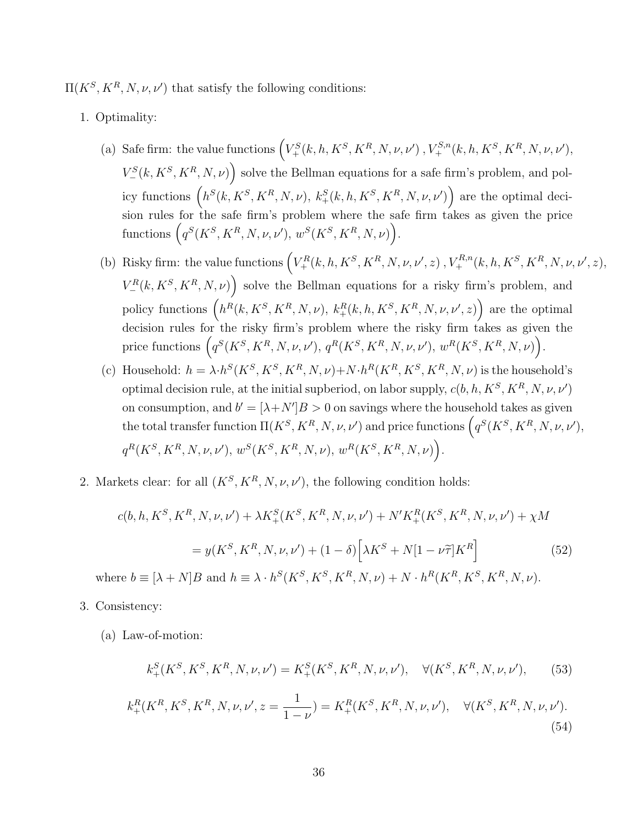$\Pi(K^S, K^R, N, \nu, \nu')$  that satisfy the following conditions:

- 1. Optimality:
	- (a) Safe firm: the value functions  $(V^S_+(k, h, K^S, K^R, N, \nu, \nu')$ ,  $V^{S,n}_+(k, h, K^S, K^R, N, \nu, \nu')$ ,  $V^S=(k, K^S, K^R, N, \nu)$  solve the Bellman equations for a safe firm's problem, and policy functions  $(h^S(k, K^S, K^R, N, \nu), k_+^S(k, h, K^S, K^R, N, \nu, \nu')$  are the optimal decision rules for the safe firm's problem where the safe firm takes as given the price functions  $(q^S(K^S, K^R, N, \nu, \nu'), w^S(K^S, K^R, N, \nu)).$
	- (b) Risky firm: the value functions  $\left(V^R_+(k, h, K^S, K^R, N, \nu, \nu', z)\right), V^{R,n}_+(k, h, K^S, K^R, N, \nu, \nu', z),$  $V_{-}^{R}(k, K^{S}, K^{R}, N, \nu)$  solve the Bellman equations for a risky firm's problem, and policy functions  $(h^R(k, K^S, K^R, N, \nu), k_+^R(k, h, K^S, K^R, N, \nu, \nu', z)$  are the optimal decision rules for the risky firm's problem where the risky firm takes as given the price functions  $(q^S(K^S, K^R, N, \nu, \nu'), q^R(K^S, K^R, N, \nu, \nu'), w^R(K^S, K^R, N, \nu)$ .
	- (c) Household:  $h = \lambda \cdot h^S(K^S, K^S, K^R, N, \nu) + N \cdot h^R(K^R, K^S, K^R, N, \nu)$  is the household's optimal decision rule, at the initial supberiod, on labor supply,  $c(b, h, K^S, K^R, N, \nu, \nu')$ on consumption, and  $b' = [\lambda + N']B > 0$  on savings where the household takes as given the total transfer function  $\Pi(K^S, K^R, N, \nu, \nu')$  and price functions  $(q^S(K^S, K^R, N, \nu, \nu'),$  $q^R(K^S, K^R, N, \nu, \nu')$ ,  $w^S(K^S, K^R, N, \nu)$ ,  $w^R(K^S, K^R, N, \nu)$ .
- 2. Markets clear: for all  $(K^S, K^R, N, \nu, \nu')$ , the following condition holds:

$$
c(b, h, K^S, K^R, N, \nu, \nu') + \lambda K_+^S(K^S, K^R, N, \nu, \nu') + N' K_+^R(K^S, K^R, N, \nu, \nu') + \chi M
$$
  
=  $y(K^S, K^R, N, \nu, \nu') + (1 - \delta) \left[ \lambda K^S + N[1 - \nu \tilde{\tau}] K^R \right]$  (52)

where  $b \equiv [\lambda + N]B$  and  $h \equiv \lambda \cdot h^S(K^S, K^S, K^R, N, \nu) + N \cdot h^R(K^R, K^S, K^R, N, \nu)$ .

- 3. Consistency:
	- (a) Law-of-motion:

$$
k_+^S(K^S, K^S, K^R, N, \nu, \nu') = K_+^S(K^S, K^R, N, \nu, \nu'), \quad \forall (K^S, K^R, N, \nu, \nu'), \tag{53}
$$

$$
k_+^R(K^R, K^S, K^R, N, \nu, \nu', z = \frac{1}{1 - \nu}) = K_+^R(K^S, K^R, N, \nu, \nu'), \quad \forall (K^S, K^R, N, \nu, \nu').
$$
\n(54)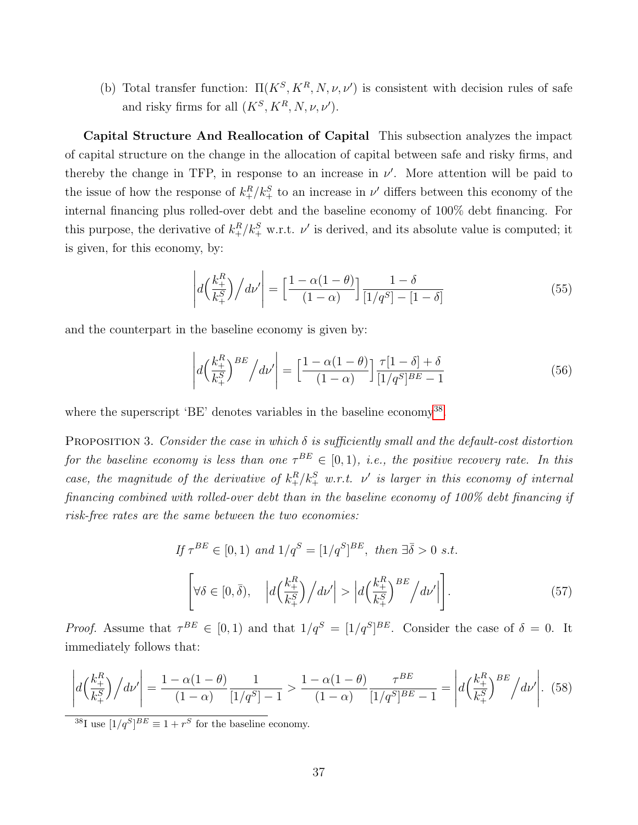(b) Total transfer function:  $\Pi(K^S, K^R, N, \nu, \nu')$  is consistent with decision rules of safe and risky firms for all  $(K^S, K^R, N, \nu, \nu')$ .

Capital Structure And Reallocation of Capital This subsection analyzes the impact of capital structure on the change in the allocation of capital between safe and risky firms, and thereby the change in TFP, in response to an increase in  $\nu'$ . More attention will be paid to the issue of how the response of  $k_{+}^{R}/k_{+}^{S}$  to an increase in  $\nu'$  differs between this economy of the internal financing plus rolled-over debt and the baseline economy of 100% debt financing. For this purpose, the derivative of  $k_{+}^{R}/k_{+}^{S}$  w.r.t.  $\nu'$  is derived, and its absolute value is computed; it is given, for this economy, by:

$$
\left| d \left( \frac{k_+^R}{k_+^S} \right) / d \nu' \right| = \left[ \frac{1 - \alpha (1 - \theta)}{(1 - \alpha)} \right] \frac{1 - \delta}{\left[ 1 / q^S \right] - \left[ 1 - \delta \right]}
$$
(55)

and the counterpart in the baseline economy is given by:

$$
\left| d \left( \frac{k_+^R}{k_+^S} \right)^{BE} / d\nu' \right| = \left[ \frac{1 - \alpha(1 - \theta)}{(1 - \alpha)} \right] \frac{\tau [1 - \delta] + \delta}{[1/q^S]^{BE} - 1} \tag{56}
$$

where the superscript 'BE' denotes variables in the baseline economy<sup>[38](#page-37-0)</sup>.

PROPOSITION 3. Consider the case in which  $\delta$  is sufficiently small and the default-cost distortion for the baseline economy is less than one  $\tau^{BE} \in [0,1)$ , i.e., the positive recovery rate. In this case, the magnitude of the derivative of  $k_{+}^{R}/k_{+}^{S}$  w.r.t.  $\nu'$  is larger in this economy of internal financing combined with rolled-over debt than in the baseline economy of 100% debt financing if risk-free rates are the same between the two economies:

$$
If \tau^{BE} \in [0,1) \text{ and } 1/q^S = [1/q^S]^{BE}, \text{ then } \exists \overline{\delta} > 0 \text{ s.t.}
$$
\n
$$
\left[ \forall \delta \in [0,\overline{\delta}), \quad \left| d \left( \frac{k_+^R}{k_+^S} \right) / d\nu' \right| > \left| d \left( \frac{k_+^R}{k_+^S} \right)^{BE} / d\nu' \right| \right]. \tag{57}
$$

*Proof.* Assume that  $\tau^{BE} \in [0,1)$  and that  $1/q^S = [1/q^S]^{BE}$ . Consider the case of  $\delta = 0$ . It immediately follows that:

$$
\left| d \left( \frac{k_+^R}{k_+^S} \right) / d\nu' \right| = \frac{1 - \alpha(1 - \theta)}{(1 - \alpha)} \frac{1}{[1/q^S] - 1} > \frac{1 - \alpha(1 - \theta)}{(1 - \alpha)} \frac{\tau^{BE}}{[1/q^S]^{BE} - 1} = \left| d \left( \frac{k_+^R}{k_+^S} \right)^{BE} / d\nu' \right|.
$$
 (58)

<span id="page-37-0"></span><sup>38</sup>I use  $[1/q^S]^{BE} \equiv 1 + r^S$  for the baseline economy.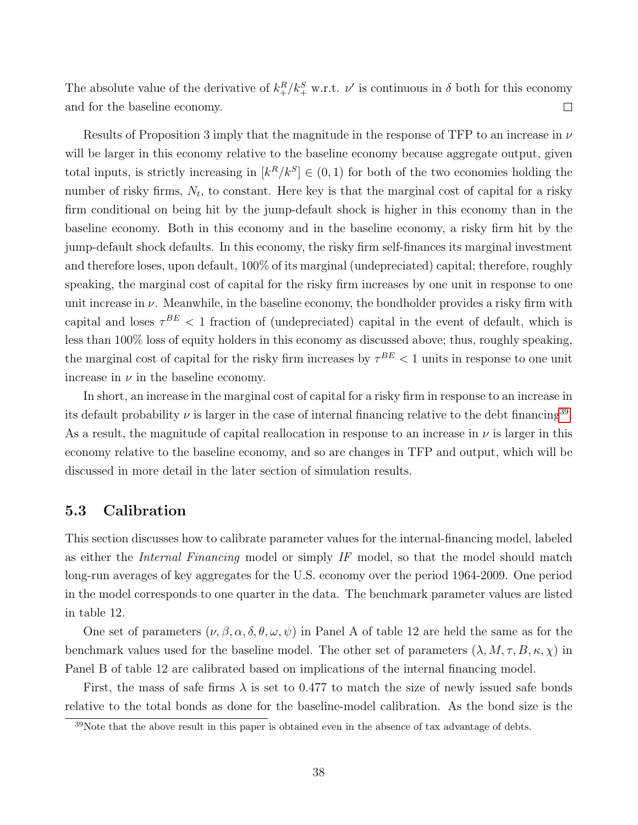The absolute value of the derivative of  $k_{+}^{R}/k_{+}^{S}$  w.r.t.  $\nu'$  is continuous in  $\delta$  both for this economy  $\Box$ and for the baseline economy.

Results of Proposition 3 imply that the magnitude in the response of TFP to an increase in  $\nu$ will be larger in this economy relative to the baseline economy because aggregate output, given total inputs, is strictly increasing in  $[k^R/k^S] \in (0,1)$  for both of the two economies holding the number of risky firms,  $N_t$ , to constant. Here key is that the marginal cost of capital for a risky firm conditional on being hit by the jump-default shock is higher in this economy than in the baseline economy. Both in this economy and in the baseline economy, a risky firm hit by the jump-default shock defaults. In this economy, the risky firm self-finances its marginal investment and therefore loses, upon default, 100% of its marginal (undepreciated) capital; therefore, roughly speaking, the marginal cost of capital for the risky firm increases by one unit in response to one unit increase in  $\nu$ . Meanwhile, in the baseline economy, the bondholder provides a risky firm with capital and loses  $\tau^{BE}$  < 1 fraction of (undepreciated) capital in the event of default, which is less than 100% loss of equity holders in this economy as discussed above; thus, roughly speaking, the marginal cost of capital for the risky firm increases by  $\tau^{BE}$  < 1 units in response to one unit increase in  $\nu$  in the baseline economy.

In short, an increase in the marginal cost of capital for a risky firm in response to an increase in its default probability  $\nu$  is larger in the case of internal financing relative to the debt financing<sup>[39](#page-38-0)</sup>. As a result, the magnitude of capital reallocation in response to an increase in  $\nu$  is larger in this economy relative to the baseline economy, and so are changes in TFP and output, which will be discussed in more detail in the later section of simulation results.

#### 5.3 Calibration

This section discusses how to calibrate parameter values for the internal-financing model, labeled as either the Internal Financing model or simply IF model, so that the model should match long-run averages of key aggregates for the U.S. economy over the period 1964-2009. One period in the model corresponds to one quarter in the data. The benchmark parameter values are listed in table 12.

One set of parameters  $(\nu, \beta, \alpha, \delta, \theta, \omega, \psi)$  in Panel A of table 12 are held the same as for the benchmark values used for the baseline model. The other set of parameters  $(\lambda, M, \tau, B, \kappa, \chi)$  in Panel B of table 12 are calibrated based on implications of the internal financing model.

First, the mass of safe firms  $\lambda$  is set to 0.477 to match the size of newly issued safe bonds relative to the total bonds as done for the baseline-model calibration. As the bond size is the

<span id="page-38-0"></span><sup>&</sup>lt;sup>39</sup>Note that the above result in this paper is obtained even in the absence of tax advantage of debts.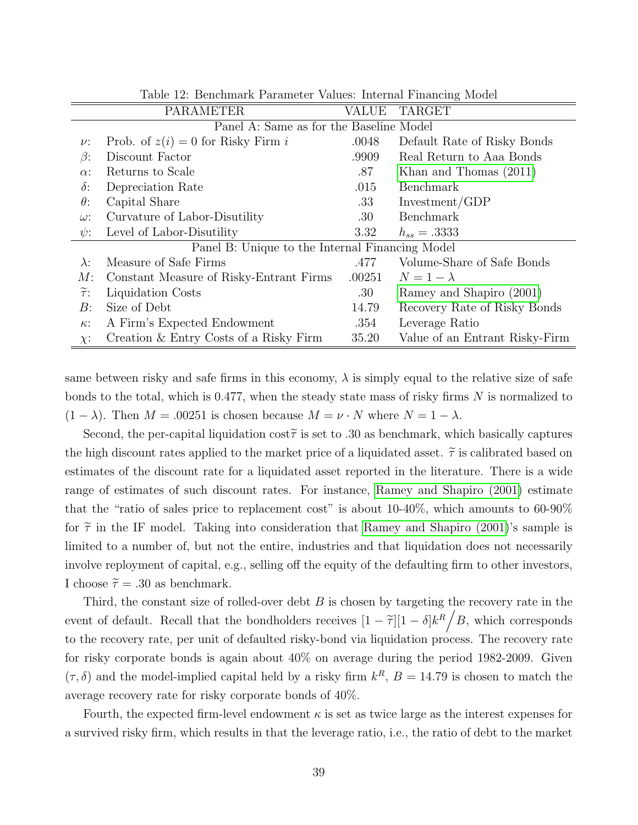|                      | Table 12. Denemiatik I alameter values. Internat i maneing Model |              |                                |  |  |  |  |  |  |  |
|----------------------|------------------------------------------------------------------|--------------|--------------------------------|--|--|--|--|--|--|--|
|                      | <b>PARAMETER</b>                                                 | <b>VALUE</b> | <b>TARGET</b>                  |  |  |  |  |  |  |  |
|                      | Panel A: Same as for the Baseline Model                          |              |                                |  |  |  |  |  |  |  |
| $\nu$ :              | Prob. of $z(i) = 0$ for Risky Firm i                             | .0048        | Default Rate of Risky Bonds    |  |  |  |  |  |  |  |
| $\beta$ :            | Discount Factor                                                  | .9909        | Real Return to Aaa Bonds       |  |  |  |  |  |  |  |
| $\alpha$ :           | Returns to Scale                                                 | .87          | Khan and Thomas (2011)         |  |  |  |  |  |  |  |
| $\delta$ :           | Depreciation Rate                                                | .015         | Benchmark                      |  |  |  |  |  |  |  |
| $\theta$ :           | Capital Share                                                    | .33          | Investment/GDP                 |  |  |  |  |  |  |  |
| $\omega$ :           | Curvature of Labor-Disutility                                    | .30          | Benchmark                      |  |  |  |  |  |  |  |
| $\psi$ :             | Level of Labor-Disutility                                        | 3.32         | $h_{ss} = .3333$               |  |  |  |  |  |  |  |
|                      | Panel B: Unique to the Internal Financing Model                  |              |                                |  |  |  |  |  |  |  |
| $\lambda$ :          | Measure of Safe Firms                                            | .477         | Volume-Share of Safe Bonds     |  |  |  |  |  |  |  |
| M:                   | Constant Measure of Risky-Entrant Firms                          | .00251       | $N=1-\lambda$                  |  |  |  |  |  |  |  |
| $\widetilde{\tau}$ : | Liquidation Costs                                                | .30          | Ramey and Shapiro (2001)       |  |  |  |  |  |  |  |
| B:                   | Size of Debt                                                     | 14.79        | Recovery Rate of Risky Bonds   |  |  |  |  |  |  |  |
| $\kappa$ :           | A Firm's Expected Endowment                                      | .354         | Leverage Ratio                 |  |  |  |  |  |  |  |
| $\chi$ :             | Creation & Entry Costs of a Risky Firm                           | 35.20        | Value of an Entrant Risky-Firm |  |  |  |  |  |  |  |

Table 12: Benchmark Parameter Values: Internal Financing Model

same between risky and safe firms in this economy,  $\lambda$  is simply equal to the relative size of safe bonds to the total, which is 0.477, when the steady state mass of risky firms  $N$  is normalized to  $(1 - \lambda)$ . Then  $M = 0.00251$  is chosen because  $M = \nu \cdot N$  where  $N = 1 - \lambda$ .

Second, the per-capital liquidation cost  $\tilde{\tau}$  is set to .30 as benchmark, which basically captures the high discount rates applied to the market price of a liquidated asset.  $\tilde{\tau}$  is calibrated based on estimates of the discount rate for a liquidated asset reported in the literature. There is a wide range of estimates of such discount rates. For instance, [Ramey and Shapiro \(2001\)](#page-48-12) estimate that the "ratio of sales price to replacement cost" is about 10-40%, which amounts to 60-90% for  $\tilde{\tau}$  in the IF model. Taking into consideration that [Ramey and Shapiro \(2001\)](#page-48-12)'s sample is limited to a number of, but not the entire, industries and that liquidation does not necessarily involve reployment of capital, e.g., selling off the equity of the defaulting firm to other investors, I choose  $\tilde{\tau} = .30$  as benchmark.

Third, the constant size of rolled-over debt  $B$  is chosen by targeting the recovery rate in the event of default. Recall that the bondholders receives  $[1 - \tilde{\tau}][1 - \delta]k^R/B$ , which corresponds to the recovery rate, per unit of defaulted risky-bond via liquidation process. The recovery rate for risky corporate bonds is again about 40% on average during the period 1982-2009. Given  $(\tau, \delta)$  and the model-implied capital held by a risky firm  $k^R$ ,  $B = 14.79$  is chosen to match the average recovery rate for risky corporate bonds of 40%.

Fourth, the expected firm-level endowment  $\kappa$  is set as twice large as the interest expenses for a survived risky firm, which results in that the leverage ratio, i.e., the ratio of debt to the market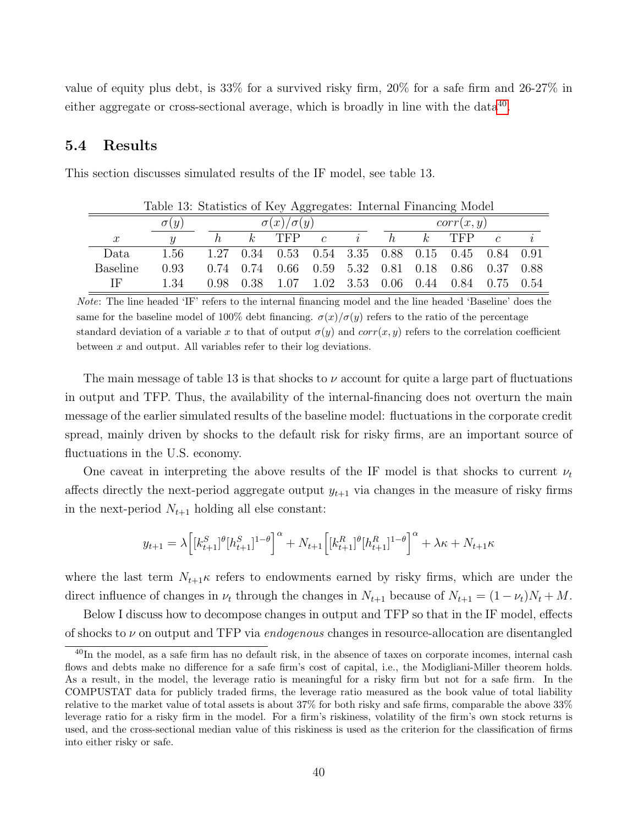value of equity plus debt, is  $33\%$  for a survived risky firm,  $20\%$  for a safe firm and  $26-27\%$  in either aggregate or cross-sectional average, which is broadly in line with the data<sup>[40](#page-40-0)</sup>.

#### 5.4 Results

| Table 13: Statistics of Key Aggregates: Internal Financing Model |             |      |                       |                                              |                       |                |   |                |                 |            |        |  |  |
|------------------------------------------------------------------|-------------|------|-----------------------|----------------------------------------------|-----------------------|----------------|---|----------------|-----------------|------------|--------|--|--|
|                                                                  | $\sigma(y)$ |      | $\sigma(x)/\sigma(y)$ |                                              |                       |                |   | corr(x, y)     |                 |            |        |  |  |
| $\mathcal{X}$                                                    |             | h    |                       | $k$ TFP                                      | $\mathcal{C}$         | $\overline{i}$ | h | k <sub>i</sub> | TFP <sup></sup> | $\epsilon$ | $\eta$ |  |  |
| Data.                                                            | 1.56        | 1.27 |                       | 0.34 0.53 0.54 3.35 0.88 0.15 0.45 0.84 0.91 |                       |                |   |                |                 |            |        |  |  |
| <b>Baseline</b>                                                  | 0.93        |      | $0.74 \quad 0.74$     | 0.66                                         | $0.59$ 5.32 0.81 0.18 |                |   |                | $0.86$ 0.37     |            | 0.88   |  |  |
| ΙF                                                               | 1.34        | 0.98 | 0.38                  | $1.07$ $1.02$ $3.53$ $0.06$ $0.44$           |                       |                |   |                | 0.84            | 0.75       | 0.54   |  |  |

This section discusses simulated results of the IF model, see table 13.

Note: The line headed 'IF' refers to the internal financing model and the line headed 'Baseline' does the same for the baseline model of 100% debt financing.  $\sigma(x)/\sigma(y)$  refers to the ratio of the percentage standard deviation of a variable x to that of output  $\sigma(y)$  and  $corr(x, y)$  refers to the correlation coefficient between  $x$  and output. All variables refer to their log deviations.

The main message of table 13 is that shocks to  $\nu$  account for quite a large part of fluctuations in output and TFP. Thus, the availability of the internal-financing does not overturn the main message of the earlier simulated results of the baseline model: fluctuations in the corporate credit spread, mainly driven by shocks to the default risk for risky firms, are an important source of fluctuations in the U.S. economy.

One caveat in interpreting the above results of the IF model is that shocks to current  $\nu_t$ affects directly the next-period aggregate output  $y_{t+1}$  via changes in the measure of risky firms in the next-period  $N_{t+1}$  holding all else constant:

$$
y_{t+1} = \lambda \Big[ [k_{t+1}^S]^{\theta} [h_{t+1}^S]^{1-\theta} \Big]^{\alpha} + N_{t+1} \Big[ [k_{t+1}^R]^{\theta} [h_{t+1}^R]^{1-\theta} \Big]^{\alpha} + \lambda \kappa + N_{t+1} \kappa
$$

where the last term  $N_{t+1}$ <sub>k</sub> refers to endowments earned by risky firms, which are under the direct influence of changes in  $\nu_t$  through the changes in  $N_{t+1}$  because of  $N_{t+1} = (1 - \nu_t)N_t + M$ .

Below I discuss how to decompose changes in output and TFP so that in the IF model, effects of shocks to  $\nu$  on output and TFP via *endogenous* changes in resource-allocation are disentangled

<span id="page-40-0"></span> $^{40}$ In the model, as a safe firm has no default risk, in the absence of taxes on corporate incomes, internal cash flows and debts make no difference for a safe firm's cost of capital, i.e., the Modigliani-Miller theorem holds. As a result, in the model, the leverage ratio is meaningful for a risky firm but not for a safe firm. In the COMPUSTAT data for publicly traded firms, the leverage ratio measured as the book value of total liability relative to the market value of total assets is about 37% for both risky and safe firms, comparable the above 33% leverage ratio for a risky firm in the model. For a firm's riskiness, volatility of the firm's own stock returns is used, and the cross-sectional median value of this riskiness is used as the criterion for the classification of firms into either risky or safe.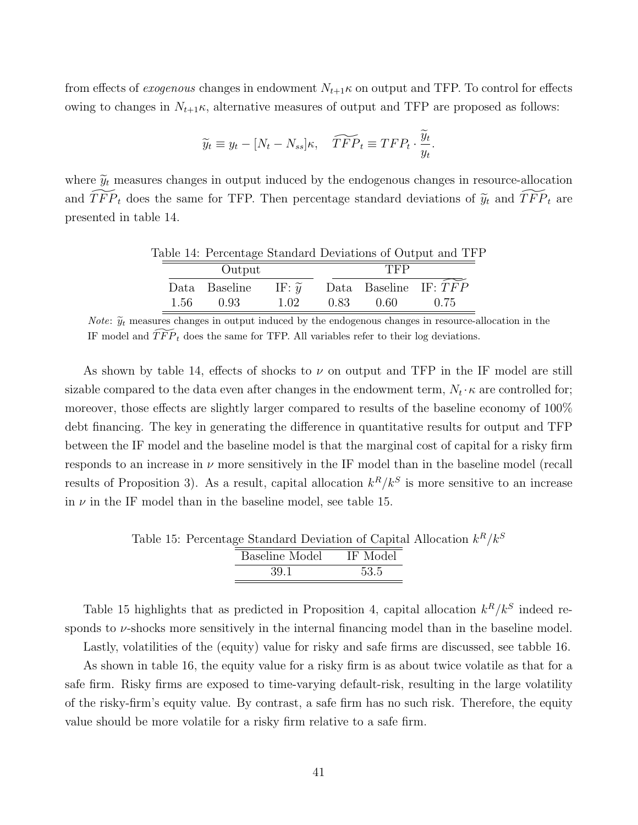from effects of *exogenous* changes in endowment  $N_{t+1}\kappa$  on output and TFP. To control for effects owing to changes in  $N_{t+1}$ <sub>K</sub>, alternative measures of output and TFP are proposed as follows:

$$
\widetilde{y}_t \equiv y_t - [N_t - N_{ss}]\kappa, \quad \widetilde{TFP}_t \equiv TFP_t \cdot \frac{\widetilde{y}_t}{y_t}.
$$

where  $\tilde{y}_t$  measures changes in output induced by the endogenous changes in resource-allocation and  $\widetilde{TFP}_t$  does the same for TFP. Then percentage standard deviations of  $\widetilde{y}_t$  and  $\widetilde{TFP}_t$  are presented in table 14.

| Table 14: Percentage Standard Deviations of Output and TFI |       |               |                     |      |      |                         |  |  |  |
|------------------------------------------------------------|-------|---------------|---------------------|------|------|-------------------------|--|--|--|
|                                                            |       | Output        |                     | TFP  |      |                         |  |  |  |
|                                                            |       | Data Baseline | IF: $\widetilde{y}$ |      |      | Data Baseline IF: $TFP$ |  |  |  |
|                                                            | -1.56 | 0.93          | 1.02                | 0.83 | 0.60 | 0.75                    |  |  |  |

*Note:*  $\widetilde{y}_t$  measures changes in output induced by the endogenous changes in resource-allocation in the IF model and  $\widetilde{TFP}_t$  does the same for TFP. All variables refer to their log deviations.

As shown by table 14, effects of shocks to  $\nu$  on output and TFP in the IF model are still sizable compared to the data even after changes in the endowment term,  $N_t \cdot \kappa$  are controlled for; moreover, those effects are slightly larger compared to results of the baseline economy of 100% debt financing. The key in generating the difference in quantitative results for output and TFP between the IF model and the baseline model is that the marginal cost of capital for a risky firm responds to an increase in  $\nu$  more sensitively in the IF model than in the baseline model (recall results of Proposition 3). As a result, capital allocation  $k^R/k^S$  is more sensitive to an increase in  $\nu$  in the IF model than in the baseline model, see table 15.

Table 15: Percentage Standard Deviation of Capital Allocation  $k^R/k^S$ 

| IF Model |
|----------|
| 53.5     |
|          |

Table 15 highlights that as predicted in Proposition 4, capital allocation  $k^R/k^S$  indeed responds to  $\nu$ -shocks more sensitively in the internal financing model than in the baseline model.

Lastly, volatilities of the (equity) value for risky and safe firms are discussed, see tabble 16.

As shown in table 16, the equity value for a risky firm is as about twice volatile as that for a safe firm. Risky firms are exposed to time-varying default-risk, resulting in the large volatility of the risky-firm's equity value. By contrast, a safe firm has no such risk. Therefore, the equity value should be more volatile for a risky firm relative to a safe firm.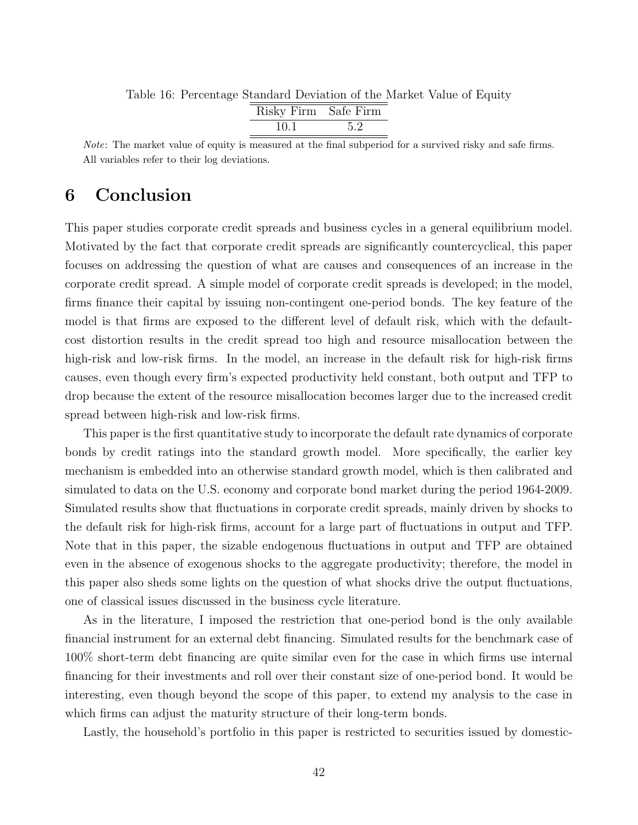Table 16: Percentage Standard Deviation of the Market Value of Equity

| Risky Firm Safe Firm |     |
|----------------------|-----|
| 10.1                 | 5.2 |

Note: The market value of equity is measured at the final subperiod for a survived risky and safe firms. All variables refer to their log deviations.

### 6 Conclusion

This paper studies corporate credit spreads and business cycles in a general equilibrium model. Motivated by the fact that corporate credit spreads are significantly countercyclical, this paper focuses on addressing the question of what are causes and consequences of an increase in the corporate credit spread. A simple model of corporate credit spreads is developed; in the model, firms finance their capital by issuing non-contingent one-period bonds. The key feature of the model is that firms are exposed to the different level of default risk, which with the defaultcost distortion results in the credit spread too high and resource misallocation between the high-risk and low-risk firms. In the model, an increase in the default risk for high-risk firms causes, even though every firm's expected productivity held constant, both output and TFP to drop because the extent of the resource misallocation becomes larger due to the increased credit spread between high-risk and low-risk firms.

This paper is the first quantitative study to incorporate the default rate dynamics of corporate bonds by credit ratings into the standard growth model. More specifically, the earlier key mechanism is embedded into an otherwise standard growth model, which is then calibrated and simulated to data on the U.S. economy and corporate bond market during the period 1964-2009. Simulated results show that fluctuations in corporate credit spreads, mainly driven by shocks to the default risk for high-risk firms, account for a large part of fluctuations in output and TFP. Note that in this paper, the sizable endogenous fluctuations in output and TFP are obtained even in the absence of exogenous shocks to the aggregate productivity; therefore, the model in this paper also sheds some lights on the question of what shocks drive the output fluctuations, one of classical issues discussed in the business cycle literature.

As in the literature, I imposed the restriction that one-period bond is the only available financial instrument for an external debt financing. Simulated results for the benchmark case of 100% short-term debt financing are quite similar even for the case in which firms use internal financing for their investments and roll over their constant size of one-period bond. It would be interesting, even though beyond the scope of this paper, to extend my analysis to the case in which firms can adjust the maturity structure of their long-term bonds.

Lastly, the household's portfolio in this paper is restricted to securities issued by domestic-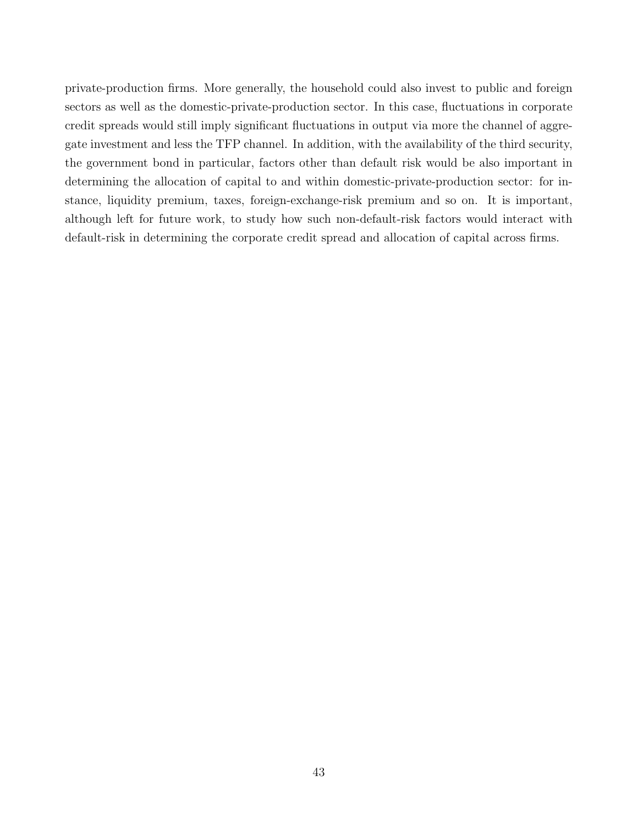private-production firms. More generally, the household could also invest to public and foreign sectors as well as the domestic-private-production sector. In this case, fluctuations in corporate credit spreads would still imply significant fluctuations in output via more the channel of aggregate investment and less the TFP channel. In addition, with the availability of the third security, the government bond in particular, factors other than default risk would be also important in determining the allocation of capital to and within domestic-private-production sector: for instance, liquidity premium, taxes, foreign-exchange-risk premium and so on. It is important, although left for future work, to study how such non-default-risk factors would interact with default-risk in determining the corporate credit spread and allocation of capital across firms.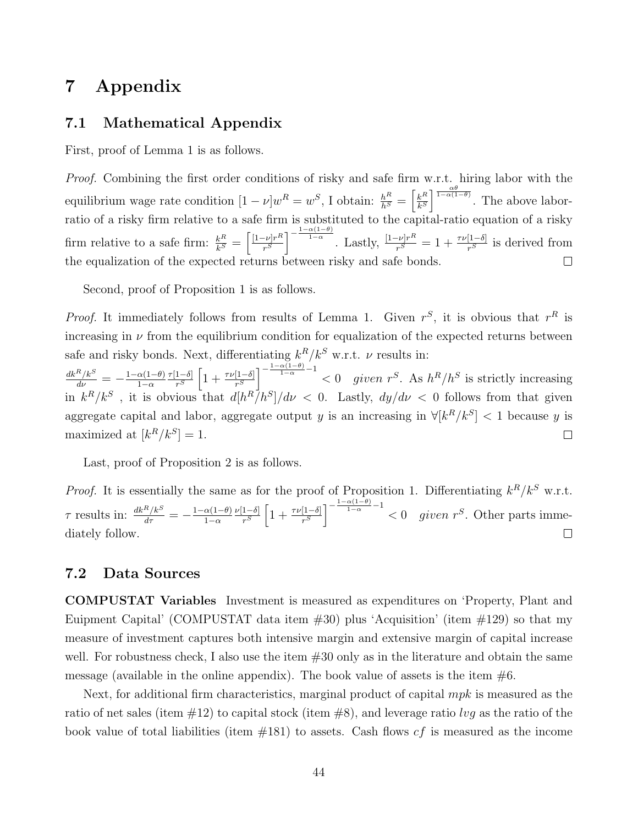### 7 Appendix

#### 7.1 Mathematical Appendix

First, proof of Lemma 1 is as follows.

Proof. Combining the first order conditions of risky and safe firm w.r.t. hiring labor with the  $\frac{k^R}{k^S}$ <sup> $\frac{\alpha\theta}{1-\alpha(1-\theta)}$ </sup>. The above laborequilibrium wage rate condition  $[1 - \nu]w^R = w^S$ , I obtain:  $\frac{h^R}{h^S} = \left[\frac{k^R}{k^S}\right]$ ratio of a risky firm relative to a safe firm is substituted to the capital-ratio equation of a risky  $\left[\frac{-\nu]r^R}{r^S}\right]^{-\frac{1-\alpha(1-\theta)}{1-\alpha}}$ . Lastly,  $\frac{[1-\nu]r^R}{r^S}$  $\frac{k^{R}}{k^{S}}=\left[\frac{[1-\nu]r^{R}}{r^{S}}\right]$ firm relative to a safe firm:  $\frac{k^R}{k^S}$  $\frac{r^{-\nu}r^R}{r^S} = 1 + \frac{\tau\nu[1-\delta]}{r^S}$  is derived from the equalization of the expected returns between risky and safe bonds.  $\Box$ 

Second, proof of Proposition 1 is as follows.

*Proof.* It immediately follows from results of Lemma 1. Given  $r^S$ , it is obvious that  $r^R$  is increasing in  $\nu$  from the equilibrium condition for equalization of the expected returns between safe and risky bonds. Next, differentiating  $k^R/k^S$  w.r.t.  $\nu$  results in:

 $\frac{1-\delta}{r^S}\left[1+\frac{\tau\nu[1-\delta]}{r^S}\right]^{-\frac{1-\alpha(1-\theta)}{1-\alpha}-1} < 0$  given  $r^S$ . As  $h^R/h^S$  is strictly increasing  $\frac{dk^R/k^S}{d\nu} = -\frac{1-\alpha(1-\theta)}{1-\alpha}$  $\tau$ [1−δ]  $1-\alpha$ in  $k^R/k^S$ , it is obvious that  $d[h^R/h^S]/d\nu < 0$ . Lastly,  $dy/d\nu < 0$  follows from that given aggregate capital and labor, aggregate output y is an increasing in  $\forall [k^R/k^S] < 1$  because y is maximized at  $[k^R/k^S] = 1$ .  $\Box$ 

Last, proof of Proposition 2 is as follows.

*Proof.* It is essentially the same as for the proof of Proposition 1. Differentiating  $k^R/k^S$  w.r.t.  $\frac{1-\delta}{r^S}\left[1+\frac{\tau\nu[1-\delta]}{r^S}\right]^{-\frac{1-\alpha(1-\theta)}{1-\alpha}-1} < 0$  given  $r^S$ . Other parts imme- $\tau$  results in:  $\frac{dk^R/k^S}{d\tau} = -\frac{1-\alpha(1-\theta)}{1-\alpha}$  $\nu$ [1−δ]  $1-\alpha$ diately follow.  $\Box$ 

#### 7.2 Data Sources

COMPUSTAT Variables Investment is measured as expenditures on 'Property, Plant and Euipment Capital' (COMPUSTAT data item  $\#30$ ) plus 'Acquisition' (item  $\#129$ ) so that my measure of investment captures both intensive margin and extensive margin of capital increase well. For robustness check, I also use the item  $#30$  only as in the literature and obtain the same message (available in the online appendix). The book value of assets is the item  $\#6$ .

Next, for additional firm characteristics, marginal product of capital *mpk* is measured as the ratio of net sales (item  $\#12$ ) to capital stock (item  $\#8$ ), and leverage ratio lvg as the ratio of the book value of total liabilities (item  $#181$ ) to assets. Cash flows  $cf$  is measured as the income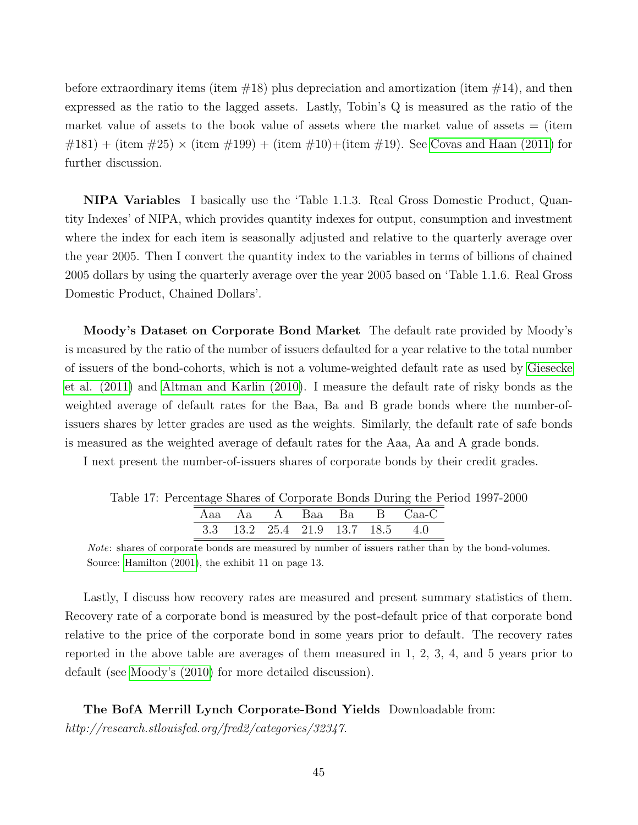before extraordinary items (item  $\#18$ ) plus depreciation and amortization (item  $\#14$ ), and then expressed as the ratio to the lagged assets. Lastly, Tobin's Q is measured as the ratio of the market value of assets to the book value of assets where the market value of assets  $=$  (item  $#181) + (item #25) \times (item #199) + (item #10) + (item #19). See Covas and Haan (2011) for$  $#181) + (item #25) \times (item #199) + (item #10) + (item #19). See Covas and Haan (2011) for$  $#181) + (item #25) \times (item #199) + (item #10) + (item #19). See Covas and Haan (2011) for$ further discussion.

NIPA Variables I basically use the 'Table 1.1.3. Real Gross Domestic Product, Quantity Indexes' of NIPA, which provides quantity indexes for output, consumption and investment where the index for each item is seasonally adjusted and relative to the quarterly average over the year 2005. Then I convert the quantity index to the variables in terms of billions of chained 2005 dollars by using the quarterly average over the year 2005 based on 'Table 1.1.6. Real Gross Domestic Product, Chained Dollars'.

Moody's Dataset on Corporate Bond Market The default rate provided by Moody's is measured by the ratio of the number of issuers defaulted for a year relative to the total number of issuers of the bond-cohorts, which is not a volume-weighted default rate as used by [Giesecke](#page-47-11) [et al. \(2011\)](#page-47-11) and [Altman and Karlin \(2010\)](#page-47-10). I measure the default rate of risky bonds as the weighted average of default rates for the Baa, Ba and B grade bonds where the number-ofissuers shares by letter grades are used as the weights. Similarly, the default rate of safe bonds is measured as the weighted average of default rates for the Aaa, Aa and A grade bonds.

I next present the number-of-issuers shares of corporate bonds by their credit grades.

| Table 17: Percentage Shares of Corporate Bonds During the Period 1997-2000 |  |                                  |  |  |                         |  |  |
|----------------------------------------------------------------------------|--|----------------------------------|--|--|-------------------------|--|--|
|                                                                            |  |                                  |  |  | Aaa Aa A Baa Ba B Caa-C |  |  |
|                                                                            |  | 3.3 13.2 25.4 21.9 13.7 18.5 4.0 |  |  |                         |  |  |

Note: shares of corporate bonds are measured by number of issuers rather than by the bond-volumes. Source: [Hamilton \(2001\)](#page-48-13), the exhibit 11 on page 13.

Lastly, I discuss how recovery rates are measured and present summary statistics of them. Recovery rate of a corporate bond is measured by the post-default price of that corporate bond relative to the price of the corporate bond in some years prior to default. The recovery rates reported in the above table are averages of them measured in 1, 2, 3, 4, and 5 years prior to default (see [Moody's \(2010\)](#page-48-9) for more detailed discussion).

The BofA Merrill Lynch Corporate-Bond Yields Downloadable from: http://research.stlouisfed.org/fred2/categories/32347.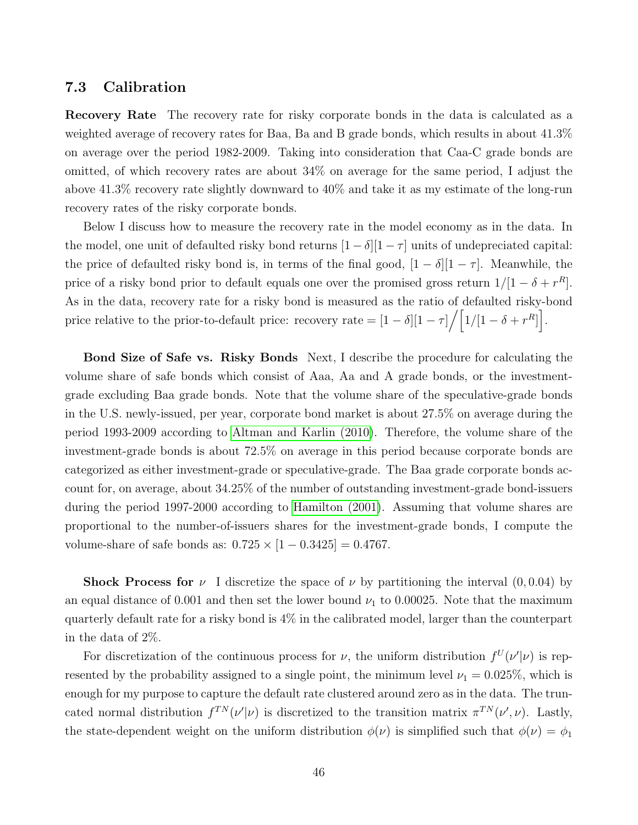#### 7.3 Calibration

**Recovery Rate** The recovery rate for risky corporate bonds in the data is calculated as a weighted average of recovery rates for Baa, Ba and B grade bonds, which results in about 41.3% on average over the period 1982-2009. Taking into consideration that Caa-C grade bonds are omitted, of which recovery rates are about 34% on average for the same period, I adjust the above 41.3% recovery rate slightly downward to 40% and take it as my estimate of the long-run recovery rates of the risky corporate bonds.

Below I discuss how to measure the recovery rate in the model economy as in the data. In the model, one unit of defaulted risky bond returns  $[1 - \delta][1 - \tau]$  units of undepreciated capital: the price of defaulted risky bond is, in terms of the final good,  $[1 - \delta][1 - \tau]$ . Meanwhile, the price of a risky bond prior to default equals one over the promised gross return  $1/[1 - \delta + r^R]$ . As in the data, recovery rate for a risky bond is measured as the ratio of defaulted risky-bond price relative to the prior-to-default price: recovery rate  $= [1 - \delta][1 - \tau] / [1/(1 - \delta + r^R)].$ 

Bond Size of Safe vs. Risky Bonds Next, I describe the procedure for calculating the volume share of safe bonds which consist of Aaa, Aa and A grade bonds, or the investmentgrade excluding Baa grade bonds. Note that the volume share of the speculative-grade bonds in the U.S. newly-issued, per year, corporate bond market is about 27.5% on average during the period 1993-2009 according to [Altman and Karlin \(2010\)](#page-47-10). Therefore, the volume share of the investment-grade bonds is about 72.5% on average in this period because corporate bonds are categorized as either investment-grade or speculative-grade. The Baa grade corporate bonds account for, on average, about 34.25% of the number of outstanding investment-grade bond-issuers during the period 1997-2000 according to [Hamilton \(2001\)](#page-48-13). Assuming that volume shares are proportional to the number-of-issuers shares for the investment-grade bonds, I compute the volume-share of safe bonds as:  $0.725 \times [1 - 0.3425] = 0.4767$ .

**Shock Process for**  $\nu$  I discretize the space of  $\nu$  by partitioning the interval  $(0, 0.04)$  by an equal distance of 0.001 and then set the lower bound  $\nu_1$  to 0.00025. Note that the maximum quarterly default rate for a risky bond is 4% in the calibrated model, larger than the counterpart in the data of 2%.

For discretization of the continuous process for  $\nu$ , the uniform distribution  $f^U(\nu|\nu)$  is represented by the probability assigned to a single point, the minimum level  $\nu_1 = 0.025\%$ , which is enough for my purpose to capture the default rate clustered around zero as in the data. The truncated normal distribution  $f^{TN}(\nu'|\nu)$  is discretized to the transition matrix  $\pi^{TN}(\nu',\nu)$ . Lastly, the state-dependent weight on the uniform distribution  $\phi(\nu)$  is simplified such that  $\phi(\nu) = \phi_1$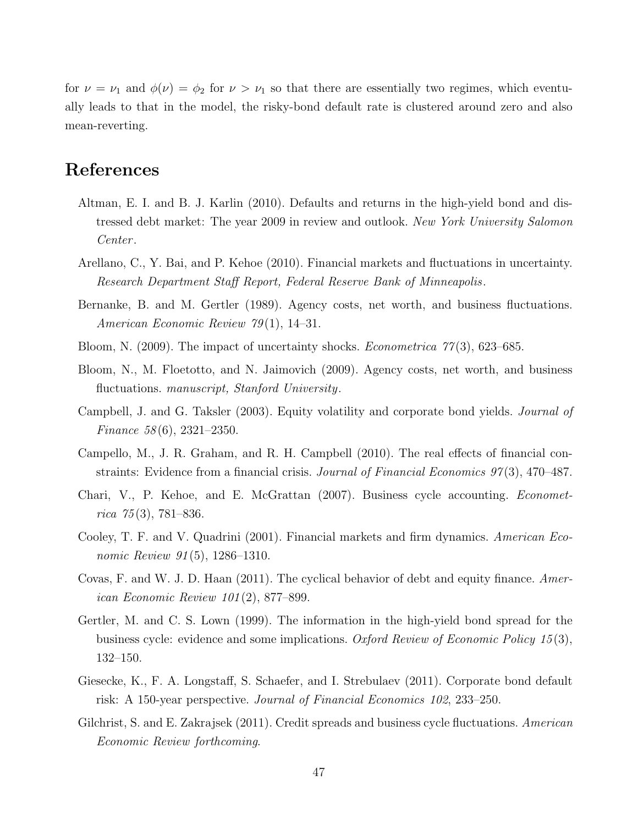for  $\nu = \nu_1$  and  $\phi(\nu) = \phi_2$  for  $\nu > \nu_1$  so that there are essentially two regimes, which eventually leads to that in the model, the risky-bond default rate is clustered around zero and also mean-reverting.

### References

- <span id="page-47-10"></span>Altman, E. I. and B. J. Karlin (2010). Defaults and returns in the high-yield bond and distressed debt market: The year 2009 in review and outlook. New York University Salomon Center .
- <span id="page-47-6"></span>Arellano, C., Y. Bai, and P. Kehoe (2010). Financial markets and fluctuations in uncertainty. Research Department Staff Report, Federal Reserve Bank of Minneapolis.
- <span id="page-47-2"></span>Bernanke, B. and M. Gertler (1989). Agency costs, net worth, and business fluctuations. American Economic Review 79 (1), 14–31.
- <span id="page-47-4"></span>Bloom, N. (2009). The impact of uncertainty shocks. *Econometrica* 77(3), 623–685.
- <span id="page-47-5"></span>Bloom, N., M. Floetotto, and N. Jaimovich (2009). Agency costs, net worth, and business fluctuations. manuscript, Stanford University.
- <span id="page-47-3"></span>Campbell, J. and G. Taksler (2003). Equity volatility and corporate bond yields. Journal of Finance 58 (6), 2321–2350.
- <span id="page-47-8"></span>Campello, M., J. R. Graham, and R. H. Campbell (2010). The real effects of financial constraints: Evidence from a financial crisis. Journal of Financial Economics 97(3), 470–487.
- Chari, V., P. Kehoe, and E. McGrattan (2007). Business cycle accounting. Econometrica  $75(3)$ , 781–836.
- <span id="page-47-9"></span>Cooley, T. F. and V. Quadrini (2001). Financial markets and firm dynamics. American Economic Review 91(5), 1286–1310.
- <span id="page-47-7"></span>Covas, F. and W. J. D. Haan (2011). The cyclical behavior of debt and equity finance. American Economic Review 101 (2), 877–899.
- <span id="page-47-0"></span>Gertler, M. and C. S. Lown (1999). The information in the high-yield bond spread for the business cycle: evidence and some implications. Oxford Review of Economic Policy 15 (3), 132–150.
- <span id="page-47-11"></span>Giesecke, K., F. A. Longstaff, S. Schaefer, and I. Strebulaev (2011). Corporate bond default risk: A 150-year perspective. Journal of Financial Economics 102, 233–250.
- <span id="page-47-1"></span>Gilchrist, S. and E. Zakrajsek (2011). Credit spreads and business cycle fluctuations. American Economic Review forthcoming.